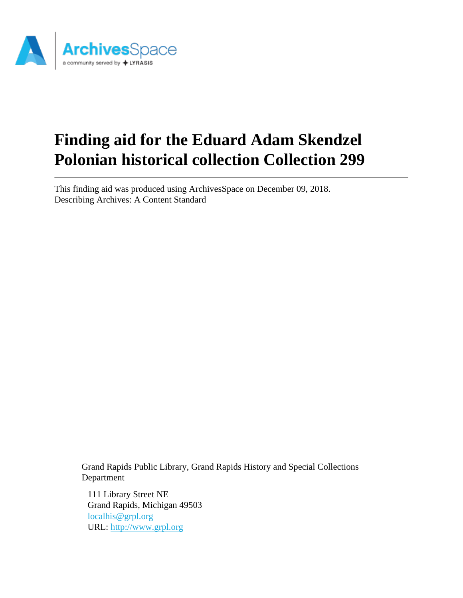

# **Finding aid for the Eduard Adam Skendzel Polonian historical collection Collection 299**

This finding aid was produced using ArchivesSpace on December 09, 2018. Describing Archives: A Content Standard

Grand Rapids Public Library, Grand Rapids History and Special Collections Department

111 Library Street NE Grand Rapids, Michigan 49503 [localhis@grpl.org](mailto:localhis@grpl.org) URL:<http://www.grpl.org>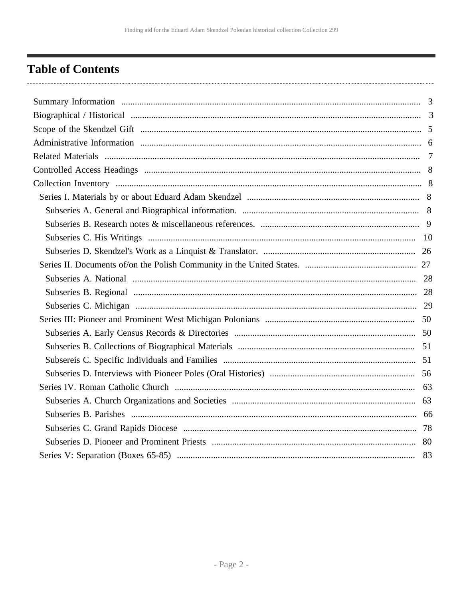# <span id="page-1-0"></span>**Table of Contents**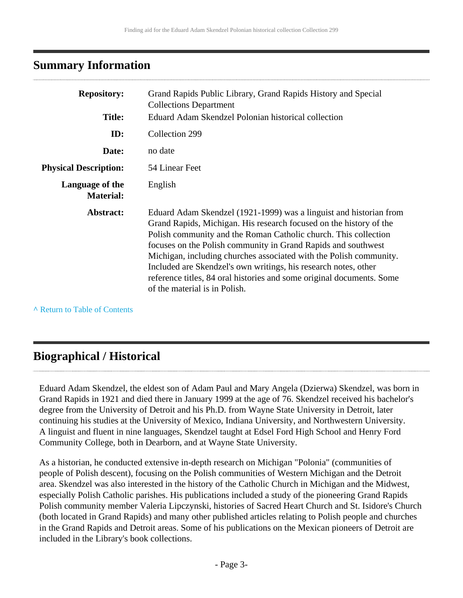# <span id="page-2-0"></span>**Summary Information**

| <b>Repository:</b>                  | Grand Rapids Public Library, Grand Rapids History and Special<br><b>Collections Department</b>                                                                                                                                                                                                                                                                                                                                                                                                                                  |
|-------------------------------------|---------------------------------------------------------------------------------------------------------------------------------------------------------------------------------------------------------------------------------------------------------------------------------------------------------------------------------------------------------------------------------------------------------------------------------------------------------------------------------------------------------------------------------|
| <b>Title:</b>                       | Eduard Adam Skendzel Polonian historical collection                                                                                                                                                                                                                                                                                                                                                                                                                                                                             |
|                                     |                                                                                                                                                                                                                                                                                                                                                                                                                                                                                                                                 |
| ID:                                 | Collection 299                                                                                                                                                                                                                                                                                                                                                                                                                                                                                                                  |
| Date:                               | no date                                                                                                                                                                                                                                                                                                                                                                                                                                                                                                                         |
| <b>Physical Description:</b>        | 54 Linear Feet                                                                                                                                                                                                                                                                                                                                                                                                                                                                                                                  |
| Language of the<br><b>Material:</b> | English                                                                                                                                                                                                                                                                                                                                                                                                                                                                                                                         |
| Abstract:                           | Eduard Adam Skendzel (1921-1999) was a linguist and historian from<br>Grand Rapids, Michigan. His research focused on the history of the<br>Polish community and the Roman Catholic church. This collection<br>focuses on the Polish community in Grand Rapids and southwest<br>Michigan, including churches associated with the Polish community.<br>Included are Skendzel's own writings, his research notes, other<br>reference titles, 84 oral histories and some original documents. Some<br>of the material is in Polish. |

**^** [Return to Table of Contents](#page-1-0)

# <span id="page-2-1"></span>**Biographical / Historical**

Eduard Adam Skendzel, the eldest son of Adam Paul and Mary Angela (Dzierwa) Skendzel, was born in Grand Rapids in 1921 and died there in January 1999 at the age of 76. Skendzel received his bachelor's degree from the University of Detroit and his Ph.D. from Wayne State University in Detroit, later continuing his studies at the University of Mexico, Indiana University, and Northwestern University. A linguist and fluent in nine languages, Skendzel taught at Edsel Ford High School and Henry Ford Community College, both in Dearborn, and at Wayne State University.

As a historian, he conducted extensive in-depth research on Michigan "Polonia" (communities of people of Polish descent), focusing on the Polish communities of Western Michigan and the Detroit area. Skendzel was also interested in the history of the Catholic Church in Michigan and the Midwest, especially Polish Catholic parishes. His publications included a study of the pioneering Grand Rapids Polish community member Valeria Lipczynski, histories of Sacred Heart Church and St. Isidore's Church (both located in Grand Rapids) and many other published articles relating to Polish people and churches in the Grand Rapids and Detroit areas. Some of his publications on the Mexican pioneers of Detroit are included in the Library's book collections.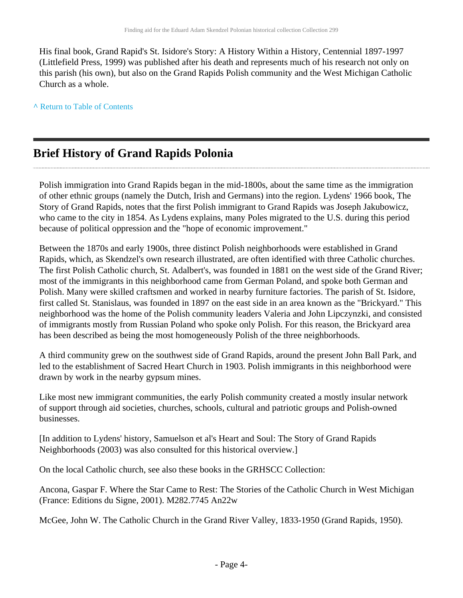His final book, Grand Rapid's St. Isidore's Story: A History Within a History, Centennial 1897-1997 (Littlefield Press, 1999) was published after his death and represents much of his research not only on this parish (his own), but also on the Grand Rapids Polish community and the West Michigan Catholic Church as a whole.

**^** [Return to Table of Contents](#page-1-0)

# **Brief History of Grand Rapids Polonia**

Polish immigration into Grand Rapids began in the mid-1800s, about the same time as the immigration of other ethnic groups (namely the Dutch, Irish and Germans) into the region. Lydens' 1966 book, The Story of Grand Rapids, notes that the first Polish immigrant to Grand Rapids was Joseph Jakubowicz, who came to the city in 1854. As Lydens explains, many Poles migrated to the U.S. during this period because of political oppression and the "hope of economic improvement."

Between the 1870s and early 1900s, three distinct Polish neighborhoods were established in Grand Rapids, which, as Skendzel's own research illustrated, are often identified with three Catholic churches. The first Polish Catholic church, St. Adalbert's, was founded in 1881 on the west side of the Grand River; most of the immigrants in this neighborhood came from German Poland, and spoke both German and Polish. Many were skilled craftsmen and worked in nearby furniture factories. The parish of St. Isidore, first called St. Stanislaus, was founded in 1897 on the east side in an area known as the "Brickyard." This neighborhood was the home of the Polish community leaders Valeria and John Lipczynzki, and consisted of immigrants mostly from Russian Poland who spoke only Polish. For this reason, the Brickyard area has been described as being the most homogeneously Polish of the three neighborhoods.

A third community grew on the southwest side of Grand Rapids, around the present John Ball Park, and led to the establishment of Sacred Heart Church in 1903. Polish immigrants in this neighborhood were drawn by work in the nearby gypsum mines.

Like most new immigrant communities, the early Polish community created a mostly insular network of support through aid societies, churches, schools, cultural and patriotic groups and Polish-owned businesses.

[In addition to Lydens' history, Samuelson et al's Heart and Soul: The Story of Grand Rapids Neighborhoods (2003) was also consulted for this historical overview.]

On the local Catholic church, see also these books in the GRHSCC Collection:

Ancona, Gaspar F. Where the Star Came to Rest: The Stories of the Catholic Church in West Michigan (France: Editions du Signe, 2001). M282.7745 An22w

McGee, John W. The Catholic Church in the Grand River Valley, 1833-1950 (Grand Rapids, 1950).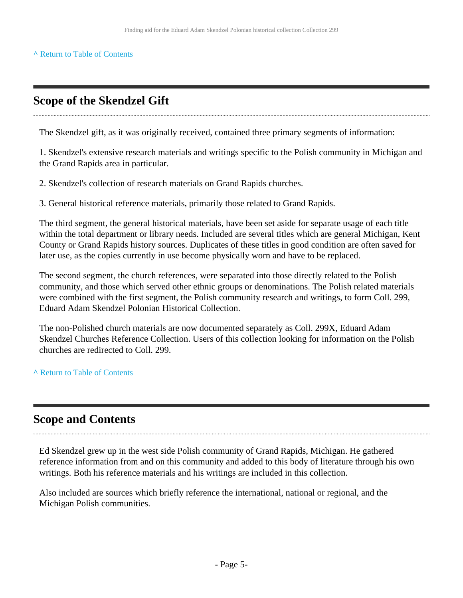#### **^** [Return to Table of Contents](#page-1-0)

# <span id="page-4-0"></span>**Scope of the Skendzel Gift**

The Skendzel gift, as it was originally received, contained three primary segments of information:

1. Skendzel's extensive research materials and writings specific to the Polish community in Michigan and the Grand Rapids area in particular.

2. Skendzel's collection of research materials on Grand Rapids churches.

3. General historical reference materials, primarily those related to Grand Rapids.

The third segment, the general historical materials, have been set aside for separate usage of each title within the total department or library needs. Included are several titles which are general Michigan, Kent County or Grand Rapids history sources. Duplicates of these titles in good condition are often saved for later use, as the copies currently in use become physically worn and have to be replaced.

The second segment, the church references, were separated into those directly related to the Polish community, and those which served other ethnic groups or denominations. The Polish related materials were combined with the first segment, the Polish community research and writings, to form Coll. 299, Eduard Adam Skendzel Polonian Historical Collection.

The non-Polished church materials are now documented separately as Coll. 299X, Eduard Adam Skendzel Churches Reference Collection. Users of this collection looking for information on the Polish churches are redirected to Coll. 299.

**^** [Return to Table of Contents](#page-1-0)

# **Scope and Contents**

Ed Skendzel grew up in the west side Polish community of Grand Rapids, Michigan. He gathered reference information from and on this community and added to this body of literature through his own writings. Both his reference materials and his writings are included in this collection.

Also included are sources which briefly reference the international, national or regional, and the Michigan Polish communities.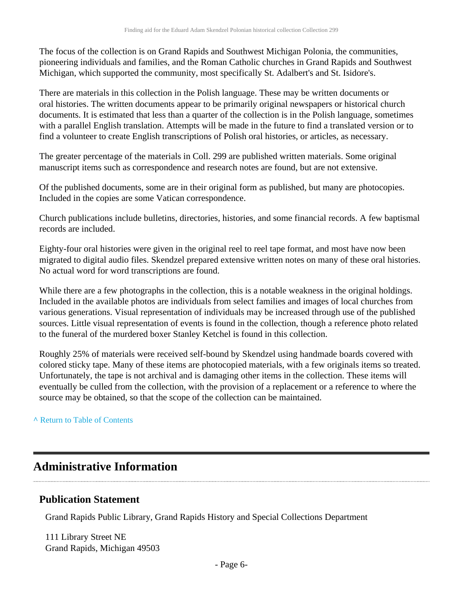The focus of the collection is on Grand Rapids and Southwest Michigan Polonia, the communities, pioneering individuals and families, and the Roman Catholic churches in Grand Rapids and Southwest Michigan, which supported the community, most specifically St. Adalbert's and St. Isidore's.

There are materials in this collection in the Polish language. These may be written documents or oral histories. The written documents appear to be primarily original newspapers or historical church documents. It is estimated that less than a quarter of the collection is in the Polish language, sometimes with a parallel English translation. Attempts will be made in the future to find a translated version or to find a volunteer to create English transcriptions of Polish oral histories, or articles, as necessary.

The greater percentage of the materials in Coll. 299 are published written materials. Some original manuscript items such as correspondence and research notes are found, but are not extensive.

Of the published documents, some are in their original form as published, but many are photocopies. Included in the copies are some Vatican correspondence.

Church publications include bulletins, directories, histories, and some financial records. A few baptismal records are included.

Eighty-four oral histories were given in the original reel to reel tape format, and most have now been migrated to digital audio files. Skendzel prepared extensive written notes on many of these oral histories. No actual word for word transcriptions are found.

While there are a few photographs in the collection, this is a notable weakness in the original holdings. Included in the available photos are individuals from select families and images of local churches from various generations. Visual representation of individuals may be increased through use of the published sources. Little visual representation of events is found in the collection, though a reference photo related to the funeral of the murdered boxer Stanley Ketchel is found in this collection.

Roughly 25% of materials were received self-bound by Skendzel using handmade boards covered with colored sticky tape. Many of these items are photocopied materials, with a few originals items so treated. Unfortunately, the tape is not archival and is damaging other items in the collection. These items will eventually be culled from the collection, with the provision of a replacement or a reference to where the source may be obtained, so that the scope of the collection can be maintained.

**^** [Return to Table of Contents](#page-1-0)

# <span id="page-5-0"></span>**Administrative Information**

### **Publication Statement**

Grand Rapids Public Library, Grand Rapids History and Special Collections Department

111 Library Street NE Grand Rapids, Michigan 49503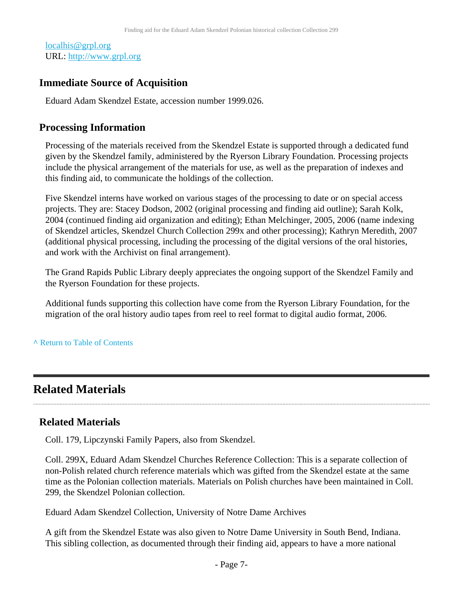[localhis@grpl.org](mailto:localhis@grpl.org) URL:<http://www.grpl.org>

### **Immediate Source of Acquisition**

Eduard Adam Skendzel Estate, accession number 1999.026.

### **Processing Information**

Processing of the materials received from the Skendzel Estate is supported through a dedicated fund given by the Skendzel family, administered by the Ryerson Library Foundation. Processing projects include the physical arrangement of the materials for use, as well as the preparation of indexes and this finding aid, to communicate the holdings of the collection.

Five Skendzel interns have worked on various stages of the processing to date or on special access projects. They are: Stacey Dodson, 2002 (original processing and finding aid outline); Sarah Kolk, 2004 (continued finding aid organization and editing); Ethan Melchinger, 2005, 2006 (name indexing of Skendzel articles, Skendzel Church Collection 299x and other processing); Kathryn Meredith, 2007 (additional physical processing, including the processing of the digital versions of the oral histories, and work with the Archivist on final arrangement).

The Grand Rapids Public Library deeply appreciates the ongoing support of the Skendzel Family and the Ryerson Foundation for these projects.

Additional funds supporting this collection have come from the Ryerson Library Foundation, for the migration of the oral history audio tapes from reel to reel format to digital audio format, 2006.

#### **^** [Return to Table of Contents](#page-1-0)

# <span id="page-6-0"></span>**Related Materials**

### **Related Materials**

Coll. 179, Lipczynski Family Papers, also from Skendzel.

Coll. 299X, Eduard Adam Skendzel Churches Reference Collection: This is a separate collection of non-Polish related church reference materials which was gifted from the Skendzel estate at the same time as the Polonian collection materials. Materials on Polish churches have been maintained in Coll. 299, the Skendzel Polonian collection.

Eduard Adam Skendzel Collection, University of Notre Dame Archives

A gift from the Skendzel Estate was also given to Notre Dame University in South Bend, Indiana. This sibling collection, as documented through their finding aid, appears to have a more national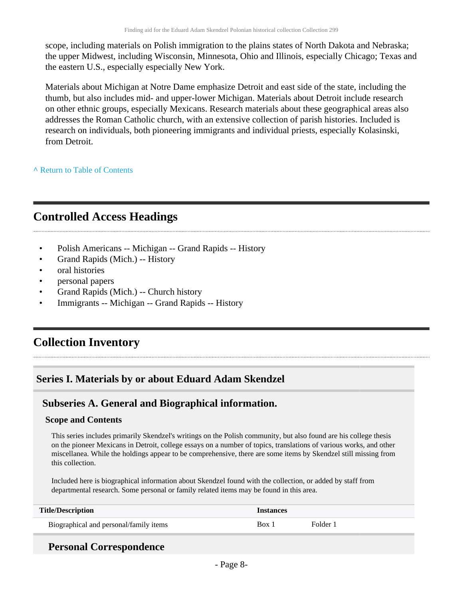scope, including materials on Polish immigration to the plains states of North Dakota and Nebraska; the upper Midwest, including Wisconsin, Minnesota, Ohio and Illinois, especially Chicago; Texas and the eastern U.S., especially especially New York.

Materials about Michigan at Notre Dame emphasize Detroit and east side of the state, including the thumb, but also includes mid- and upper-lower Michigan. Materials about Detroit include research on other ethnic groups, especially Mexicans. Research materials about these geographical areas also addresses the Roman Catholic church, with an extensive collection of parish histories. Included is research on individuals, both pioneering immigrants and individual priests, especially Kolasinski, from Detroit.

**^** [Return to Table of Contents](#page-1-0)

# <span id="page-7-0"></span>**Controlled Access Headings**

- Polish Americans -- Michigan -- Grand Rapids -- History
- Grand Rapids (Mich.) -- History
- oral histories
- personal papers
- Grand Rapids (Mich.) -- Church history
- Immigrants -- Michigan -- Grand Rapids -- History

# <span id="page-7-1"></span>**Collection Inventory**

# <span id="page-7-2"></span>**Series I. Materials by or about Eduard Adam Skendzel**

### <span id="page-7-3"></span>**Subseries A. General and Biographical information.**

#### **Scope and Contents**

This series includes primarily Skendzel's writings on the Polish community, but also found are his college thesis on the pioneer Mexicans in Detroit, college essays on a number of topics, translations of various works, and other miscellanea. While the holdings appear to be comprehensive, there are some items by Skendzel still missing from this collection.

Included here is biographical information about Skendzel found with the collection, or added by staff from departmental research. Some personal or family related items may be found in this area.

| <b>Title/Description</b>               | <i>Instances</i> |          |
|----------------------------------------|------------------|----------|
| Biographical and personal/family items | Box <sub>1</sub> | Folder : |

## **Personal Correspondence**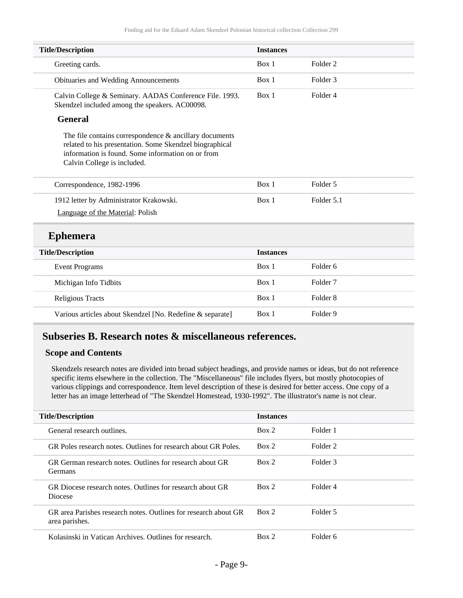| <b>Title/Description</b>                                                                                                                                                                                 | <b>Instances</b> |                     |
|----------------------------------------------------------------------------------------------------------------------------------------------------------------------------------------------------------|------------------|---------------------|
| Greeting cards.                                                                                                                                                                                          | Box 1            | Folder 2            |
| Obituaries and Wedding Announcements                                                                                                                                                                     | Box 1            | Folder <sub>3</sub> |
| Calvin College & Seminary. AADAS Conference File. 1993.<br>Skendzel included among the speakers. AC00098.                                                                                                | Box 1            | Folder <sub>4</sub> |
| <b>General</b>                                                                                                                                                                                           |                  |                     |
| The file contains correspondence $\&$ ancillary documents<br>related to his presentation. Some Skendzel biographical<br>information is found. Some information on or from<br>Calvin College is included. |                  |                     |
| Correspondence, 1982-1996                                                                                                                                                                                | Box 1            | Folder 5            |
| 1912 letter by Administrator Krakowski.                                                                                                                                                                  | Box 1            | Folder 5.1          |
| Language of the Material: Polish                                                                                                                                                                         |                  |                     |
| <b>Ephemera</b>                                                                                                                                                                                          |                  |                     |
| <b>Title/Description</b>                                                                                                                                                                                 | <b>Instances</b> |                     |
| <b>Event Programs</b>                                                                                                                                                                                    | Box 1            | Folder <sub>6</sub> |
| Michigan Info Tidbits                                                                                                                                                                                    | Box 1            | Folder <sub>7</sub> |
| <b>Religious Tracts</b>                                                                                                                                                                                  | Box 1            | Folder <sub>8</sub> |
| Various articles about Skendzel [No. Redefine & separate]                                                                                                                                                | Box 1            | Folder 9            |

# <span id="page-8-0"></span>**Subseries B. Research notes & miscellaneous references.**

#### **Scope and Contents**

Skendzels research notes are divided into broad subject headings, and provide names or ideas, but do not reference specific items elsewhere in the collection. The "Miscellaneous" file includes flyers, but mostly photocopies of various clippings and correspondence. Item level description of these is desired for better access. One copy of a letter has an image letterhead of "The Skendzel Homestead, 1930-1992". The illustrator's name is not clear.

| <b>Title/Description</b>                                                          | <b>Instances</b> |          |
|-----------------------------------------------------------------------------------|------------------|----------|
| General research outlines.                                                        | Box 2            | Folder 1 |
| GR Poles research notes. Outlines for research about GR Poles.                    | Box 2            | Folder 2 |
| GR German research notes. Outlines for research about GR<br><b>Germans</b>        | Box 2            | Folder 3 |
| GR Diocese research notes. Outlines for research about GR<br>Diocese              | Box 2            | Folder 4 |
| GR area Parishes research notes. Outlines for research about GR<br>area parishes. | Box 2            | Folder 5 |
| Kolasinski in Vatican Archives. Outlines for research.                            | Box 2            | Folder 6 |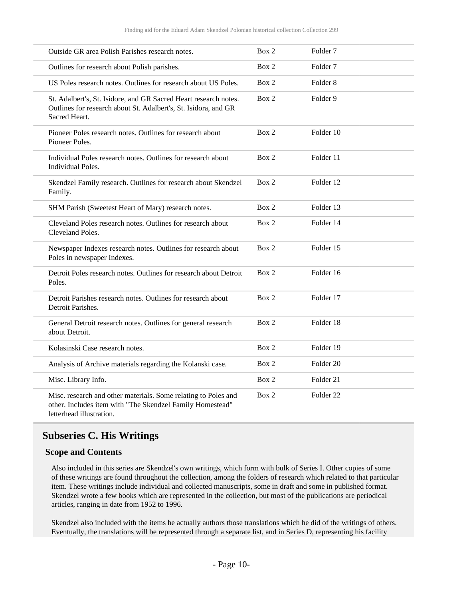| Outside GR area Polish Parishes research notes.                                                                                                         | Box 2 | Folder <sub>7</sub>  |
|---------------------------------------------------------------------------------------------------------------------------------------------------------|-------|----------------------|
| Outlines for research about Polish parishes.                                                                                                            | Box 2 | Folder <sub>7</sub>  |
| US Poles research notes. Outlines for research about US Poles.                                                                                          | Box 2 | Folder <sub>8</sub>  |
| St. Adalbert's, St. Isidore, and GR Sacred Heart research notes.<br>Outlines for research about St. Adalbert's, St. Isidora, and GR<br>Sacred Heart.    | Box 2 | Folder 9             |
| Pioneer Poles research notes. Outlines for research about<br>Pioneer Poles.                                                                             | Box 2 | Folder 10            |
| Individual Poles research notes. Outlines for research about<br><b>Individual Poles.</b>                                                                | Box 2 | Folder 11            |
| Skendzel Family research. Outlines for research about Skendzel<br>Family.                                                                               | Box 2 | Folder 12            |
| SHM Parish (Sweetest Heart of Mary) research notes.                                                                                                     | Box 2 | Folder 13            |
| Cleveland Poles research notes. Outlines for research about<br>Cleveland Poles.                                                                         | Box 2 | Folder 14            |
| Newspaper Indexes research notes. Outlines for research about<br>Poles in newspaper Indexes.                                                            | Box 2 | Folder 15            |
| Detroit Poles research notes. Outlines for research about Detroit<br>Poles.                                                                             | Box 2 | Folder 16            |
| Detroit Parishes research notes. Outlines for research about<br>Detroit Parishes.                                                                       | Box 2 | Folder 17            |
| General Detroit research notes. Outlines for general research<br>about Detroit.                                                                         | Box 2 | Folder 18            |
| Kolasinski Case research notes.                                                                                                                         | Box 2 | Folder 19            |
| Analysis of Archive materials regarding the Kolanski case.                                                                                              | Box 2 | Folder <sub>20</sub> |
| Misc. Library Info.                                                                                                                                     | Box 2 | Folder 21            |
| Misc. research and other materials. Some relating to Poles and<br>other. Includes item with "The Skendzel Family Homestead"<br>letterhead illustration. | Box 2 | Folder <sub>22</sub> |

### <span id="page-9-0"></span>**Subseries C. His Writings**

#### **Scope and Contents**

Also included in this series are Skendzel's own writings, which form with bulk of Series I. Other copies of some of these writings are found throughout the collection, among the folders of research which related to that particular item. These writings include individual and collected manuscripts, some in draft and some in published format. Skendzel wrote a few books which are represented in the collection, but most of the publications are periodical articles, ranging in date from 1952 to 1996.

Skendzel also included with the items he actually authors those translations which he did of the writings of others. Eventually, the translations will be represented through a separate list, and in Series D, representing his facility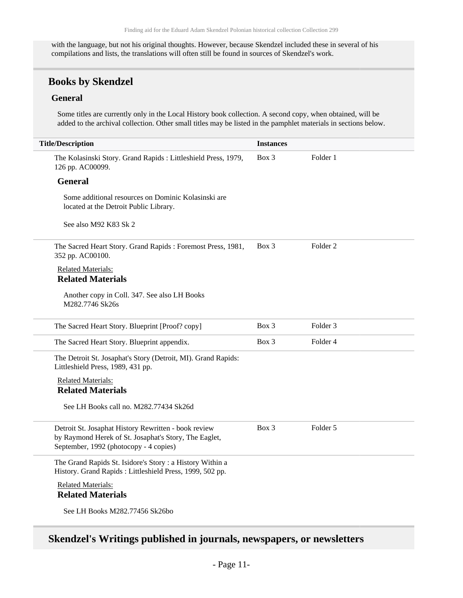with the language, but not his original thoughts. However, because Skendzel included these in several of his compilations and lists, the translations will often still be found in sources of Skendzel's work.

### **Books by Skendzel**

#### **General**

Some titles are currently only in the Local History book collection. A second copy, when obtained, will be added to the archival collection. Other small titles may be listed in the pamphlet materials in sections below.

| <b>Title/Description</b>                                                                                                                                | <b>Instances</b> |                     |
|---------------------------------------------------------------------------------------------------------------------------------------------------------|------------------|---------------------|
| The Kolasinski Story. Grand Rapids: Littleshield Press, 1979,<br>126 pp. AC00099.                                                                       | $Box$ 3          | Folder 1            |
| <b>General</b>                                                                                                                                          |                  |                     |
| Some additional resources on Dominic Kolasinski are<br>located at the Detroit Public Library.                                                           |                  |                     |
| See also M92 K83 Sk 2                                                                                                                                   |                  |                     |
| The Sacred Heart Story. Grand Rapids: Foremost Press, 1981,<br>352 pp. AC00100.                                                                         | Box 3            | Folder <sub>2</sub> |
| <b>Related Materials:</b><br><b>Related Materials</b>                                                                                                   |                  |                     |
| Another copy in Coll. 347. See also LH Books<br>M282.7746 Sk26s                                                                                         |                  |                     |
| The Sacred Heart Story. Blueprint [Proof? copy]                                                                                                         | Box 3            | Folder <sub>3</sub> |
| The Sacred Heart Story. Blueprint appendix.                                                                                                             | $Box\ 3$         | Folder 4            |
| The Detroit St. Josaphat's Story (Detroit, MI). Grand Rapids:<br>Littleshield Press, 1989, 431 pp.                                                      |                  |                     |
| <b>Related Materials:</b><br><b>Related Materials</b>                                                                                                   |                  |                     |
| See LH Books call no. M282.77434 Sk26d                                                                                                                  |                  |                     |
| Detroit St. Josaphat History Rewritten - book review<br>by Raymond Herek of St. Josaphat's Story, The Eaglet,<br>September, 1992 (photocopy - 4 copies) | $Box$ 3          | Folder 5            |
| The Grand Rapids St. Isidore's Story: a History Within a<br>History. Grand Rapids: Littleshield Press, 1999, 502 pp.                                    |                  |                     |
| <b>Related Materials:</b><br><b>Related Materials</b>                                                                                                   |                  |                     |
| See LH Books M282.77456 Sk26bo                                                                                                                          |                  |                     |

# **Skendzel's Writings published in journals, newspapers, or newsletters**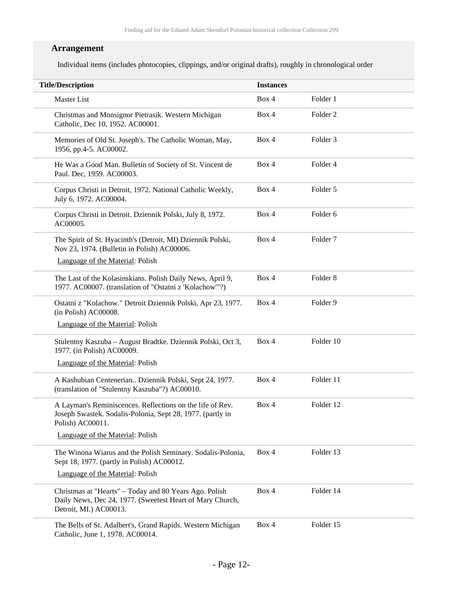### **Arrangement**

Individual items (includes photocopies, clippings, and/or original drafts), roughly in chronological order

| <b>Title/Description</b>                                                                                                                      | <b>Instances</b> |                     |  |
|-----------------------------------------------------------------------------------------------------------------------------------------------|------------------|---------------------|--|
| <b>Master List</b>                                                                                                                            | Box 4            | Folder 1            |  |
| Christmas and Monsignor Pietrasik. Western Michigan<br>Catholic, Dec 10, 1952. AC00001.                                                       | Box 4            | Folder <sub>2</sub> |  |
| Memories of Old St. Joseph's. The Catholic Woman, May,<br>1956, pp.4-5. AC00002.                                                              | Box 4            | Folder <sub>3</sub> |  |
| He Was a Good Man. Bulletin of Society of St. Vincent de<br>Paul. Dec, 1959. AC00003.                                                         | Box 4            | Folder 4            |  |
| Corpus Christi in Detroit, 1972. National Catholic Weekly,<br>July 6, 1972. AC00004.                                                          | Box 4            | Folder 5            |  |
| Corpus Christi in Detroit. Dziennik Polski, July 8, 1972.<br>AC00005.                                                                         | Box 4            | Folder 6            |  |
| The Spirit of St. Hyacinth's (Detroit, MI) Dziennik Polski,<br>Nov 23, 1974. (Bulletin in Polish) AC00006.                                    | Box 4            | Folder <sub>7</sub> |  |
| Language of the Material: Polish                                                                                                              |                  |                     |  |
| The Last of the Kolasinskians. Polish Daily News, April 9,<br>1977. AC00007. (translation of "Ostatni z 'Kolachow""?)                         | Box 4            | Folder <sub>8</sub> |  |
| Ostatni z "Kolachow." Detroit Dziennik Polski, Apr 23, 1977.<br>(in Polish) AC00008.                                                          | Box 4            | Folder 9            |  |
| Language of the Material: Polish                                                                                                              |                  |                     |  |
| Stulentny Kaszuba – August Bradtke. Dziennik Polski, Oct 3,<br>1977. (in Polish) AC00009.                                                     | Box 4            | Folder 10           |  |
| Language of the Material: Polish                                                                                                              |                  |                     |  |
| A Kashubian Centenerian Dziennik Polski, Sept 24, 1977.<br>(translation of "Stulentny Kaszuba"?) AC00010.                                     | Box 4            | Folder 11           |  |
| A Layman's Reminiscences. Reflections on the life of Rev.<br>Joseph Swastek. Sodalis-Polonia, Sept 28, 1977. (partly in<br>Polish) AC00011.   | Box 4            | Folder 12           |  |
| Language of the Material: Polish                                                                                                              |                  |                     |  |
| The Winona Wiarus and the Polish Seminary. Sodalis-Polonia,<br>Sept 18, 1977. (partly in Polish) AC00012.                                     | Box 4            | Folder 13           |  |
| Language of the Material: Polish                                                                                                              |                  |                     |  |
| Christmas at "Hearts" - Today and 80 Years Ago. Polish<br>Daily News, Dec 24, 1977. (Sweetest Heart of Mary Church,<br>Detroit, MI.) AC00013. | Box 4            | Folder 14           |  |
| The Bells of St. Adalbert's, Grand Rapids. Western Michigan<br>Catholic, June 1, 1978. AC00014.                                               | Box 4            | Folder 15           |  |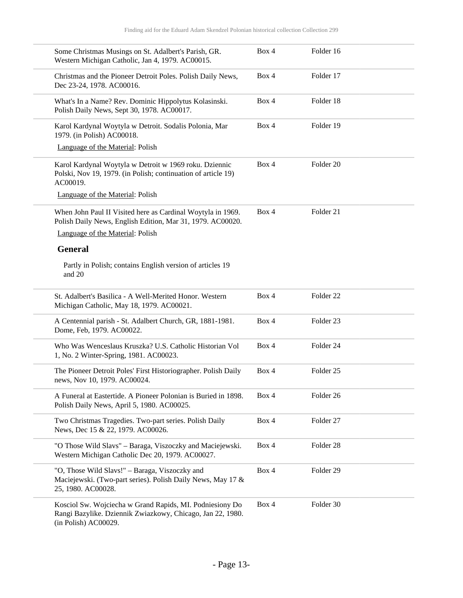| Some Christmas Musings on St. Adalbert's Parish, GR.<br>Western Michigan Catholic, Jan 4, 1979. AC00015.                                       | Box 4 | Folder 16            |  |
|------------------------------------------------------------------------------------------------------------------------------------------------|-------|----------------------|--|
| Christmas and the Pioneer Detroit Poles. Polish Daily News,<br>Dec 23-24, 1978. AC00016.                                                       | Box 4 | Folder 17            |  |
| What's In a Name? Rev. Dominic Hippolytus Kolasinski.<br>Polish Daily News, Sept 30, 1978. AC00017.                                            | Box 4 | Folder 18            |  |
| Karol Kardynal Woytyla w Detroit. Sodalis Polonia, Mar<br>1979. (in Polish) AC00018.                                                           | Box 4 | Folder 19            |  |
| Language of the Material: Polish                                                                                                               |       |                      |  |
| Karol Kardynal Woytyla w Detroit w 1969 roku. Dziennic<br>Polski, Nov 19, 1979. (in Polish; continuation of article 19)<br>AC00019.            | Box 4 | Folder <sub>20</sub> |  |
| Language of the Material: Polish                                                                                                               |       |                      |  |
| When John Paul II Visited here as Cardinal Woytyla in 1969.<br>Polish Daily News, English Edition, Mar 31, 1979. AC00020.                      | Box 4 | Folder 21            |  |
| Language of the Material: Polish                                                                                                               |       |                      |  |
| <b>General</b>                                                                                                                                 |       |                      |  |
| Partly in Polish; contains English version of articles 19<br>and 20                                                                            |       |                      |  |
| St. Adalbert's Basilica - A Well-Merited Honor. Western<br>Michigan Catholic, May 18, 1979. AC00021.                                           | Box 4 | Folder <sub>22</sub> |  |
| A Centennial parish - St. Adalbert Church, GR, 1881-1981.<br>Dome, Feb, 1979. AC00022.                                                         | Box 4 | Folder 23            |  |
| Who Was Wenceslaus Kruszka? U.S. Catholic Historian Vol<br>1, No. 2 Winter-Spring, 1981. AC00023.                                              | Box 4 | Folder 24            |  |
| The Pioneer Detroit Poles' First Historiographer. Polish Daily<br>news, Nov 10, 1979. AC00024.                                                 | Box 4 | Folder <sub>25</sub> |  |
| A Funeral at Eastertide. A Pioneer Polonian is Buried in 1898.<br>Polish Daily News, April 5, 1980. AC00025.                                   | Box 4 | Folder 26            |  |
| Two Christmas Tragedies. Two-part series. Polish Daily<br>News, Dec 15 & 22, 1979. AC00026.                                                    | Box 4 | Folder 27            |  |
| "O Those Wild Slavs" - Baraga, Viszoczky and Maciejewski.<br>Western Michigan Catholic Dec 20, 1979. AC00027.                                  | Box 4 | Folder <sub>28</sub> |  |
| "O, Those Wild Slavs!" - Baraga, Viszoczky and<br>Maciejewski. (Two-part series). Polish Daily News, May 17 &<br>25, 1980. AC00028.            | Box 4 | Folder 29            |  |
| Kosciol Sw. Wojciecha w Grand Rapids, MI. Podniesiony Do<br>Rangi Bazylike. Dziennik Zwiazkowy, Chicago, Jan 22, 1980.<br>(in Polish) AC00029. | Box 4 | Folder 30            |  |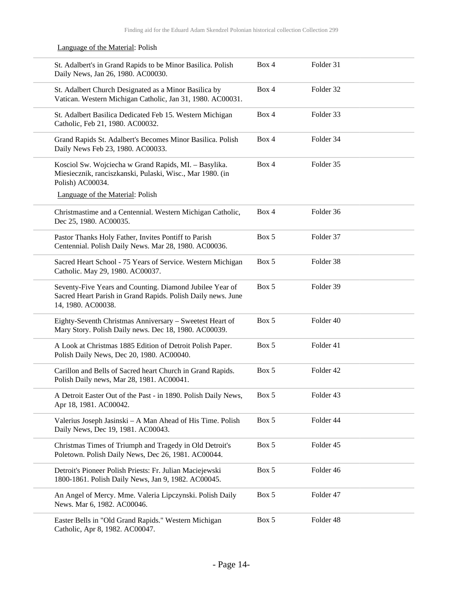Language of the Material: Polish

St. Adalbert's in Grand Rapids to be Minor Basilica. Polish Daily News, Jan 26, 1980. AC00030. Box 4 Folder 31 St. Adalbert Church Designated as a Minor Basilica by Vatican. Western Michigan Catholic, Jan 31, 1980. AC00031. Box 4 Folder 32 St. Adalbert Basilica Dedicated Feb 15. Western Michigan Catholic, Feb 21, 1980. AC00032. Box 4 Folder 33 Grand Rapids St. Adalbert's Becomes Minor Basilica. Polish Daily News Feb 23, 1980. AC00033. Box 4 Folder 34 Kosciol Sw. Wojciecha w Grand Rapids, MI. – Basylika. Miesiecznik, ranciszkanski, Pulaski, Wisc., Mar 1980. (in Polish) AC00034. Language of the Material: Polish Box 4 Folder 35 Christmastime and a Centennial. Western Michigan Catholic, Dec 25, 1980. AC00035. Box 4 Folder 36 Pastor Thanks Holy Father, Invites Pontiff to Parish Centennial. Polish Daily News. Mar 28, 1980. AC00036. Box 5 Folder 37 Sacred Heart School - 75 Years of Service. Western Michigan Catholic. May 29, 1980. AC00037. Box 5 Folder 38 Seventy-Five Years and Counting. Diamond Jubilee Year of Sacred Heart Parish in Grand Rapids. Polish Daily news. June 14, 1980. AC00038. Box 5 Folder 39 Eighty-Seventh Christmas Anniversary – Sweetest Heart of Mary Story. Polish Daily news. Dec 18, 1980. AC00039. Box 5 Folder 40 A Look at Christmas 1885 Edition of Detroit Polish Paper. Polish Daily News, Dec 20, 1980. AC00040. Box 5 Folder 41 Carillon and Bells of Sacred heart Church in Grand Rapids. Polish Daily news, Mar 28, 1981. AC00041. Box 5 Folder 42 A Detroit Easter Out of the Past - in 1890. Polish Daily News, Apr 18, 1981. AC00042. Box 5 Folder 43 Valerius Joseph Jasinski – A Man Ahead of His Time. Polish Daily News, Dec 19, 1981. AC00043. Box 5 Folder 44 Christmas Times of Triumph and Tragedy in Old Detroit's Poletown. Polish Daily News, Dec 26, 1981. AC00044. Box 5 Folder 45 Detroit's Pioneer Polish Priests: Fr. Julian Maciejewski 1800-1861. Polish Daily News, Jan 9, 1982. AC00045. Box 5 Folder 46 An Angel of Mercy. Mme. Valeria Lipczynski. Polish Daily News. Mar 6, 1982. AC00046. Box 5 Folder 47 Easter Bells in "Old Grand Rapids." Western Michigan Catholic, Apr 8, 1982. AC00047. Box 5 Folder 48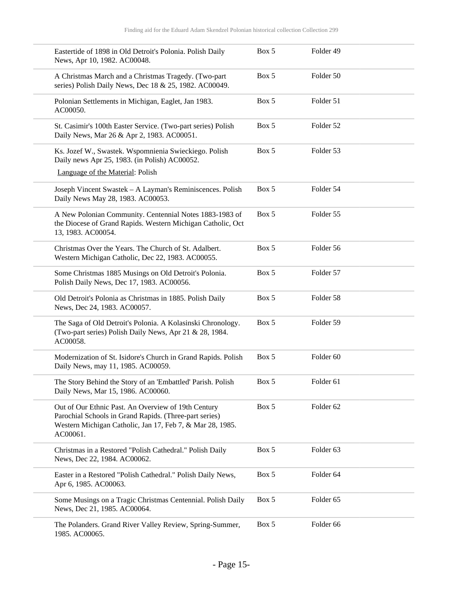| Eastertide of 1898 in Old Detroit's Polonia. Polish Daily<br>News, Apr 10, 1982. AC00048.                                                                                              | Box 5 | Folder 49            |  |
|----------------------------------------------------------------------------------------------------------------------------------------------------------------------------------------|-------|----------------------|--|
| A Christmas March and a Christmas Tragedy. (Two-part<br>series) Polish Daily News, Dec 18 & 25, 1982. AC00049.                                                                         | Box 5 | Folder 50            |  |
| Polonian Settlements in Michigan, Eaglet, Jan 1983.<br>AC00050.                                                                                                                        | Box 5 | Folder 51            |  |
| St. Casimir's 100th Easter Service. (Two-part series) Polish<br>Daily News, Mar 26 & Apr 2, 1983. AC00051.                                                                             | Box 5 | Folder 52            |  |
| Ks. Jozef W., Swastek. Wspomnienia Swieckiego. Polish<br>Daily news Apr 25, 1983. (in Polish) AC00052.                                                                                 | Box 5 | Folder 53            |  |
| Language of the Material: Polish                                                                                                                                                       |       |                      |  |
| Joseph Vincent Swastek - A Layman's Reminiscences. Polish<br>Daily News May 28, 1983. AC00053.                                                                                         | Box 5 | Folder 54            |  |
| A New Polonian Community. Centennial Notes 1883-1983 of<br>the Diocese of Grand Rapids. Western Michigan Catholic, Oct<br>13, 1983. AC00054.                                           | Box 5 | Folder 55            |  |
| Christmas Over the Years. The Church of St. Adalbert.<br>Western Michigan Catholic, Dec 22, 1983. AC00055.                                                                             | Box 5 | Folder 56            |  |
| Some Christmas 1885 Musings on Old Detroit's Polonia.<br>Polish Daily News, Dec 17, 1983. AC00056.                                                                                     | Box 5 | Folder 57            |  |
| Old Detroit's Polonia as Christmas in 1885. Polish Daily<br>News, Dec 24, 1983. AC00057.                                                                                               | Box 5 | Folder 58            |  |
| The Saga of Old Detroit's Polonia. A Kolasinski Chronology.<br>(Two-part series) Polish Daily News, Apr 21 & 28, 1984.<br>AC00058.                                                     | Box 5 | Folder 59            |  |
| Modernization of St. Isidore's Church in Grand Rapids. Polish<br>Daily News, may 11, 1985. AC00059.                                                                                    | Box 5 | Folder <sub>60</sub> |  |
| The Story Behind the Story of an 'Embattled' Parish. Polish<br>Daily News, Mar 15, 1986. AC00060.                                                                                      | Box 5 | Folder <sub>61</sub> |  |
| Out of Our Ethnic Past. An Overview of 19th Century<br>Parochial Schools in Grand Rapids. (Three-part series)<br>Western Michigan Catholic, Jan 17, Feb 7, & Mar 28, 1985.<br>AC00061. | Box 5 | Folder 62            |  |
| Christmas in a Restored "Polish Cathedral." Polish Daily<br>News, Dec 22, 1984. AC00062.                                                                                               | Box 5 | Folder <sub>63</sub> |  |
| Easter in a Restored "Polish Cathedral." Polish Daily News,<br>Apr 6, 1985. AC00063.                                                                                                   | Box 5 | Folder 64            |  |
| Some Musings on a Tragic Christmas Centennial. Polish Daily<br>News, Dec 21, 1985. AC00064.                                                                                            | Box 5 | Folder 65            |  |
| The Polanders. Grand River Valley Review, Spring-Summer,<br>1985. AC00065.                                                                                                             | Box 5 | Folder 66            |  |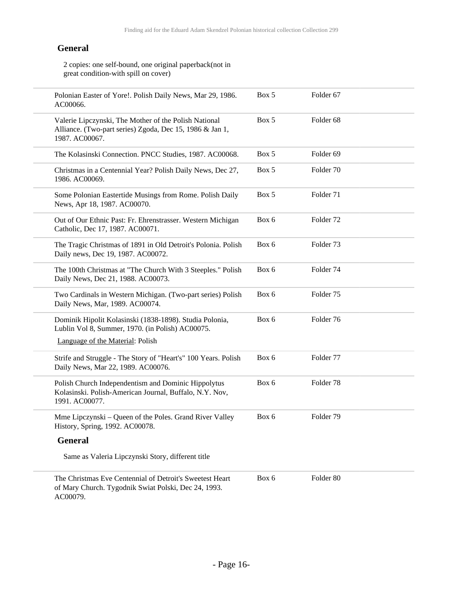2 copies: one self-bound, one original paperback(not in great condition-with spill on cover)

| Polonian Easter of Yore!. Polish Daily News, Mar 29, 1986.<br>AC00066.                                                              | Box 5 | Folder 67            |
|-------------------------------------------------------------------------------------------------------------------------------------|-------|----------------------|
| Valerie Lipczynski, The Mother of the Polish National<br>Alliance. (Two-part series) Zgoda, Dec 15, 1986 & Jan 1,<br>1987. AC00067. | Box 5 | Folder <sub>68</sub> |
| The Kolasinski Connection. PNCC Studies, 1987. AC00068.                                                                             | Box 5 | Folder <sub>69</sub> |
| Christmas in a Centennial Year? Polish Daily News, Dec 27,<br>1986. AC00069.                                                        | Box 5 | Folder 70            |
| Some Polonian Eastertide Musings from Rome. Polish Daily<br>News, Apr 18, 1987. AC00070.                                            | Box 5 | Folder 71            |
| Out of Our Ethnic Past: Fr. Ehrenstrasser. Western Michigan<br>Catholic, Dec 17, 1987. AC00071.                                     | Box 6 | Folder <sub>72</sub> |
| The Tragic Christmas of 1891 in Old Detroit's Polonia. Polish<br>Daily news, Dec 19, 1987. AC00072.                                 | Box 6 | Folder <sub>73</sub> |
| The 100th Christmas at "The Church With 3 Steeples." Polish<br>Daily News, Dec 21, 1988. AC00073.                                   | Box 6 | Folder 74            |
| Two Cardinals in Western Michigan. (Two-part series) Polish<br>Daily News, Mar, 1989. AC00074.                                      | Box 6 | Folder <sub>75</sub> |
| Dominik Hipolit Kolasinski (1838-1898). Studia Polonia,<br>Lublin Vol 8, Summer, 1970. (in Polish) AC00075.                         | Box 6 | Folder 76            |
| Language of the Material: Polish                                                                                                    |       |                      |
| Strife and Struggle - The Story of "Heart's" 100 Years. Polish<br>Daily News, Mar 22, 1989. AC00076.                                | Box 6 | Folder 77            |
| Polish Church Independentism and Dominic Hippolytus<br>Kolasinski. Polish-American Journal, Buffalo, N.Y. Nov,<br>1991. AC00077.    | Box 6 | Folder <sub>78</sub> |
| Mme Lipczynski – Queen of the Poles. Grand River Valley<br>History, Spring, 1992. AC00078.                                          | Box 6 | Folder 79            |
| <b>General</b>                                                                                                                      |       |                      |
| Same as Valeria Lipczynski Story, different title                                                                                   |       |                      |
| The Christmas Eve Centennial of Detroit's Sweetest Heart<br>of Mary Church. Tygodnik Swiat Polski, Dec 24, 1993.<br>AC00079.        | Box 6 | Folder 80            |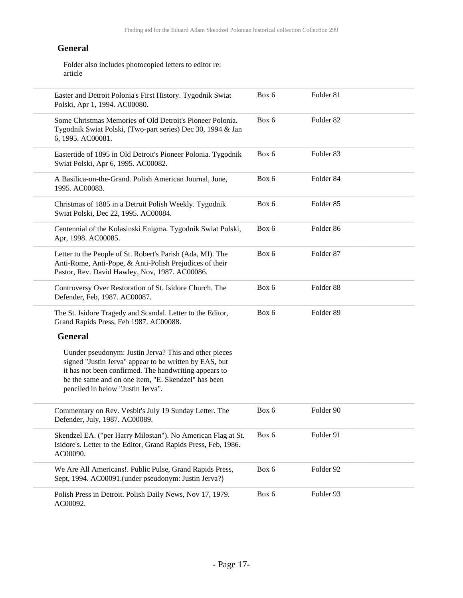Folder also includes photocopied letters to editor re: article

| Easter and Detroit Polonia's First History. Tygodnik Swiat<br>Polski, Apr 1, 1994. AC00080.                                                                                                                                                                          | Box 6 | Folder 81            |  |
|----------------------------------------------------------------------------------------------------------------------------------------------------------------------------------------------------------------------------------------------------------------------|-------|----------------------|--|
| Some Christmas Memories of Old Detroit's Pioneer Polonia.<br>Tygodnik Swiat Polski, (Two-part series) Dec 30, 1994 & Jan<br>6, 1995. AC00081.                                                                                                                        | Box 6 | Folder <sub>82</sub> |  |
| Eastertide of 1895 in Old Detroit's Pioneer Polonia. Tygodnik<br>Swiat Polski, Apr 6, 1995. AC00082.                                                                                                                                                                 | Box 6 | Folder 83            |  |
| A Basilica-on-the-Grand. Polish American Journal, June,<br>1995. AC00083.                                                                                                                                                                                            | Box 6 | Folder 84            |  |
| Christmas of 1885 in a Detroit Polish Weekly. Tygodnik<br>Swiat Polski, Dec 22, 1995. AC00084.                                                                                                                                                                       | Box 6 | Folder <sub>85</sub> |  |
| Centennial of the Kolasinski Enigma. Tygodnik Swiat Polski,<br>Apr, 1998. AC00085.                                                                                                                                                                                   | Box 6 | Folder 86            |  |
| Letter to the People of St. Robert's Parish (Ada, MI). The<br>Anti-Rome, Anti-Pope, & Anti-Polish Prejudices of their<br>Pastor, Rev. David Hawley, Nov, 1987. AC00086.                                                                                              | Box 6 | Folder <sub>87</sub> |  |
| Controversy Over Restoration of St. Isidore Church. The<br>Defender, Feb, 1987. AC00087.                                                                                                                                                                             | Box 6 | Folder 88            |  |
| The St. Isidore Tragedy and Scandal. Letter to the Editor,<br>Grand Rapids Press, Feb 1987. AC00088.                                                                                                                                                                 | Box 6 | Folder 89            |  |
| <b>General</b>                                                                                                                                                                                                                                                       |       |                      |  |
| Uunder pseudonym: Justin Jerva? This and other pieces<br>signed "Justin Jerva" appear to be written by EAS, but<br>it has not been confirmed. The handwriting appears to<br>be the same and on one item, "E. Skendzel" has been<br>penciled in below "Justin Jerva". |       |                      |  |
| Commentary on Rev. Vesbit's July 19 Sunday Letter. The<br>Defender, July, 1987. AC00089.                                                                                                                                                                             | Box 6 | Folder 90            |  |
| Skendzel EA. ("per Harry Milostan"). No American Flag at St.<br>Isidore's. Letter to the Editor, Grand Rapids Press, Feb, 1986.<br>AC00090.                                                                                                                          | Box 6 | Folder 91            |  |
| We Are All Americans!. Public Pulse, Grand Rapids Press,<br>Sept, 1994. AC00091.(under pseudonym: Justin Jerva?)                                                                                                                                                     | Box 6 | Folder 92            |  |
| Polish Press in Detroit. Polish Daily News, Nov 17, 1979.<br>AC00092.                                                                                                                                                                                                | Box 6 | Folder 93            |  |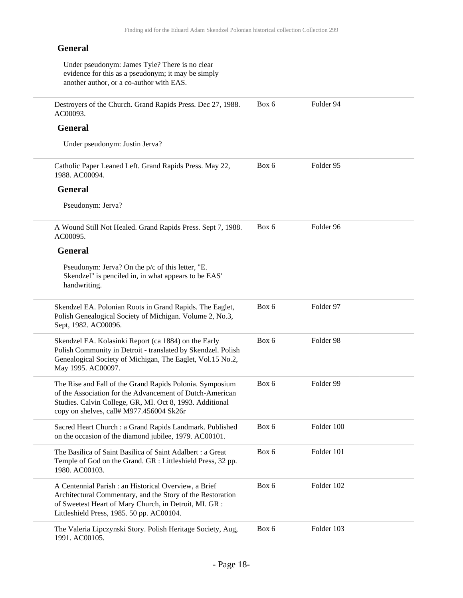Under pseudonym: James Tyle? There is no clear evidence for this as a pseudonym; it may be simply another author, or a co-author with EAS.

Destroyers of the Church. Grand Rapids Press. Dec 27, 1988. AC00093. Box 6 Folder 94

#### **General**

Under pseudonym: Justin Jerva?

| Catholic Paper Leaned Left. Grand Rapids Press. May 22, | Box 6 | Folder 95 |
|---------------------------------------------------------|-------|-----------|
| 1988. AC00094.                                          |       |           |

#### **General**

Pseudonym: Jerva?

A Wound Still Not Healed. Grand Rapids Press. Sept 7, 1988. AC00095. Box 6 Folder 96

#### **General**

Pseudonym: Jerva? On the p/c of this letter, "E. Skendzel" is penciled in, in what appears to be EAS' handwriting.

| Skendzel EA. Polonian Roots in Grand Rapids. The Eaglet,<br>Polish Genealogical Society of Michigan. Volume 2, No.3,<br>Sept, 1982. AC00096.                                                                                 | Box 6 | Folder 97  |
|------------------------------------------------------------------------------------------------------------------------------------------------------------------------------------------------------------------------------|-------|------------|
| Skendzel EA. Kolasinki Report (ca 1884) on the Early<br>Polish Community in Detroit - translated by Skendzel. Polish<br>Genealogical Society of Michigan, The Eaglet, Vol.15 No.2,<br>May 1995. AC00097.                     | Box 6 | Folder 98  |
| The Rise and Fall of the Grand Rapids Polonia. Symposium<br>of the Association for the Advancement of Dutch-American<br>Studies. Calvin College, GR, MI. Oct 8, 1993. Additional<br>copy on shelves, call# M977.456004 Sk26r | Box 6 | Folder 99  |
| Sacred Heart Church : a Grand Rapids Landmark. Published<br>on the occasion of the diamond jubilee, 1979. AC00101.                                                                                                           | Box 6 | Folder 100 |
| The Basilica of Saint Basilica of Saint Adalbert : a Great<br>Temple of God on the Grand. GR : Littleshield Press, 32 pp.<br>1980. AC00103.                                                                                  | Box 6 | Folder 101 |
| A Centennial Parish : an Historical Overview, a Brief<br>Architectural Commentary, and the Story of the Restoration<br>of Sweetest Heart of Mary Church, in Detroit, MI. GR :<br>Littleshield Press, 1985. 50 pp. AC00104.   | Box 6 | Folder 102 |

The Valeria Lipczynski Story. Polish Heritage Society, Aug, 1991. AC00105. Box 6 Folder 103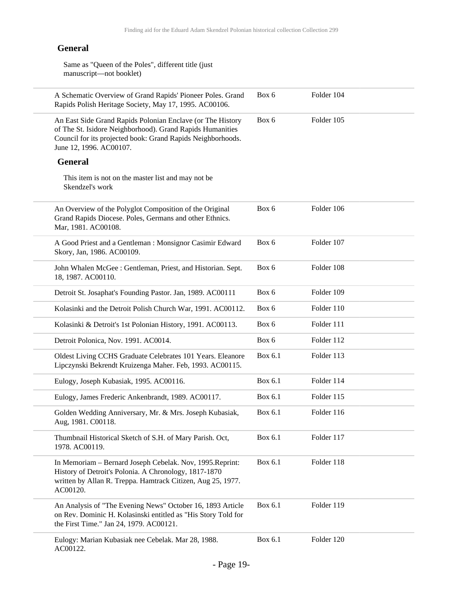Same as "Queen of the Poles", different title (just manuscript—not booklet)

| A Schematic Overview of Grand Rapids' Pioneer Poles. Grand<br>Rapids Polish Heritage Society, May 17, 1995. AC00106.                                                                                              | Box 6   | Folder 104 |
|-------------------------------------------------------------------------------------------------------------------------------------------------------------------------------------------------------------------|---------|------------|
| An East Side Grand Rapids Polonian Enclave (or The History<br>of The St. Isidore Neighborhood). Grand Rapids Humanities<br>Council for its projected book: Grand Rapids Neighborhoods.<br>June 12, 1996. AC00107. | Box 6   | Folder 105 |
| <b>General</b>                                                                                                                                                                                                    |         |            |
| This item is not on the master list and may not be<br>Skendzel's work                                                                                                                                             |         |            |
| An Overview of the Polyglot Composition of the Original<br>Grand Rapids Diocese. Poles, Germans and other Ethnics.<br>Mar, 1981. AC00108.                                                                         | Box 6   | Folder 106 |
| A Good Priest and a Gentleman : Monsignor Casimir Edward<br>Skory, Jan, 1986. AC00109.                                                                                                                            | Box 6   | Folder 107 |
| John Whalen McGee: Gentleman, Priest, and Historian. Sept.<br>18, 1987. AC00110.                                                                                                                                  | Box 6   | Folder 108 |
| Detroit St. Josaphat's Founding Pastor. Jan, 1989. AC00111                                                                                                                                                        | Box 6   | Folder 109 |
| Kolasinki and the Detroit Polish Church War, 1991. AC00112.                                                                                                                                                       | Box 6   | Folder 110 |
| Kolasinki & Detroit's 1st Polonian History, 1991. AC00113.                                                                                                                                                        | Box 6   | Folder 111 |
| Detroit Polonica, Nov. 1991. AC0014.                                                                                                                                                                              | Box 6   | Folder 112 |
| Oldest Living CCHS Graduate Celebrates 101 Years. Eleanore<br>Lipczynski Bekrendt Kruizenga Maher. Feb, 1993. AC00115.                                                                                            | Box 6.1 | Folder 113 |
| Eulogy, Joseph Kubasiak, 1995. AC00116.                                                                                                                                                                           | Box 6.1 | Folder 114 |
| Eulogy, James Frederic Ankenbrandt, 1989. AC00117.                                                                                                                                                                | Box 6.1 | Folder 115 |
| Golden Wedding Anniversary, Mr. & Mrs. Joseph Kubasiak,<br>Aug, 1981. C00118.                                                                                                                                     | Box 6.1 | Folder 116 |
| Thumbnail Historical Sketch of S.H. of Mary Parish. Oct,<br>1978. AC00119.                                                                                                                                        | Box 6.1 | Folder 117 |
| In Memoriam - Bernard Joseph Cebelak. Nov, 1995. Reprint:<br>History of Detroit's Polonia. A Chronology, 1817-1870<br>written by Allan R. Treppa. Hamtrack Citizen, Aug 25, 1977.<br>AC00120.                     | Box 6.1 | Folder 118 |
| An Analysis of "The Evening News" October 16, 1893 Article<br>on Rev. Dominic H. Kolasinski entitled as "His Story Told for<br>the First Time." Jan 24, 1979. AC00121.                                            | Box 6.1 | Folder 119 |
| Eulogy: Marian Kubasiak nee Cebelak. Mar 28, 1988.<br>AC00122.                                                                                                                                                    | Box 6.1 | Folder 120 |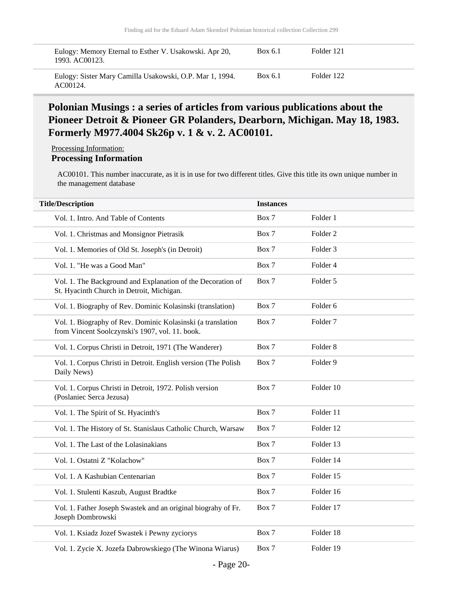| Eulogy: Memory Eternal to Esther V. Usakowski. Apr 20,               | Box 6.1 | Folder 121 |
|----------------------------------------------------------------------|---------|------------|
| 1993. AC00123.                                                       |         |            |
| Eulogy: Sister Mary Camilla Usakowski, O.P. Mar 1, 1994.<br>AC00124. | Box 6.1 | Folder 122 |

### **Polonian Musings : a series of articles from various publications about the Pioneer Detroit & Pioneer GR Polanders, Dearborn, Michigan. May 18, 1983. Formerly M977.4004 Sk26p v. 1 & v. 2. AC00101.**

Processing Information:

### **Processing Information**

AC00101. This number inaccurate, as it is in use for two different titles. Give this title its own unique number in the management database

| <b>Title/Description</b>                                                                                       | <b>Instances</b> |                     |
|----------------------------------------------------------------------------------------------------------------|------------------|---------------------|
| Vol. 1. Intro. And Table of Contents                                                                           | Box 7            | Folder 1            |
| Vol. 1. Christmas and Monsignor Pietrasik                                                                      | Box 7            | Folder <sub>2</sub> |
| Vol. 1. Memories of Old St. Joseph's (in Detroit)                                                              | Box 7            | Folder <sub>3</sub> |
| Vol. 1. "He was a Good Man"                                                                                    | Box 7            | Folder 4            |
| Vol. 1. The Background and Explanation of the Decoration of<br>St. Hyacinth Church in Detroit, Michigan.       | Box 7            | Folder 5            |
| Vol. 1. Biography of Rev. Dominic Kolasinski (translation)                                                     | Box 7            | Folder <sub>6</sub> |
| Vol. 1. Biography of Rev. Dominic Kolasinski (a translation<br>from Vincent Soolczynski's 1907, vol. 11. book. | Box 7            | Folder <sub>7</sub> |
| Vol. 1. Corpus Christi in Detroit, 1971 (The Wanderer)                                                         | Box 7            | Folder <sub>8</sub> |
| Vol. 1. Corpus Christi in Detroit. English version (The Polish<br>Daily News)                                  | Box 7            | Folder 9            |
| Vol. 1. Corpus Christi in Detroit, 1972. Polish version<br>(Poslaniec Serca Jezusa)                            | Box 7            | Folder 10           |
| Vol. 1. The Spirit of St. Hyacinth's                                                                           | Box 7            | Folder 11           |
| Vol. 1. The History of St. Stanislaus Catholic Church, Warsaw                                                  | Box 7            | Folder 12           |
| Vol. 1. The Last of the Lolasinakians                                                                          | Box 7            | Folder 13           |
| Vol. 1. Ostatni Z "Kolachow"                                                                                   | Box 7            | Folder 14           |
| Vol. 1. A Kashubian Centenarian                                                                                | Box 7            | Folder 15           |
| Vol. 1. Stulenti Kaszub, August Bradtke                                                                        | Box 7            | Folder 16           |
| Vol. 1. Father Joseph Swastek and an original biograhy of Fr.<br>Joseph Dombrowski                             | Box 7            | Folder 17           |
| Vol. 1. Ksiadz Jozef Swastek i Pewny zyciorys                                                                  | Box 7            | Folder 18           |
| Vol. 1. Zycie X. Jozefa Dabrowskiego (The Winona Wiarus)                                                       | Box 7            | Folder 19           |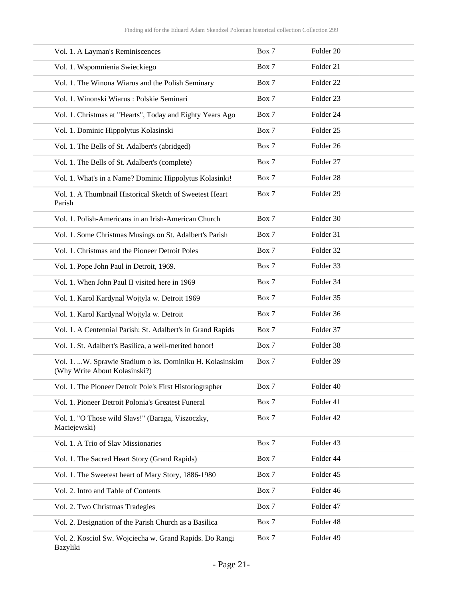| Vol. 1. A Layman's Reminiscences                                                          | Box 7 | Folder 20            |
|-------------------------------------------------------------------------------------------|-------|----------------------|
| Vol. 1. Wspomnienia Swieckiego                                                            | Box 7 | Folder 21            |
| Vol. 1. The Winona Wiarus and the Polish Seminary                                         | Box 7 | Folder <sub>22</sub> |
| Vol. 1. Winonski Wiarus: Polskie Seminari                                                 | Box 7 | Folder <sub>23</sub> |
| Vol. 1. Christmas at "Hearts", Today and Eighty Years Ago                                 | Box 7 | Folder 24            |
| Vol. 1. Dominic Hippolytus Kolasinski                                                     | Box 7 | Folder <sub>25</sub> |
| Vol. 1. The Bells of St. Adalbert's (abridged)                                            | Box 7 | Folder 26            |
| Vol. 1. The Bells of St. Adalbert's (complete)                                            | Box 7 | Folder 27            |
| Vol. 1. What's in a Name? Dominic Hippolytus Kolasinki!                                   | Box 7 | Folder 28            |
| Vol. 1. A Thumbnail Historical Sketch of Sweetest Heart<br>Parish                         | Box 7 | Folder <sub>29</sub> |
| Vol. 1. Polish-Americans in an Irish-American Church                                      | Box 7 | Folder 30            |
| Vol. 1. Some Christmas Musings on St. Adalbert's Parish                                   | Box 7 | Folder 31            |
| Vol. 1. Christmas and the Pioneer Detroit Poles                                           | Box 7 | Folder 32            |
| Vol. 1. Pope John Paul in Detroit, 1969.                                                  | Box 7 | Folder 33            |
| Vol. 1. When John Paul II visited here in 1969                                            | Box 7 | Folder 34            |
| Vol. 1. Karol Kardynal Wojtyla w. Detroit 1969                                            | Box 7 | Folder 35            |
| Vol. 1. Karol Kardynal Wojtyla w. Detroit                                                 | Box 7 | Folder 36            |
| Vol. 1. A Centennial Parish: St. Adalbert's in Grand Rapids                               | Box 7 | Folder 37            |
| Vol. 1. St. Adalbert's Basilica, a well-merited honor!                                    | Box 7 | Folder 38            |
| Vol. 1. W. Sprawie Stadium o ks. Dominiku H. Kolasinskim<br>(Why Write About Kolasinski?) | Box 7 | Folder 39            |
| Vol. 1. The Pioneer Detroit Pole's First Historiographer                                  | Box 7 | Folder 40            |
| Vol. 1. Pioneer Detroit Polonia's Greatest Funeral                                        | Box 7 | Folder 41            |
| Vol. 1. "O Those wild Slavs!" (Baraga, Viszoczky,<br>Maciejewski)                         | Box 7 | Folder 42            |
| Vol. 1. A Trio of Slav Missionaries                                                       | Box 7 | Folder 43            |
| Vol. 1. The Sacred Heart Story (Grand Rapids)                                             | Box 7 | Folder 44            |
| Vol. 1. The Sweetest heart of Mary Story, 1886-1980                                       | Box 7 | Folder 45            |
| Vol. 2. Intro and Table of Contents                                                       | Box 7 | Folder 46            |
| Vol. 2. Two Christmas Tradegies                                                           | Box 7 | Folder 47            |
| Vol. 2. Designation of the Parish Church as a Basilica                                    | Box 7 | Folder 48            |
| Vol. 2. Kosciol Sw. Wojciecha w. Grand Rapids. Do Rangi<br>Bazyliki                       | Box 7 | Folder 49            |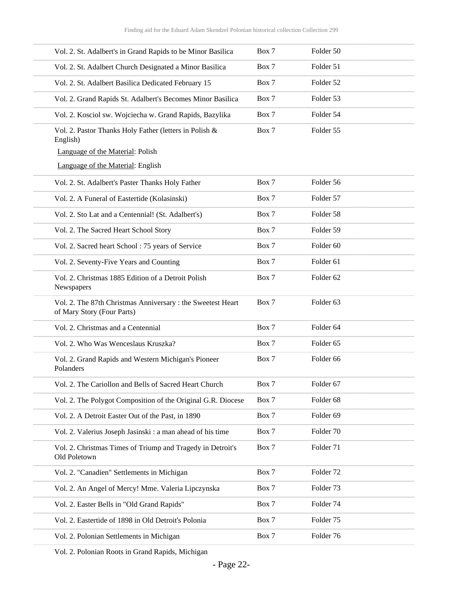| Vol. 2. St. Adalbert's in Grand Rapids to be Minor Basilica                              | Box 7 | Folder 50            |
|------------------------------------------------------------------------------------------|-------|----------------------|
| Vol. 2. St. Adalbert Church Designated a Minor Basilica                                  | Box 7 | Folder 51            |
| Vol. 2. St. Adalbert Basilica Dedicated February 15                                      | Box 7 | Folder 52            |
| Vol. 2. Grand Rapids St. Adalbert's Becomes Minor Basilica                               | Box 7 | Folder 53            |
| Vol. 2. Kosciol sw. Wojciecha w. Grand Rapids, Bazylika                                  | Box 7 | Folder 54            |
| Vol. 2. Pastor Thanks Holy Father (letters in Polish &<br>English)                       | Box 7 | Folder 55            |
| Language of the Material: Polish                                                         |       |                      |
| Language of the Material: English                                                        |       |                      |
| Vol. 2. St. Adalbert's Paster Thanks Holy Father                                         | Box 7 | Folder 56            |
| Vol. 2. A Funeral of Eastertide (Kolasinski)                                             | Box 7 | Folder 57            |
| Vol. 2. Sto Lat and a Centennial! (St. Adalbert's)                                       | Box 7 | Folder 58            |
| Vol. 2. The Sacred Heart School Story                                                    | Box 7 | Folder 59            |
| Vol. 2. Sacred heart School: 75 years of Service                                         | Box 7 | Folder <sub>60</sub> |
| Vol. 2. Seventy-Five Years and Counting                                                  | Box 7 | Folder <sub>61</sub> |
| Vol. 2. Christmas 1885 Edition of a Detroit Polish<br>Newspapers                         | Box 7 | Folder 62            |
| Vol. 2. The 87th Christmas Anniversary: the Sweetest Heart<br>of Mary Story (Four Parts) | Box 7 | Folder 63            |
| Vol. 2. Christmas and a Centennial                                                       | Box 7 | Folder <sub>64</sub> |
| Vol. 2. Who Was Wenceslaus Kruszka?                                                      | Box 7 | Folder 65            |
| Vol. 2. Grand Rapids and Western Michigan's Pioneer<br>Polanders                         | Box 7 | Folder 66            |
| Vol. 2. The Cariollon and Bells of Sacred Heart Church                                   | Box 7 | Folder 67            |
| Vol. 2. The Polygot Composition of the Original G.R. Diocese                             | Box 7 | Folder 68            |
| Vol. 2. A Detroit Easter Out of the Past, in 1890                                        | Box 7 | Folder 69            |
| Vol. 2. Valerius Joseph Jasinski: a man ahead of his time                                | Box 7 | Folder 70            |
| Vol. 2. Christmas Times of Triump and Tragedy in Detroit's<br>Old Poletown               | Box 7 | Folder 71            |
| Vol. 2. "Canadien" Settlements in Michigan                                               | Box 7 | Folder <sub>72</sub> |
| Vol. 2. An Angel of Mercy! Mme. Valeria Lipczynska                                       | Box 7 | Folder 73            |
| Vol. 2. Easter Bells in "Old Grand Rapids"                                               | Box 7 | Folder 74            |
| Vol. 2. Eastertide of 1898 in Old Detroit's Polonia                                      | Box 7 | Folder 75            |
| Vol. 2. Polonian Settlements in Michigan                                                 | Box 7 | Folder 76            |
|                                                                                          |       |                      |

Vol. 2. Polonian Roots in Grand Rapids, Michigan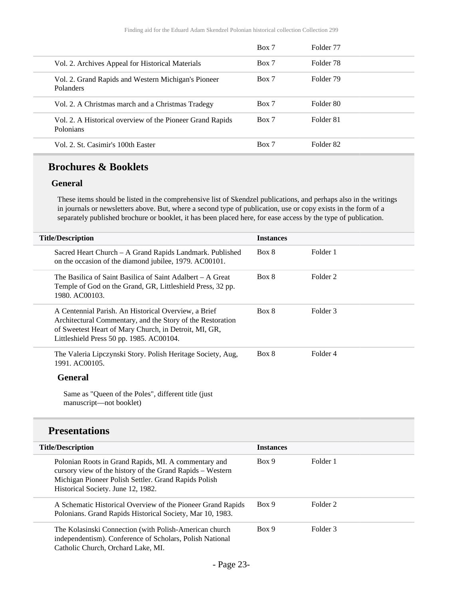|                                                                        | Box 7 | Folder 77 |  |
|------------------------------------------------------------------------|-------|-----------|--|
| Vol. 2. Archives Appeal for Historical Materials                       | Box 7 | Folder 78 |  |
| Vol. 2. Grand Rapids and Western Michigan's Pioneer<br>Polanders       | Box 7 | Folder 79 |  |
| Vol. 2. A Christmas march and a Christmas Tradegy                      | Box 7 | Folder 80 |  |
| Vol. 2. A Historical overview of the Pioneer Grand Rapids<br>Polonians | Box 7 | Folder 81 |  |
| Vol. 2. St. Casimir's 100th Easter                                     | Box 7 | Folder 82 |  |

### **Brochures & Booklets**

#### **General**

These items should be listed in the comprehensive list of Skendzel publications, and perhaps also in the writings in journals or newsletters above. But, where a second type of publication, use or copy exists in the form of a separately published brochure or booklet, it has been placed here, for ease access by the type of publication.

| <b>Title/Description</b>                                                                                                                                                                                                | <b>Instances</b> |          |
|-------------------------------------------------------------------------------------------------------------------------------------------------------------------------------------------------------------------------|------------------|----------|
| Sacred Heart Church – A Grand Rapids Landmark. Published<br>on the occasion of the diamond jubilee, 1979. AC00101.                                                                                                      | Box 8            | Folder 1 |
| The Basilica of Saint Basilica of Saint Adalbert – A Great<br>Temple of God on the Grand, GR, Littleshield Press, 32 pp.<br>1980. AC00103.                                                                              | Box 8            | Folder 2 |
| A Centennial Parish. An Historical Overview, a Brief<br>Architectural Commentary, and the Story of the Restoration<br>of Sweetest Heart of Mary Church, in Detroit, MI, GR,<br>Littleshield Press 50 pp. 1985. AC00104. | Box 8            | Folder 3 |
| The Valeria Lipczynski Story. Polish Heritage Society, Aug,<br>1991. AC00105.                                                                                                                                           | Box 8            | Folder 4 |
| <b>General</b>                                                                                                                                                                                                          |                  |          |
| Same as "Queen of the Poles", different title (just)<br>manuscript—not booklet)                                                                                                                                         |                  |          |
|                                                                                                                                                                                                                         |                  |          |

## **Presentations**

| <b>Title/Description</b>                                                                                                                                                                                        | <b>Instances</b> |          |
|-----------------------------------------------------------------------------------------------------------------------------------------------------------------------------------------------------------------|------------------|----------|
| Polonian Roots in Grand Rapids, MI. A commentary and<br>cursory view of the history of the Grand Rapids - Western<br>Michigan Pioneer Polish Settler. Grand Rapids Polish<br>Historical Society. June 12, 1982. | Box 9            | Folder 1 |
| A Schematic Historical Overview of the Pioneer Grand Rapids<br>Polonians. Grand Rapids Historical Society, Mar 10, 1983.                                                                                        | Box 9            | Folder 2 |
| The Kolasinski Connection (with Polish-American church<br>independentism). Conference of Scholars, Polish National<br>Catholic Church, Orchard Lake, MI.                                                        | Box 9            | Folder 3 |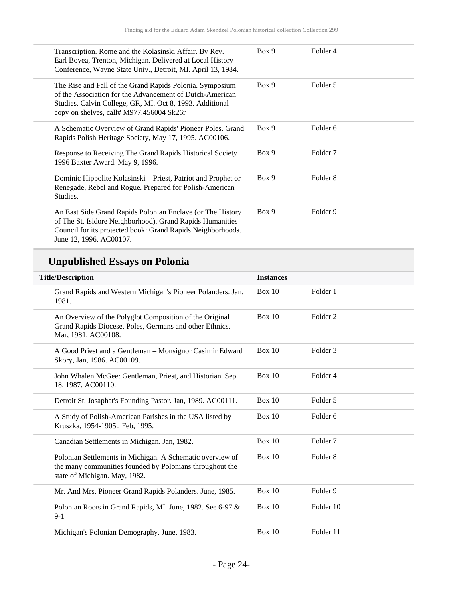| Transcription. Rome and the Kolasinski Affair. By Rev.<br>Earl Boyea, Trenton, Michigan. Delivered at Local History<br>Conference, Wayne State Univ., Detroit, MI. April 13, 1984.                                           | Box 9 | Folder 4            |
|------------------------------------------------------------------------------------------------------------------------------------------------------------------------------------------------------------------------------|-------|---------------------|
| The Rise and Fall of the Grand Rapids Polonia. Symposium<br>of the Association for the Advancement of Dutch-American<br>Studies. Calvin College, GR, MI. Oct 8, 1993. Additional<br>copy on shelves, call# M977.456004 Sk26r | Box 9 | Folder 5            |
| A Schematic Overview of Grand Rapids' Pioneer Poles. Grand<br>Rapids Polish Heritage Society, May 17, 1995. AC00106.                                                                                                         | Box 9 | Folder 6            |
| Response to Receiving The Grand Rapids Historical Society<br>1996 Baxter Award. May 9, 1996.                                                                                                                                 | Box 9 | Folder <sub>7</sub> |
| Dominic Hippolite Kolasinski - Priest, Patriot and Prophet or<br>Renegade, Rebel and Rogue. Prepared for Polish-American<br>Studies.                                                                                         | Box 9 | Folder 8            |
| An East Side Grand Rapids Polonian Enclave (or The History<br>of The St. Isidore Neighborhood). Grand Rapids Humanities<br>Council for its projected book: Grand Rapids Neighborhoods.<br>June 12, 1996. AC00107.            | Box 9 | Folder 9            |

# **Unpublished Essays on Polonia**

| <b>Title/Description</b>                                                                                                                               | <b>Instances</b> |                     |
|--------------------------------------------------------------------------------------------------------------------------------------------------------|------------------|---------------------|
| Grand Rapids and Western Michigan's Pioneer Polanders. Jan,<br>1981.                                                                                   | Box 10           | Folder 1            |
| An Overview of the Polyglot Composition of the Original<br>Grand Rapids Diocese. Poles, Germans and other Ethnics.<br>Mar, 1981. AC00108.              | Box 10           | Folder <sub>2</sub> |
| A Good Priest and a Gentleman - Monsignor Casimir Edward<br>Skory, Jan, 1986. AC00109.                                                                 | Box 10           | Folder <sub>3</sub> |
| John Whalen McGee: Gentleman, Priest, and Historian. Sep<br>18, 1987. AC00110.                                                                         | Box 10           | Folder 4            |
| Detroit St. Josaphat's Founding Pastor. Jan, 1989. AC00111.                                                                                            | Box 10           | Folder 5            |
| A Study of Polish-American Parishes in the USA listed by<br>Kruszka, 1954-1905., Feb, 1995.                                                            | Box 10           | Folder <sub>6</sub> |
| Canadian Settlements in Michigan. Jan, 1982.                                                                                                           | Box 10           | Folder <sub>7</sub> |
| Polonian Settlements in Michigan. A Schematic overview of<br>the many communities founded by Polonians throughout the<br>state of Michigan. May, 1982. | Box 10           | Folder <sub>8</sub> |
| Mr. And Mrs. Pioneer Grand Rapids Polanders. June, 1985.                                                                                               | Box 10           | Folder 9            |
| Polonian Roots in Grand Rapids, MI. June, 1982. See 6-97 &<br>$9-1$                                                                                    | Box 10           | Folder 10           |
| Michigan's Polonian Demography. June, 1983.                                                                                                            | Box 10           | Folder 11           |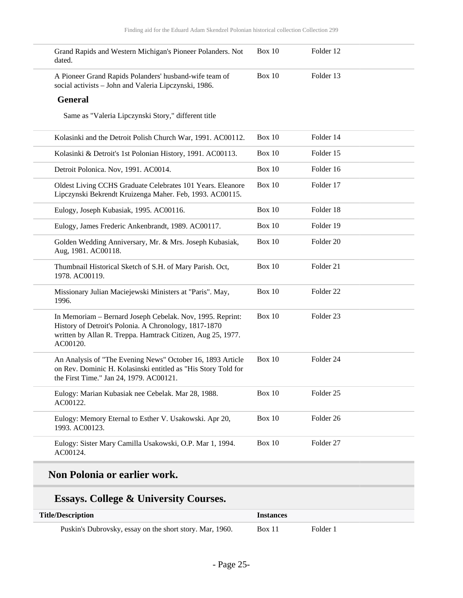| Grand Rapids and Western Michigan's Pioneer Polanders. Not<br>dated.                                                                                                                          | Box $10$      | Folder 12            |  |
|-----------------------------------------------------------------------------------------------------------------------------------------------------------------------------------------------|---------------|----------------------|--|
| A Pioneer Grand Rapids Polanders' husband-wife team of<br>social activists - John and Valeria Lipczynski, 1986.                                                                               | Box $10$      | Folder 13            |  |
| <b>General</b>                                                                                                                                                                                |               |                      |  |
| Same as "Valeria Lipczynski Story," different title                                                                                                                                           |               |                      |  |
| Kolasinki and the Detroit Polish Church War, 1991. AC00112.                                                                                                                                   | Box $10$      | Folder 14            |  |
| Kolasinki & Detroit's 1st Polonian History, 1991. AC00113.                                                                                                                                    | Box $10$      | Folder 15            |  |
| Detroit Polonica. Nov, 1991. AC0014.                                                                                                                                                          | <b>Box 10</b> | Folder 16            |  |
| Oldest Living CCHS Graduate Celebrates 101 Years. Eleanore<br>Lipczynski Bekrendt Kruizenga Maher. Feb, 1993. AC00115.                                                                        | Box 10        | Folder 17            |  |
| Eulogy, Joseph Kubasiak, 1995. AC00116.                                                                                                                                                       | <b>Box 10</b> | Folder 18            |  |
| Eulogy, James Frederic Ankenbrandt, 1989. AC00117.                                                                                                                                            | Box $10$      | Folder 19            |  |
| Golden Wedding Anniversary, Mr. & Mrs. Joseph Kubasiak,<br>Aug, 1981. AC00118.                                                                                                                | <b>Box 10</b> | Folder 20            |  |
| Thumbnail Historical Sketch of S.H. of Mary Parish. Oct,<br>1978. AC00119.                                                                                                                    | <b>Box 10</b> | Folder 21            |  |
| Missionary Julian Maciejewski Ministers at "Paris". May,<br>1996.                                                                                                                             | <b>Box 10</b> | Folder <sub>22</sub> |  |
| In Memoriam - Bernard Joseph Cebelak. Nov, 1995. Reprint:<br>History of Detroit's Polonia. A Chronology, 1817-1870<br>written by Allan R. Treppa. Hamtrack Citizen, Aug 25, 1977.<br>AC00120. | Box 10        | Folder <sub>23</sub> |  |
| An Analysis of "The Evening News" October 16, 1893 Article<br>on Rev. Dominic H. Kolasinski entitled as "His Story Told for<br>the First Time." Jan 24, 1979. AC00121.                        | Box 10        | Folder 24            |  |
| Eulogy: Marian Kubasiak nee Cebelak. Mar 28, 1988.<br>AC00122.                                                                                                                                | <b>Box 10</b> | Folder 25            |  |
| Eulogy: Memory Eternal to Esther V. Usakowski. Apr 20,<br>1993. AC00123.                                                                                                                      | <b>Box 10</b> | Folder 26            |  |
| Eulogy: Sister Mary Camilla Usakowski, O.P. Mar 1, 1994.                                                                                                                                      | Box $10$      | Folder 27            |  |

# **Non Polonia or earlier work.**

# **Essays. College & University Courses.**

| <b>Title/Description</b>                                 | <b>Instances</b> |          |
|----------------------------------------------------------|------------------|----------|
| Puskin's Dubrovsky, essay on the short story. Mar, 1960. | Box 11           | Folder 1 |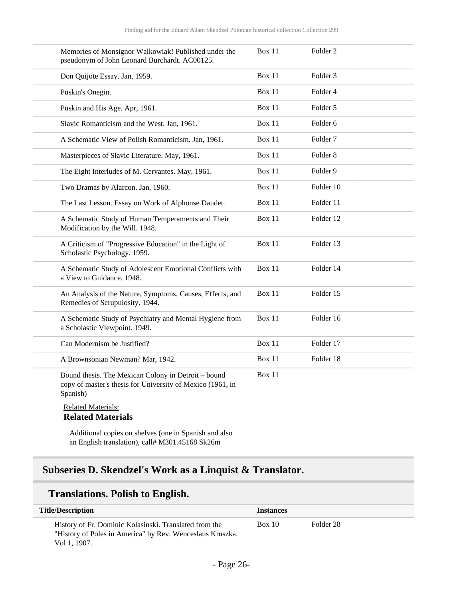| Memories of Monsignor Walkowiak! Published under the<br>pseudonym of John Leonard Burchardt. AC00125.                         | Box 11        | Folder 2            |
|-------------------------------------------------------------------------------------------------------------------------------|---------------|---------------------|
| Don Quijote Essay. Jan, 1959.                                                                                                 | Box 11        | Folder <sub>3</sub> |
| Puskin's Onegin.                                                                                                              | Box 11        | Folder 4            |
| Puskin and His Age. Apr, 1961.                                                                                                | <b>Box 11</b> | Folder 5            |
| Slavic Romanticism and the West. Jan, 1961.                                                                                   | <b>Box 11</b> | Folder 6            |
| A Schematic View of Polish Romanticism. Jan, 1961.                                                                            | <b>Box 11</b> | Folder <sub>7</sub> |
| Masterpieces of Slavic Literature. May, 1961.                                                                                 | Box 11        | Folder <sub>8</sub> |
| The Eight Interludes of M. Cervantes. May, 1961.                                                                              | Box 11        | Folder 9            |
| Two Dramas by Alarcon. Jan, 1960.                                                                                             | <b>Box 11</b> | Folder 10           |
| The Last Lesson. Essay on Work of Alphonse Daudet.                                                                            | Box 11        | Folder 11           |
| A Schematic Study of Human Temperaments and Their<br>Modification by the Will. 1948.                                          | Box 11        | Folder 12           |
| A Criticism of "Progressive Education" in the Light of<br>Scholastic Psychology. 1959.                                        | Box 11        | Folder 13           |
| A Schematic Study of Adolescent Emotional Conflicts with<br>a View to Guidance. 1948.                                         | Box 11        | Folder 14           |
| An Analysis of the Nature, Symptoms, Causes, Effects, and<br>Remedies of Scrupulosity. 1944.                                  | Box 11        | Folder 15           |
| A Schematic Study of Psychiatry and Mental Hygiene from<br>a Scholastic Viewpoint. 1949.                                      | Box 11        | Folder 16           |
| Can Modernism be Justified?                                                                                                   | <b>Box 11</b> | Folder 17           |
| A Brownsonian Newman? Mar, 1942.                                                                                              | Box 11        | Folder 18           |
| Bound thesis. The Mexican Colony in Detroit - bound<br>copy of master's thesis for University of Mexico (1961, in<br>Spanish) | Box 11        |                     |
| <b>Related Materials:</b><br><b>Related Materials</b>                                                                         |               |                     |

Additional copies on shelves (one in Spanish and also an English translation), call# M301.45168 Sk26m

# <span id="page-25-0"></span>**Subseries D. Skendzel's Work as a Linquist & Translator.**

### **Translations. Polish to English.**

| <b>Title/Description</b>                                                                                                            | <i><u><b>Instances</b></u></i> |           |
|-------------------------------------------------------------------------------------------------------------------------------------|--------------------------------|-----------|
| History of Fr. Dominic Kolasinski. Translated from the<br>"History of Poles in America" by Rev. Wenceslaus Kruszka.<br>Vol 1, 1907. | Box 10                         | Folder 28 |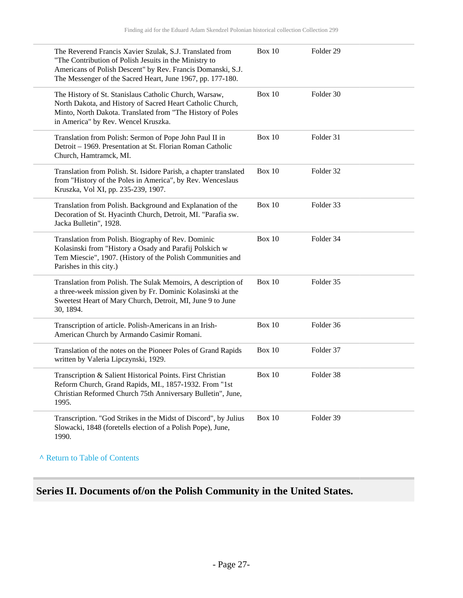| The Reverend Francis Xavier Szulak, S.J. Translated from<br>"The Contribution of Polish Jesuits in the Ministry to<br>Americans of Polish Descent" by Rev. Francis Domanski, S.J.<br>The Messenger of the Sacred Heart, June 1967, pp. 177-180. | Box 10        | Folder <sub>29</sub> |
|-------------------------------------------------------------------------------------------------------------------------------------------------------------------------------------------------------------------------------------------------|---------------|----------------------|
| The History of St. Stanislaus Catholic Church, Warsaw,<br>North Dakota, and History of Sacred Heart Catholic Church,<br>Minto, North Dakota. Translated from "The History of Poles<br>in America" by Rev. Wencel Kruszka.                       | Box 10        | Folder 30            |
| Translation from Polish: Sermon of Pope John Paul II in<br>Detroit - 1969. Presentation at St. Florian Roman Catholic<br>Church, Hamtramck, MI.                                                                                                 | <b>Box 10</b> | Folder 31            |
| Translation from Polish. St. Isidore Parish, a chapter translated<br>from "History of the Poles in America", by Rev. Wenceslaus<br>Kruszka, Vol XI, pp. 235-239, 1907.                                                                          | Box 10        | Folder 32            |
| Translation from Polish. Background and Explanation of the<br>Decoration of St. Hyacinth Church, Detroit, MI. "Parafia sw.<br>Jacka Bulletin", 1928.                                                                                            | Box $10$      | Folder 33            |
| Translation from Polish. Biography of Rev. Dominic<br>Kolasinski from "History a Osady and Parafij Polskich w<br>Tem Miescie", 1907. (History of the Polish Communities and<br>Parishes in this city.)                                          | Box 10        | Folder 34            |
| Translation from Polish. The Sulak Memoirs, A description of<br>a three-week mission given by Fr. Dominic Kolasinski at the<br>Sweetest Heart of Mary Church, Detroit, MI, June 9 to June<br>30, 1894.                                          | <b>Box 10</b> | Folder 35            |
| Transcription of article. Polish-Americans in an Irish-<br>American Church by Armando Casimir Romani.                                                                                                                                           | Box 10        | Folder 36            |
| Translation of the notes on the Pioneer Poles of Grand Rapids<br>written by Valeria Lipczynski, 1929.                                                                                                                                           | Box 10        | Folder 37            |
| Transcription & Salient Historical Points. First Christian<br>Reform Church, Grand Rapids, MI., 1857-1932. From "1st<br>Christian Reformed Church 75th Anniversary Bulletin", June,<br>1995.                                                    | <b>Box 10</b> | Folder 38            |
| Transcription. "God Strikes in the Midst of Discord", by Julius<br>Slowacki, 1848 (foretells election of a Polish Pope), June,<br>1990.                                                                                                         | <b>Box 10</b> | Folder 39            |

**^** [Return to Table of Contents](#page-1-0)

# <span id="page-26-0"></span>**Series II. Documents of/on the Polish Community in the United States.**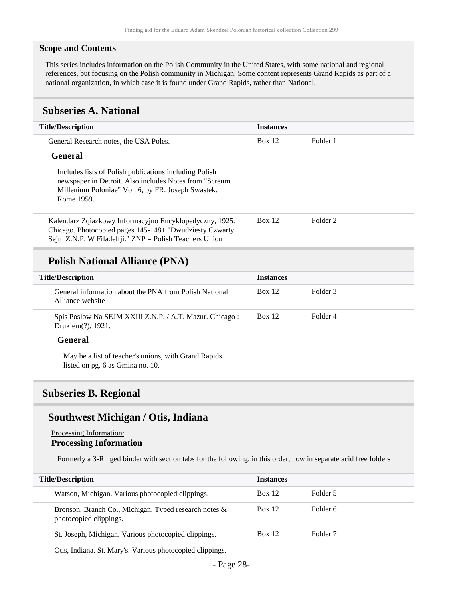#### **Scope and Contents**

This series includes information on the Polish Community in the United States, with some national and regional references, but focusing on the Polish community in Michigan. Some content represents Grand Rapids as part of a national organization, in which case it is found under Grand Rapids, rather than National.

#### <span id="page-27-0"></span>**Subseries A. National**

| <b>Title/Description</b>                                                                                                                                                              | <b>Instances</b> |                     |
|---------------------------------------------------------------------------------------------------------------------------------------------------------------------------------------|------------------|---------------------|
| General Research notes, the USA Poles.                                                                                                                                                | <b>Box 12</b>    | Folder 1            |
| <b>General</b>                                                                                                                                                                        |                  |                     |
| Includes lists of Polish publications including Polish<br>newspaper in Detroit. Also includes Notes from "Screum"<br>Millenium Poloniae" Vol. 6, by FR. Joseph Swastek.<br>Rome 1959. |                  |                     |
| Kalendarz Zqiazkowy Informacyjno Encyklopedyczny, 1925.<br>Chicago. Photocopied pages 145-148+ "Dwudziesty Czwarty"<br>Sejm Z.N.P. W Filadelfji." $ZNP =$ Polish Teachers Union       | <b>Box 12</b>    | Folder <sub>2</sub> |
|                                                                                                                                                                                       |                  |                     |

### **Polish National Alliance (PNA)**

| <b>Title/Description</b>                                                                 | <b>Instances</b> |          |
|------------------------------------------------------------------------------------------|------------------|----------|
| General information about the PNA from Polish National<br>Alliance website               | <b>Box 12</b>    | Folder 3 |
| Spis Poslow Na SEJM XXIII Z.N.P. / A.T. Mazur. Chicago:<br>Drukiem(?), 1921.             | Box 12           | Folder 4 |
| <b>General</b>                                                                           |                  |          |
| May be a list of teacher's unions, with Grand Rapids<br>listed on pg. 6 as Gmina no. 10. |                  |          |

### <span id="page-27-1"></span>**Subseries B. Regional**

### **Southwest Michigan / Otis, Indiana**

#### Processing Information: **Processing Information**

Formerly a 3-Ringed binder with section tabs for the following, in this order, now in separate acid free folders

| <b>Title/Description</b>                                                        | <b>Instances</b> |                     |
|---------------------------------------------------------------------------------|------------------|---------------------|
| Watson, Michigan. Various photocopied clippings.                                | <b>Box 12</b>    | Folder 5            |
| Bronson, Branch Co., Michigan. Typed research notes &<br>photocopied clippings. | <b>Box 12</b>    | Folder 6            |
| St. Joseph, Michigan. Various photocopied clippings.                            | Box 12           | Folder <sub>7</sub> |

Otis, Indiana. St. Mary's. Various photocopied clippings.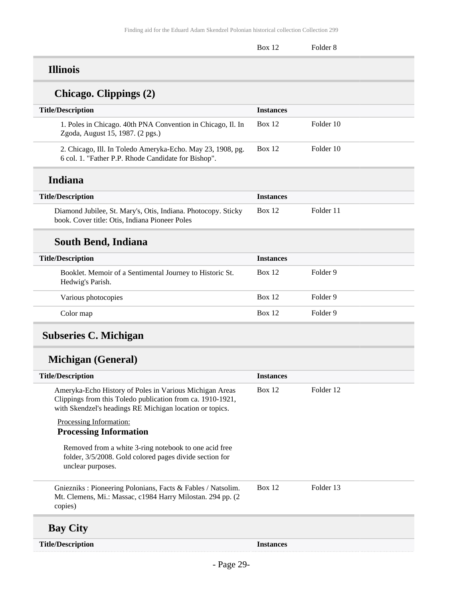|           | Row 1 | $_{\rm F\alpha 1dor}$ |
|-----------|-------|-----------------------|
| $- - - -$ |       |                       |

### **Illinois**

# **Chicago. Clippings (2)**

| <b>Title/Description</b>                                    | <b>Instances</b> |
|-------------------------------------------------------------|------------------|
| 1. Poles in Chicago. 40th PNA Convention in Chicago, Il. In | Folder 10        |
| Zgoda, August 15, 1987. (2 pgs.)                            | <b>Box 12</b>    |
| 2. Chicago, Ill. In Toledo Ameryka-Echo. May 23, 1908, pg.  | <b>Box 12</b>    |
| 6 col. 1. "Father P.P. Rhode Candidate for Bishop".         | Folder 10        |

### **Indiana**

| <b>Title/Description</b>                                                                                        | <b>Instances</b> |           |
|-----------------------------------------------------------------------------------------------------------------|------------------|-----------|
| Diamond Jubilee, St. Mary's, Otis, Indiana. Photocopy. Sticky<br>book. Cover title: Otis, Indiana Pioneer Poles | <b>Box</b> 12    | Folder 11 |

# **South Bend, Indiana**

| <b>Title/Description</b>                                                     | <b>Instances</b> |          |
|------------------------------------------------------------------------------|------------------|----------|
| Booklet. Memoir of a Sentimental Journey to Historic St.<br>Hedwig's Parish. | <b>Box 12</b>    | Folder 9 |
| Various photocopies                                                          | Box 12           | Folder 9 |
| Color map                                                                    | <b>Box 12</b>    | Folder 9 |

# <span id="page-28-0"></span>**Subseries C. Michigan**

# **Michigan (General)**

| <b>Title/Description</b>                                                                                                                                                          | <b>Instances</b> |           |
|-----------------------------------------------------------------------------------------------------------------------------------------------------------------------------------|------------------|-----------|
| Ameryka-Echo History of Poles in Various Michigan Areas<br>Clippings from this Toledo publication from ca. 1910-1921,<br>with Skendzel's headings RE Michigan location or topics. | Box 12           | Folder 12 |
| Processing Information:                                                                                                                                                           |                  |           |
| <b>Processing Information</b>                                                                                                                                                     |                  |           |
| Removed from a white 3-ring notebook to one acid free<br>folder, 3/5/2008. Gold colored pages divide section for<br>unclear purposes.                                             |                  |           |
| Gniezniks: Pioneering Polonians, Facts & Fables / Natsolim.<br>Mt. Clemens, Mi.: Massac, c1984 Harry Milostan. 294 pp. (2)<br>copies)                                             | Box 12           | Folder 13 |
| <b>Bay City</b>                                                                                                                                                                   |                  |           |
| <b>Title/Description</b>                                                                                                                                                          | <b>Instances</b> |           |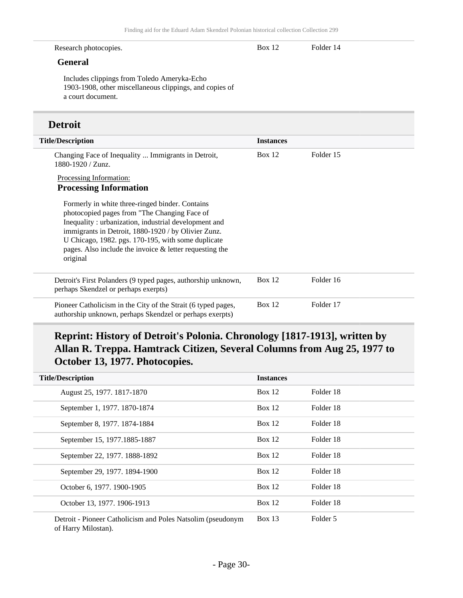| Research photocopies.                                                                                                                                                                                                                                                                                                                          | <b>Box 12</b>    | Folder 14 |
|------------------------------------------------------------------------------------------------------------------------------------------------------------------------------------------------------------------------------------------------------------------------------------------------------------------------------------------------|------------------|-----------|
| <b>General</b>                                                                                                                                                                                                                                                                                                                                 |                  |           |
| Includes clippings from Toledo Ameryka-Echo<br>1903-1908, other miscellaneous clippings, and copies of<br>a court document.                                                                                                                                                                                                                    |                  |           |
| <b>Detroit</b>                                                                                                                                                                                                                                                                                                                                 |                  |           |
| <b>Title/Description</b>                                                                                                                                                                                                                                                                                                                       | <b>Instances</b> |           |
| Changing Face of Inequality  Immigrants in Detroit,<br>1880-1920 / Zunz.                                                                                                                                                                                                                                                                       | <b>Box 12</b>    | Folder 15 |
| Processing Information:<br><b>Processing Information</b>                                                                                                                                                                                                                                                                                       |                  |           |
| Formerly in white three-ringed binder. Contains<br>photocopied pages from "The Changing Face of<br>Inequality: urbanization, industrial development and<br>immigrants in Detroit, 1880-1920 / by Olivier Zunz.<br>U Chicago, 1982. pgs. 170-195, with some duplicate<br>pages. Also include the invoice $\&$ letter requesting the<br>original |                  |           |
| Detroit's First Polanders (9 typed pages, authorship unknown,<br>perhaps Skendzel or perhaps exerpts)                                                                                                                                                                                                                                          | <b>Box 12</b>    | Folder 16 |
| Pioneer Catholicism in the City of the Strait (6 typed pages,<br>authorship unknown, perhaps Skendzel or perhaps exerpts)                                                                                                                                                                                                                      | <b>Box 12</b>    | Folder 17 |

# **Reprint: History of Detroit's Polonia. Chronology [1817-1913], written by Allan R. Treppa. Hamtrack Citizen, Several Columns from Aug 25, 1977 to October 13, 1977. Photocopies.**

| <b>Title/Description</b>                                    | <b>Instances</b> |           |
|-------------------------------------------------------------|------------------|-----------|
| August 25, 1977. 1817-1870                                  | Box $12$         | Folder 18 |
| September 1, 1977. 1870-1874                                | Box $12$         | Folder 18 |
| September 8, 1977. 1874-1884                                | Box $12$         | Folder 18 |
| September 15, 1977.1885-1887                                | Box $12$         | Folder 18 |
| September 22, 1977. 1888-1892                               | Box 12           | Folder 18 |
| September 29, 1977. 1894-1900                               | <b>Box 12</b>    | Folder 18 |
| October 6, 1977. 1900-1905                                  | <b>Box 12</b>    | Folder 18 |
| October 13, 1977. 1906-1913                                 | Box $12$         | Folder 18 |
| Detroit - Pioneer Catholicism and Poles Natsolim (pseudonym | Box $13$         | Folder 5  |

of Harry Milostan).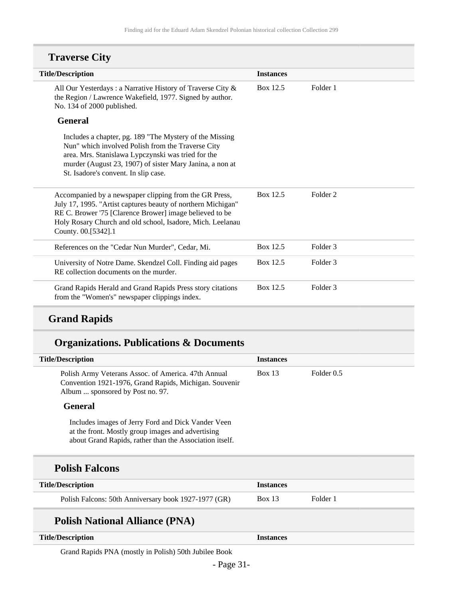| <b>Title/Description</b>                                                                                                                                                                                                                                               | <b>Instances</b> |                     |
|------------------------------------------------------------------------------------------------------------------------------------------------------------------------------------------------------------------------------------------------------------------------|------------------|---------------------|
| All Our Yesterdays: a Narrative History of Traverse City &<br>the Region / Lawrence Wakefield, 1977. Signed by author.<br>No. 134 of 2000 published.                                                                                                                   | Box 12.5         | Folder 1            |
| <b>General</b>                                                                                                                                                                                                                                                         |                  |                     |
| Includes a chapter, pg. 189 "The Mystery of the Missing<br>Nun" which involved Polish from the Traverse City<br>area. Mrs. Stanislawa Lypczynski was tried for the<br>murder (August 23, 1907) of sister Mary Janina, a non at<br>St. Isadore's convent. In slip case. |                  |                     |
| Accompanied by a newspaper clipping from the GR Press,<br>July 17, 1995. "Artist captures beauty of northern Michigan"<br>RE C. Brower '75 [Clarence Brower] image believed to be<br>Holy Rosary Church and old school, Isadore, Mich. Leelanau<br>County. 00.[5342].1 | Box 12.5         | Folder 2            |
| References on the "Cedar Nun Murder", Cedar, Mi.                                                                                                                                                                                                                       | Box 12.5         | Folder <sub>3</sub> |
| University of Notre Dame. Skendzel Coll. Finding aid pages<br>RE collection documents on the murder.                                                                                                                                                                   | Box 12.5         | Folder <sub>3</sub> |
| Grand Rapids Herald and Grand Rapids Press story citations<br>from the "Women's" newspaper clippings index.                                                                                                                                                            | Box 12.5         | Folder <sub>3</sub> |

# **Traverse City**

# **Grand Rapids**

# **Organizations. Publications & Documents**

| <b>Title/Description</b>                                                                                                                                           | <b>Instances</b> |            |
|--------------------------------------------------------------------------------------------------------------------------------------------------------------------|------------------|------------|
| Polish Army Veterans Assoc. of America. 47th Annual<br>Convention 1921-1976, Grand Rapids, Michigan. Souvenir<br>Album  sponsored by Post no. 97.                  | Box 13           | Folder 0.5 |
| <b>General</b>                                                                                                                                                     |                  |            |
| Includes images of Jerry Ford and Dick Vander Veen<br>at the front. Mostly group images and advertising<br>about Grand Rapids, rather than the Association itself. |                  |            |
| <b>Polish Falcons</b>                                                                                                                                              |                  |            |
| <b>Title/Description</b>                                                                                                                                           | <b>Instances</b> |            |
| Polish Falcons: 50th Anniversary book 1927-1977 (GR)                                                                                                               | Box 13           | Folder 1   |
| <b>Polish National Alliance (PNA)</b>                                                                                                                              |                  |            |
| <b>Title/Description</b>                                                                                                                                           | <b>Instances</b> |            |
|                                                                                                                                                                    |                  |            |

Grand Rapids PNA (mostly in Polish) 50th Jubilee Book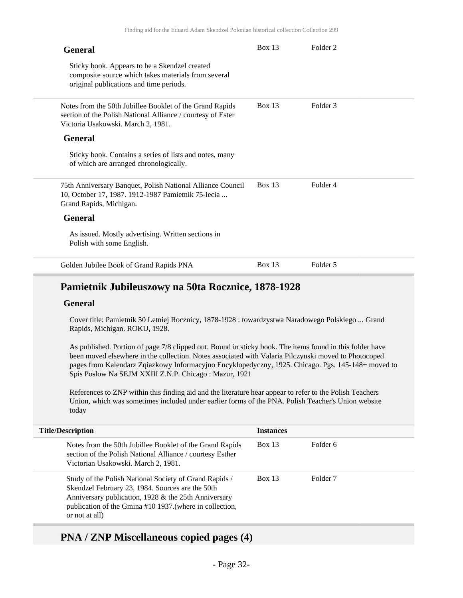| <b>General</b>                                                                                                                                                | Box 13        | Folder <sub>2</sub> |
|---------------------------------------------------------------------------------------------------------------------------------------------------------------|---------------|---------------------|
| Sticky book. Appears to be a Skendzel created<br>composite source which takes materials from several<br>original publications and time periods.               |               |                     |
| Notes from the 50th Jubillee Booklet of the Grand Rapids<br>section of the Polish National Alliance / courtesy of Ester<br>Victoria Usakowski. March 2, 1981. | Box 13        | Folder 3            |
| <b>General</b>                                                                                                                                                |               |                     |
| Sticky book. Contains a series of lists and notes, many<br>of which are arranged chronologically.                                                             |               |                     |
| 75th Anniversary Banquet, Polish National Alliance Council<br>10, October 17, 1987. 1912-1987 Pamietnik 75-lecia<br>Grand Rapids, Michigan.                   | <b>Box 13</b> | Folder 4            |
| <b>General</b>                                                                                                                                                |               |                     |
| As issued. Mostly advertising. Written sections in<br>Polish with some English.                                                                               |               |                     |
| Golden Jubilee Book of Grand Rapids PNA                                                                                                                       | Box 13        | Folder 5            |

### **Pamietnik Jubileuszowy na 50ta Rocznice, 1878-1928**

#### **General**

Cover title: Pamietnik 50 Letniej Rocznicy, 1878-1928 : towardzystwa Naradowego Polskiego ... Grand Rapids, Michigan. ROKU, 1928.

As published. Portion of page 7/8 clipped out. Bound in sticky book. The items found in this folder have been moved elsewhere in the collection. Notes associated with Valaria Pilczynski moved to Photocoped pages from Kalendarz Zqiazkowy Informacyjno Encyklopedyczny, 1925. Chicago. Pgs. 145-148+ moved to Spis Poslow Na SEJM XXIII Z.N.P. Chicago : Mazur, 1921

References to ZNP within this finding aid and the literature hear appear to refer to the Polish Teachers Union, which was sometimes included under earlier forms of the PNA. Polish Teacher's Union website today

| <b>Title/Description</b>                                                                                                                                                                                                                         | <b>Instances</b> |                     |
|--------------------------------------------------------------------------------------------------------------------------------------------------------------------------------------------------------------------------------------------------|------------------|---------------------|
| Notes from the 50th Jubillee Booklet of the Grand Rapids<br>section of the Polish National Alliance / courtesy Esther<br>Victorian Usakowski. March 2, 1981.                                                                                     | Box 13           | Folder 6            |
| Study of the Polish National Society of Grand Rapids /<br>Skendzel February 23, 1984. Sources are the 50th<br>Anniversary publication, 1928 & the 25th Anniversary<br>publication of the Gmina #10 1937. (where in collection,<br>or not at all) | Box 13           | Folder <sub>7</sub> |

### **PNA / ZNP Miscellaneous copied pages (4)**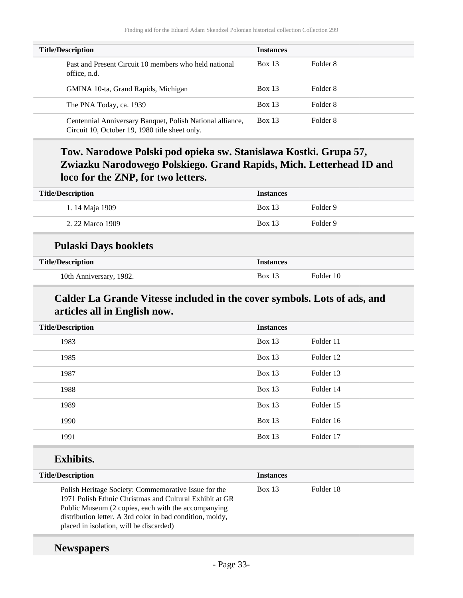| <b>Title/Description</b>                                                                                    | <b>Instances</b> |          |
|-------------------------------------------------------------------------------------------------------------|------------------|----------|
| Past and Present Circuit 10 members who held national<br>office, n.d.                                       | Box 13           | Folder 8 |
| GMINA 10-ta, Grand Rapids, Michigan                                                                         | Box 13           | Folder 8 |
| The PNA Today, ca. 1939                                                                                     | Box 13           | Folder 8 |
| Centennial Anniversary Banquet, Polish National alliance,<br>Circuit 10, October 19, 1980 title sheet only. | Box 13           | Folder 8 |

# **Tow. Narodowe Polski pod opieka sw. Stanislawa Kostki. Grupa 57, Zwiazku Narodowego Polskiego. Grand Rapids, Mich. Letterhead ID and loco for the ZNP, for two letters.**

| <b>Title/Description</b>     | <b>Instances</b> |           |
|------------------------------|------------------|-----------|
| 1.14 Maja 1909               | <b>Box 13</b>    | Folder 9  |
| 2. 22 Marco 1909             | <b>Box 13</b>    | Folder 9  |
| <b>Pulaski Days booklets</b> |                  |           |
| <b>Title/Description</b>     | <b>Instances</b> |           |
| 10th Anniversary, 1982.      | <b>Box 13</b>    | Folder 10 |

## **Calder La Grande Vitesse included in the cover symbols. Lots of ads, and articles all in English now.**

| <b>Title/Description</b> | <b>Instances</b> |           |
|--------------------------|------------------|-----------|
| 1983                     | Box 13           | Folder 11 |
| 1985                     | Box 13           | Folder 12 |
| 1987                     | Box 13           | Folder 13 |
| 1988                     | Box 13           | Folder 14 |
| 1989                     | Box 13           | Folder 15 |
| 1990                     | Box $13$         | Folder 16 |
| 1991                     | Box 13           | Folder 17 |
|                          |                  |           |

## **Exhibits.**

| <b>Title/Description</b>                                                                                                                                                                                                                                                       | <b>Instances</b> |           |
|--------------------------------------------------------------------------------------------------------------------------------------------------------------------------------------------------------------------------------------------------------------------------------|------------------|-----------|
| Polish Heritage Society: Commemorative Issue for the<br>1971 Polish Ethnic Christmas and Cultural Exhibit at GR<br>Public Museum (2 copies, each with the accompanying<br>distribution letter. A 3rd color in bad condition, moldy,<br>placed in isolation, will be discarded) | Box 13           | Folder 18 |

### **Newspapers**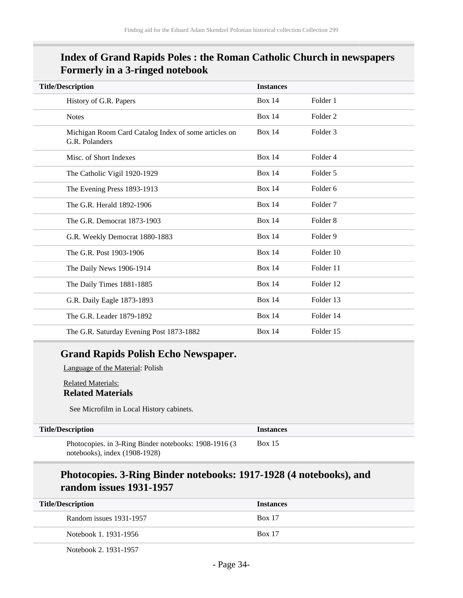## **Index of Grand Rapids Poles : the Roman Catholic Church in newspapers Formerly in a 3-ringed notebook**

| <b>Title/Description</b>                                               | <b>Instances</b> |                     |
|------------------------------------------------------------------------|------------------|---------------------|
| History of G.R. Papers                                                 | <b>Box 14</b>    | Folder 1            |
| <b>Notes</b>                                                           | <b>Box 14</b>    | Folder <sub>2</sub> |
| Michigan Room Card Catalog Index of some articles on<br>G.R. Polanders | <b>Box 14</b>    | Folder 3            |
| Misc. of Short Indexes                                                 | <b>Box 14</b>    | Folder 4            |
| The Catholic Vigil 1920-1929                                           | <b>Box 14</b>    | Folder 5            |
| The Evening Press 1893-1913                                            | <b>Box 14</b>    | Folder <sub>6</sub> |
| The G.R. Herald 1892-1906                                              | <b>Box 14</b>    | Folder <sub>7</sub> |
| The G.R. Democrat 1873-1903                                            | <b>Box 14</b>    | Folder <sub>8</sub> |
| G.R. Weekly Democrat 1880-1883                                         | <b>Box 14</b>    | Folder 9            |
| The G.R. Post 1903-1906                                                | <b>Box 14</b>    | Folder 10           |
| The Daily News 1906-1914                                               | <b>Box 14</b>    | Folder 11           |
| The Daily Times 1881-1885                                              | <b>Box 14</b>    | Folder 12           |
| G.R. Daily Eagle 1873-1893                                             | <b>Box 14</b>    | Folder 13           |
| The G.R. Leader 1879-1892                                              | <b>Box 14</b>    | Folder 14           |
| The G.R. Saturday Evening Post 1873-1882                               | <b>Box 14</b>    | Folder 15           |

### **Grand Rapids Polish Echo Newspaper.**

Language of the Material: Polish

Related Materials: **Related Materials**

See Microfilm in Local History cabinets.

| <b>Title/Description</b>                              | <i>Instances</i> |
|-------------------------------------------------------|------------------|
| Photocopies. in 3-Ring Binder notebooks: 1908-1916 (3 | <b>Box 15</b>    |
| notebooks), index $(1908-1928)$                       |                  |

### **Photocopies. 3-Ring Binder notebooks: 1917-1928 (4 notebooks), and random issues 1931-1957**

| <b>Title/Description</b> | <b>Instances</b> |  |
|--------------------------|------------------|--|
| Random issues 1931-1957  | <b>Box 17</b>    |  |
| Notebook 1, 1931-1956    | <b>Box 17</b>    |  |
| Notebook 2, 1931-1957    |                  |  |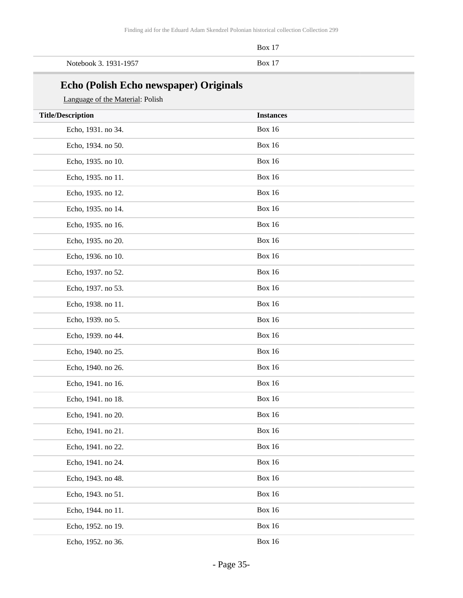|                       | <b>Box</b> 17 |
|-----------------------|---------------|
| Notebook 3. 1931-1957 | $Box 1^7$     |

# **Echo (Polish Echo newspaper) Originals**

#### Language of the Material: Polish

| <b>Title/Description</b> | <b>Instances</b> |
|--------------------------|------------------|
| Echo, 1931. no 34.       | <b>Box 16</b>    |
| Echo, 1934. no 50.       | <b>Box 16</b>    |
| Echo, 1935. no 10.       | <b>Box 16</b>    |
| Echo, 1935. no 11.       | <b>Box 16</b>    |
| Echo, 1935. no 12.       | <b>Box 16</b>    |
| Echo, 1935. no 14.       | <b>Box 16</b>    |
| Echo, 1935. no 16.       | <b>Box 16</b>    |
| Echo, 1935. no 20.       | <b>Box 16</b>    |
| Echo, 1936. no 10.       | <b>Box 16</b>    |
| Echo, 1937. no 52.       | <b>Box 16</b>    |
| Echo, 1937. no 53.       | <b>Box 16</b>    |
| Echo, 1938. no 11.       | <b>Box 16</b>    |
| Echo, 1939. no 5.        | <b>Box 16</b>    |
| Echo, 1939. no 44.       | <b>Box 16</b>    |
| Echo, 1940. no 25.       | <b>Box 16</b>    |
| Echo, 1940. no 26.       | <b>Box 16</b>    |
| Echo, 1941. no 16.       | <b>Box 16</b>    |
| Echo, 1941. no 18.       | <b>Box 16</b>    |
| Echo, 1941. no 20.       | <b>Box 16</b>    |
| Echo, 1941. no 21.       | <b>Box 16</b>    |
| Echo, 1941. no 22.       | <b>Box 16</b>    |
| Echo, 1941. no 24.       | <b>Box 16</b>    |
| Echo, 1943. no 48.       | <b>Box 16</b>    |
| Echo, 1943. no 51.       | <b>Box 16</b>    |
| Echo, 1944. no 11.       | <b>Box 16</b>    |
| Echo, 1952. no 19.       | <b>Box 16</b>    |
| Echo, 1952. no 36.       | <b>Box 16</b>    |
|                          |                  |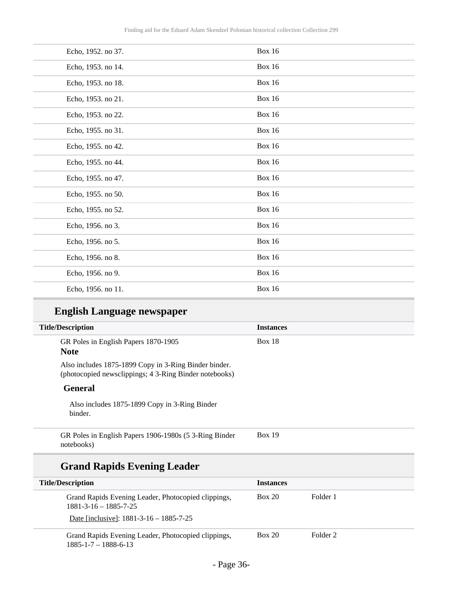| Echo, 1952. no 37. | <b>Box 16</b> |
|--------------------|---------------|
| Echo, 1953. no 14. | <b>Box 16</b> |
| Echo, 1953. no 18. | <b>Box 16</b> |
| Echo, 1953. no 21. | <b>Box 16</b> |
| Echo, 1953. no 22. | <b>Box 16</b> |
| Echo, 1955. no 31. | <b>Box 16</b> |
| Echo, 1955. no 42. | <b>Box 16</b> |
| Echo, 1955. no 44. | <b>Box 16</b> |
| Echo, 1955. no 47. | <b>Box 16</b> |
| Echo, 1955. no 50. | <b>Box 16</b> |
| Echo, 1955. no 52. | <b>Box 16</b> |
| Echo, 1956. no 3.  | <b>Box 16</b> |
| Echo, 1956. no 5.  | <b>Box 16</b> |
| Echo, 1956. no 8.  | <b>Box 16</b> |
| Echo, 1956. no 9.  | <b>Box 16</b> |
| Echo, 1956. no 11. | <b>Box 16</b> |

# **English Language newspaper**

| <b>Title/Description</b>                                                                                        | <b>Instances</b> |  |
|-----------------------------------------------------------------------------------------------------------------|------------------|--|
| GR Poles in English Papers 1870-1905<br><b>Note</b>                                                             | <b>Box 18</b>    |  |
| Also includes 1875-1899 Copy in 3-Ring Binder binder.<br>(photocopied newsclippings; 4 3-Ring Binder notebooks) |                  |  |
| General                                                                                                         |                  |  |
| Also includes 1875-1899 Copy in 3-Ring Binder<br>binder.                                                        |                  |  |
| GR Poles in English Papers 1906-1980s (5 3-Ring Binder<br>notebooks)                                            | <b>Box 19</b>    |  |

# **Grand Rapids Evening Leader**

| <b>Title/Description</b>                                                               | <b>Instances</b> |          |
|----------------------------------------------------------------------------------------|------------------|----------|
| Grand Rapids Evening Leader, Photocopied clippings,<br>$1881 - 3 - 16 - 1885 - 7 - 25$ | <b>Box 20</b>    | Folder 1 |
| Date [inclusive]: $1881-3-16-1885-7-25$                                                |                  |          |
| Grand Rapids Evening Leader, Photocopied clippings,<br>$1885 - 1 - 7 - 1888 - 6 - 13$  | <b>Box 20</b>    | Folder 2 |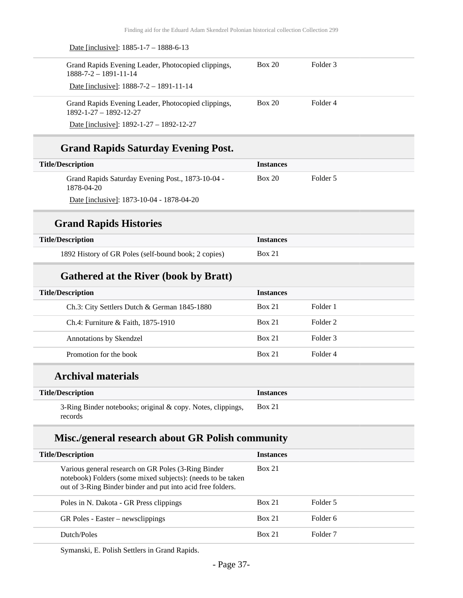| Grand Rapids Evening Leader, Photocopied clippings,<br>$1888 - 7 - 2 - 1891 - 11 - 14$                             | <b>Box 20</b>    | Folder <sub>3</sub> |
|--------------------------------------------------------------------------------------------------------------------|------------------|---------------------|
| Date [inclusive]: 1888-7-2 - 1891-11-14                                                                            |                  |                     |
| Grand Rapids Evening Leader, Photocopied clippings,<br>$1892 - 1 - 27 - 1892 - 12 - 27$                            | <b>Box 20</b>    | Folder <sub>4</sub> |
| Date [inclusive]: $1892 - 1 - 27 - 1892 - 12 - 27$                                                                 |                  |                     |
| <b>Grand Rapids Saturday Evening Post.</b>                                                                         |                  |                     |
| <b>Title/Description</b>                                                                                           | <b>Instances</b> |                     |
| Grand Rapids Saturday Evening Post., 1873-10-04 -<br>1878-04-20                                                    | <b>Box 20</b>    | Folder 5            |
| Date [inclusive]: 1873-10-04 - 1878-04-20                                                                          |                  |                     |
| <b>Grand Rapids Histories</b>                                                                                      |                  |                     |
| <b>Title/Description</b>                                                                                           | <b>Instances</b> |                     |
| 1892 History of GR Poles (self-bound book; 2 copies)                                                               | Box 21           |                     |
| <b>Gathered at the River (book by Bratt)</b>                                                                       |                  |                     |
| <b>Title/Description</b>                                                                                           | <b>Instances</b> |                     |
| Ch.3: City Settlers Dutch & German 1845-1880                                                                       | Box 21           | Folder 1            |
| Ch.4: Furniture & Faith, 1875-1910                                                                                 | <b>Box 21</b>    | Folder <sub>2</sub> |
| Annotations by Skendzel                                                                                            | Box 21           | Folder <sub>3</sub> |
| Promotion for the book                                                                                             | <b>Box 21</b>    | Folder <sub>4</sub> |
| <b>Archival materials</b>                                                                                          |                  |                     |
| <b>Title/Description</b>                                                                                           | <b>Instances</b> |                     |
| 3-Ring Binder notebooks; original & copy. Notes, clippings,<br>records                                             | <b>Box 21</b>    |                     |
| Misc./general research about GR Polish community                                                                   |                  |                     |
| <b>Title/Description</b>                                                                                           | <b>Instances</b> |                     |
| Various general research on GR Poles (3-Ring Binder<br>notebook) Folders (some mixed subjects): (needs to be taken | Box 21           |                     |

| out of 3-Ring Binder binder and put into acid free folders. |               |                     |
|-------------------------------------------------------------|---------------|---------------------|
| Poles in N. Dakota - GR Press clippings                     | <b>Box 21</b> | Folder 5            |
| GR Poles - Easter – newsclippings                           | <b>Box 21</b> | Folder 6            |
| Dutch/Poles                                                 | Box 21        | Folder <sub>7</sub> |

Symanski, E. Polish Settlers in Grand Rapids.

Date [inclusive]: 1885-1-7 – 1888-6-13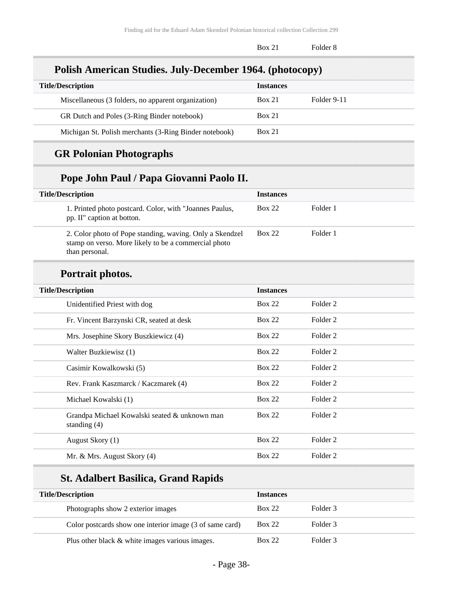Box 21 Folder 8

### **Polish American Studies. July-December 1964. (photocopy)**

| <b>Title/Description</b>                               | <b>Instances</b> |             |
|--------------------------------------------------------|------------------|-------------|
| Miscellaneous (3 folders, no apparent organization)    | <b>Box 21</b>    | Folder 9-11 |
| GR Dutch and Poles (3-Ring Binder notebook)            | <b>Box 21</b>    |             |
| Michigan St. Polish merchants (3-Ring Binder notebook) | <b>Box 21</b>    |             |

## **GR Polonian Photographs**

## **Pope John Paul / Papa Giovanni Paolo II.**

| <b>Title/Description</b>                                                                                                           | <b>Instances</b> |          |
|------------------------------------------------------------------------------------------------------------------------------------|------------------|----------|
| 1. Printed photo postcard. Color, with "Joannes Paulus,<br>pp. II" caption at botton.                                              | <b>Box 22</b>    | Folder 1 |
| 2. Color photo of Pope standing, waving. Only a Skendzel<br>stamp on verso. More likely to be a commercial photo<br>than personal. | <b>Box 22</b>    | Folder 1 |
| Portrait photos.                                                                                                                   |                  |          |

| <b>Title/Description</b>                                        | <b>Instances</b> |          |
|-----------------------------------------------------------------|------------------|----------|
| Unidentified Priest with dog                                    | <b>Box 22</b>    | Folder 2 |
| Fr. Vincent Barzynski CR, seated at desk                        | Box 22           | Folder 2 |
| Mrs. Josephine Skory Buszkiewicz (4)                            | Box 22           | Folder 2 |
| Walter Buzkiewisz (1)                                           | <b>Box 22</b>    | Folder 2 |
| Casimir Kowalkowski (5)                                         | <b>Box 22</b>    | Folder 2 |
| Rev. Frank Kaszmarck / Kaczmarek (4)                            | Box 22           | Folder 2 |
| Michael Kowalski (1)                                            | Box 22           | Folder 2 |
| Grandpa Michael Kowalski seated & unknown man<br>standing $(4)$ | Box 22           | Folder 2 |
| August Skory (1)                                                | <b>Box 22</b>    | Folder 2 |
| Mr. & Mrs. August Skory (4)                                     | Box 22           | Folder 2 |

## **St. Adalbert Basilica, Grand Rapids**

| <b>Title/Description</b>                                 | <b>Instances</b> |          |
|----------------------------------------------------------|------------------|----------|
| Photographs show 2 exterior images                       | <b>Box 22</b>    | Folder 3 |
| Color postcards show one interior image (3 of same card) | <b>Box 22</b>    | Folder 3 |
| Plus other black & white images various images.          | <b>Box 22</b>    | Folder 3 |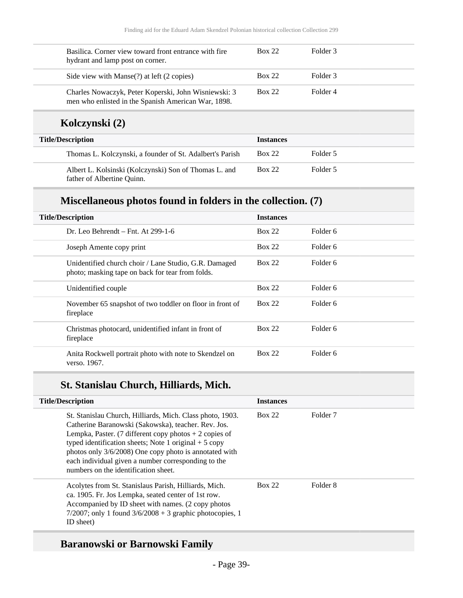| Basilica. Corner view toward front entrance with fire<br>hydrant and lamp post on corner.                   | <b>Box 22</b>    | Folder 3 |  |
|-------------------------------------------------------------------------------------------------------------|------------------|----------|--|
| Side view with Manse(?) at left (2 copies)                                                                  | <b>Box 22</b>    | Folder 3 |  |
| Charles Nowaczyk, Peter Koperski, John Wisniewski: 3<br>men who enlisted in the Spanish American War, 1898. | Box 22           | Folder 4 |  |
| Kolczynski (2)                                                                                              |                  |          |  |
| <b>Title/Description</b>                                                                                    | <b>Instances</b> |          |  |
| Thomas L. Kolczynski, a founder of St. Adalbert's Parish                                                    | <b>Box 22</b>    | Folder 5 |  |

| Albert L. Kolsinski (Kolczynski) Son of Thomas L. and | <b>Box 22</b> | Folder 5 |
|-------------------------------------------------------|---------------|----------|
| father of Albertine Quinn.                            |               |          |

## **Miscellaneous photos found in folders in the collection. (7)**

| <b>Title/Description</b>                                                                                  | <b>Instances</b> |          |
|-----------------------------------------------------------------------------------------------------------|------------------|----------|
| Dr. Leo Behrendt – Fnt. At $299-1-6$                                                                      | <b>Box 22</b>    | Folder 6 |
| Joseph Amente copy print                                                                                  | <b>Box 22</b>    | Folder 6 |
| Unidentified church choir / Lane Studio, G.R. Damaged<br>photo; masking tape on back for tear from folds. | <b>Box 22</b>    | Folder 6 |
| Unidentified couple                                                                                       | <b>Box 22</b>    | Folder 6 |
| November 65 snapshot of two toddler on floor in front of<br>fireplace                                     | <b>Box 22</b>    | Folder 6 |
| Christmas photocard, unidentified infant in front of<br>fireplace                                         | <b>Box 22</b>    | Folder 6 |
| Anita Rockwell portrait photo with note to Skendzel on<br>verso, 1967.                                    | <b>Box 22</b>    | Folder 6 |

## **St. Stanislau Church, Hilliards, Mich.**

| <b>Title/Description</b>                                                                                                                                                                                                                                                                                                                                                                         | <b>Instances</b> |                     |  |
|--------------------------------------------------------------------------------------------------------------------------------------------------------------------------------------------------------------------------------------------------------------------------------------------------------------------------------------------------------------------------------------------------|------------------|---------------------|--|
| St. Stanislau Church, Hilliards, Mich. Class photo, 1903.<br>Catherine Baranowski (Sakowska), teacher. Rev. Jos.<br>Lempka, Paster. (7 different copy photos $+ 2$ copies of<br>typed identification sheets; Note 1 original $+ 5$ copy<br>photos only 3/6/2008) One copy photo is annotated with<br>each individual given a number corresponding to the<br>numbers on the identification sheet. | <b>Box 22</b>    | Folder <sub>7</sub> |  |
| Acolytes from St. Stanislaus Parish, Hilliards, Mich.<br>ca. 1905. Fr. Jos Lempka, seated center of 1st row.<br>Accompanied by ID sheet with names. (2 copy photos)<br>$7/2007$ ; only 1 found $3/6/2008 + 3$ graphic photocopies, 1<br>ID sheet)                                                                                                                                                | <b>Box 22</b>    | Folder 8            |  |

## **Baranowski or Barnowski Family**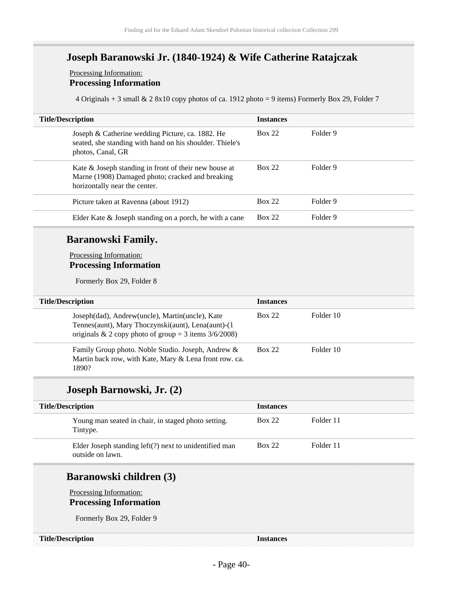## **Joseph Baranowski Jr. (1840-1924) & Wife Catherine Ratajczak**

#### Processing Information: **Processing Information**

4 Originals + 3 small & 2 8x10 copy photos of ca. 1912 photo = 9 items) Formerly Box 29, Folder 7

| <b>Instances</b> |
|------------------|
| Folder 9         |
| Folder 9         |
| Folder 9         |
| Folder 9         |
|                  |

### **Baranowski Family.**

Processing Information: **Processing Information**

Formerly Box 29, Folder 8

| <b>Title/Description</b> |                                                                                                                                                                   | <b>Instances</b> |           |
|--------------------------|-------------------------------------------------------------------------------------------------------------------------------------------------------------------|------------------|-----------|
|                          | Joseph(dad), Andrew(uncle), Martin(uncle), Kate<br>Tennes(aunt), Mary Thoczynski(aunt), Lena(aunt)-(1<br>originals & 2 copy photo of group = 3 items $3/6/2008$ ) | Box 22           | Folder 10 |
|                          | Family Group photo. Noble Studio. Joseph, Andrew &<br>Martin back row, with Kate, Mary & Lena front row. ca.<br>1890?                                             | Box 22           | Folder 10 |

### **Joseph Barnowski, Jr. (2)**

| <b>Title/Description</b> |                                                                               | <b>Instances</b> |           |  |
|--------------------------|-------------------------------------------------------------------------------|------------------|-----------|--|
|                          | Young man seated in chair, in staged photo setting.<br>Tintype.               | Box 22           | Folder 11 |  |
|                          | Elder Joseph standing $left($ ?) next to unidentified man<br>outside on lawn. | Box 22           | Folder 11 |  |

### **Baranowski children (3)**

Processing Information:

**Processing Information**

Formerly Box 29, Folder 9

#### **Title/Description Instances**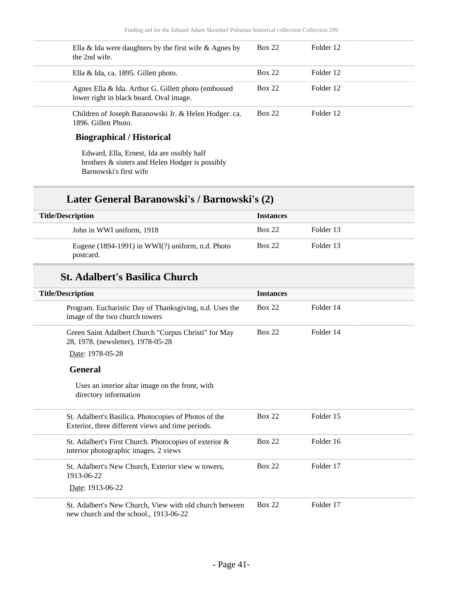| Ella & Ida were daughters by the first wife & Agnes by<br>the 2nd wife.                        | <b>Box 22</b> | Folder 12 |
|------------------------------------------------------------------------------------------------|---------------|-----------|
| Ella & Ida, ca. 1895. Gillett photo.                                                           | <b>Box 22</b> | Folder 12 |
| Agnes Ella & Ida. Arthur G. Gillett photo (embossed<br>lower right in black board. Oval image. | <b>Box 22</b> | Folder 12 |
| Children of Joseph Baranowski Jr. & Helen Hodger. ca.<br>1896. Gillett Photo.                  | <b>Box 22</b> | Folder 12 |
|                                                                                                |               |           |

### **Biographical / Historical**

Edward, Ella, Ernest, Ida are ossibly half brothers & sisters and Helen Hodger is possibly Barnowski's first wife

## **Later General Baranowski's / Barnowski's (2)**

| <b>Title/Description</b><br><b>Instances</b> |                                                                    |               |           |  |
|----------------------------------------------|--------------------------------------------------------------------|---------------|-----------|--|
|                                              | John in WWI uniform, 1918                                          | <b>Box 22</b> | Folder 13 |  |
|                                              | Eugene $(1894-1991)$ in WWI $(?)$ uniform, n.d. Photo<br>postcard. | <b>Box 22</b> | Folder 13 |  |

### **St. Adalbert's Basilica Church**

| <b>Title/Description</b>                                                                                   | <b>Instances</b> |           |
|------------------------------------------------------------------------------------------------------------|------------------|-----------|
| Program. Eucharistic Day of Thanksgiving, n.d. Uses the<br>image of the two church towers                  | <b>Box 22</b>    | Folder 14 |
| Green Saint Adalbert Church "Corpus Christi" for May<br>28, 1978. (newsletter), 1978-05-28                 | <b>Box 22</b>    | Folder 14 |
| Date: 1978-05-28                                                                                           |                  |           |
| <b>General</b>                                                                                             |                  |           |
| Uses an interior altar image on the front, with<br>directory information                                   |                  |           |
| St. Adalbert's Basilica. Photocopies of Photos of the<br>Exterior, three different views and time periods. | <b>Box 22</b>    | Folder 15 |
| St. Adalbert's First Church. Photocopies of exterior &<br>interior photographic images. 2 views            | <b>Box 22</b>    | Folder 16 |
| St. Adalbert's New Church, Exterior view w towers,<br>1913-06-22                                           | <b>Box 22</b>    | Folder 17 |
| Date: 1913-06-22                                                                                           |                  |           |
| St. Adalbert's New Church, View with old church between<br>new church and the school., 1913-06-22          | <b>Box 22</b>    | Folder 17 |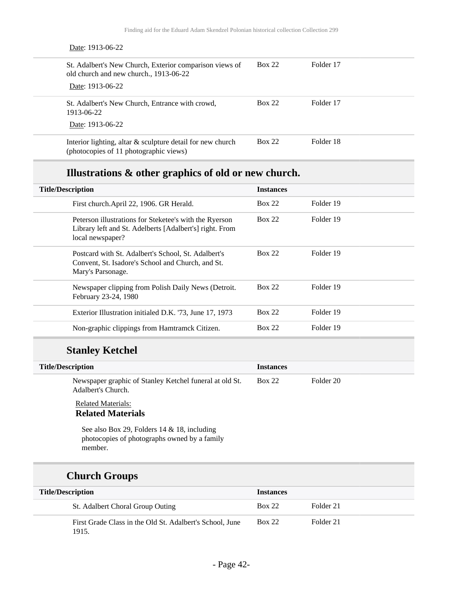| Date: 1913-06-22                                                                                                      |               |           |
|-----------------------------------------------------------------------------------------------------------------------|---------------|-----------|
| St. Adalbert's New Church, Exterior comparison views of<br>old church and new church., 1913-06-22<br>Date: 1913-06-22 | <b>Box 22</b> | Folder 17 |
| St. Adalbert's New Church, Entrance with crowd,<br>1913-06-22<br>Date: 1913-06-22                                     | <b>Box 22</b> | Folder 17 |
| Interior lighting, altar $\&$ sculpture detail for new church<br>(photocopies of 11 photographic views)               | <b>Box 22</b> | Folder 18 |

## **Illustrations & other graphics of old or new church.**

| <b>Title/Description</b>                                                                                                              | <b>Instances</b> |           |
|---------------------------------------------------------------------------------------------------------------------------------------|------------------|-----------|
| First church.April 22, 1906. GR Herald.                                                                                               | Box 22           | Folder 19 |
| Peterson illustrations for Steketee's with the Ryerson<br>Library left and St. Adelberts [Adalbert's] right. From<br>local newspaper? | <b>Box 22</b>    | Folder 19 |
| Postcard with St. Adalbert's School, St. Adalbert's<br>Convent, St. Isadore's School and Church, and St.<br>Mary's Parsonage.         | <b>Box 22</b>    | Folder 19 |
| Newspaper clipping from Polish Daily News (Detroit.<br>February 23-24, 1980                                                           | <b>Box 22</b>    | Folder 19 |
| Exterior Illustration initialed D.K. '73, June 17, 1973                                                                               | <b>Box 22</b>    | Folder 19 |
| Non-graphic clippings from Hamtramck Citizen.                                                                                         | <b>Box 22</b>    | Folder 19 |

## **Stanley Ketchel**

| <b>Title/Description</b>                                                      | <b>Instances</b> |           |
|-------------------------------------------------------------------------------|------------------|-----------|
| Newspaper graphic of Stanley Ketchel funeral at old St.<br>Adalbert's Church. | Box 22           | Folder 20 |

#### Related Materials: **Related Materials**

See also Box 29, Folders 14 & 18, including

photocopies of photographs owned by a family member.

## **Church Groups**

| <b>Title/Description</b>                                          | <b>Instances</b> |           |  |
|-------------------------------------------------------------------|------------------|-----------|--|
| St. Adalbert Choral Group Outing                                  | <b>Box 22</b>    | Folder 21 |  |
| First Grade Class in the Old St. Adalbert's School, June<br>1915. | <b>Box 22</b>    | Folder 21 |  |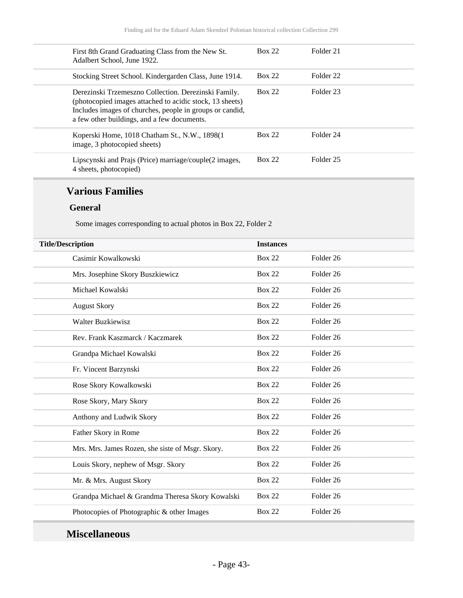| First 8th Grand Graduating Class from the New St.<br>Adalbert School, June 1922.                                                                                                                                            | Box 22        | Folder 21            |
|-----------------------------------------------------------------------------------------------------------------------------------------------------------------------------------------------------------------------------|---------------|----------------------|
| Stocking Street School. Kindergarden Class, June 1914.                                                                                                                                                                      | Box 22        | Folder <sub>22</sub> |
| Derezinski Trzemeszno Collection. Derezinski Family.<br>(photocopied images attached to acidic stock, 13 sheets)<br>Includes images of churches, people in groups or candid,<br>a few other buildings, and a few documents. | Box 22        | Folder 23            |
| Koperski Home, 1018 Chatham St., N.W., 1898(1)<br>image, 3 photocopied sheets)                                                                                                                                              | <b>Box 22</b> | Folder 24            |
| Lipscynski and Prajs (Price) marriage/couple(2 images,<br>4 sheets, photocopied)                                                                                                                                            | <b>Box 22</b> | Folder <sub>25</sub> |

### **Various Families**

#### **General**

Some images corresponding to actual photos in Box 22, Folder 2

| <b>Title/Description</b>                         |               |                      |
|--------------------------------------------------|---------------|----------------------|
| Casimir Kowalkowski                              | <b>Box 22</b> | Folder <sub>26</sub> |
| Mrs. Josephine Skory Buszkiewicz                 | <b>Box 22</b> | Folder 26            |
| Michael Kowalski                                 | <b>Box 22</b> | Folder <sub>26</sub> |
| <b>August Skory</b>                              | <b>Box 22</b> | Folder <sub>26</sub> |
| <b>Walter Buzkiewisz</b>                         | <b>Box 22</b> | Folder <sub>26</sub> |
| Rev. Frank Kaszmarck / Kaczmarek                 | <b>Box 22</b> | Folder 26            |
| Grandpa Michael Kowalski                         | <b>Box 22</b> | Folder <sub>26</sub> |
| Fr. Vincent Barzynski                            | <b>Box 22</b> | Folder <sub>26</sub> |
| Rose Skory Kowalkowski                           | <b>Box 22</b> | Folder <sub>26</sub> |
| Rose Skory, Mary Skory                           | <b>Box 22</b> | Folder <sub>26</sub> |
| Anthony and Ludwik Skory                         | <b>Box 22</b> | Folder <sub>26</sub> |
| Father Skory in Rome                             | <b>Box 22</b> | Folder <sub>26</sub> |
| Mrs. Mrs. James Rozen, she siste of Msgr. Skory. | <b>Box 22</b> | Folder <sub>26</sub> |
| Louis Skory, nephew of Msgr. Skory               | <b>Box 22</b> | Folder <sub>26</sub> |
| Mr. & Mrs. August Skory                          | <b>Box 22</b> | Folder <sub>26</sub> |
| Grandpa Michael & Grandma Theresa Skory Kowalski | <b>Box 22</b> | Folder <sub>26</sub> |
| Photocopies of Photographic & other Images       | <b>Box 22</b> | Folder <sub>26</sub> |
|                                                  |               |                      |

## **Miscellaneous**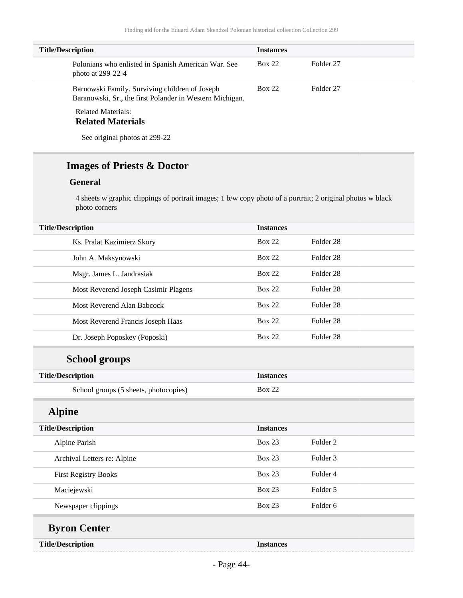| <b>Title/Description</b>                                                                                   | <b>Instances</b> |           |
|------------------------------------------------------------------------------------------------------------|------------------|-----------|
| Polonians who enlisted in Spanish American War. See<br>photo at $299-22-4$                                 | Box 22           | Folder 27 |
| Barnowski Family. Surviving children of Joseph<br>Baranowski, Sr., the first Polander in Western Michigan. | Box 22           | Folder 27 |
| <b>Related Materials:</b><br><b>D.L. L. L. L. L. L.</b>                                                    |                  |           |

#### **Related Materials**

See original photos at 299-22

## **Images of Priests & Doctor**

#### **General**

4 sheets w graphic clippings of portrait images; 1 b/w copy photo of a portrait; 2 original photos w black photo corners

| <b>Title/Description</b>              | <b>Instances</b> |                      |  |
|---------------------------------------|------------------|----------------------|--|
| Ks. Pralat Kazimierz Skory            | <b>Box 22</b>    | Folder <sub>28</sub> |  |
| John A. Maksynowski                   | <b>Box 22</b>    | Folder 28            |  |
| Msgr. James L. Jandrasiak             | <b>Box 22</b>    | Folder 28            |  |
| Most Reverend Joseph Casimir Plagens  | <b>Box 22</b>    | Folder 28            |  |
| Most Reverend Alan Babcock            | <b>Box 22</b>    | Folder <sub>28</sub> |  |
| Most Reverend Francis Joseph Haas     | <b>Box 22</b>    | Folder 28            |  |
| Dr. Joseph Poposkey (Poposki)         | <b>Box 22</b>    | Folder 28            |  |
| <b>School groups</b>                  |                  |                      |  |
| <b>Title/Description</b>              | <b>Instances</b> |                      |  |
| School groups (5 sheets, photocopies) | <b>Box 22</b>    |                      |  |
| <b>Alpine</b>                         |                  |                      |  |
| <b>Title/Description</b>              | <b>Instances</b> |                      |  |
| Alpine Parish                         | <b>Box 23</b>    | Folder <sub>2</sub>  |  |
| Archival Letters re: Alpine           | <b>Box 23</b>    | Folder <sub>3</sub>  |  |
| <b>First Registry Books</b>           | <b>Box 23</b>    | Folder 4             |  |
| Maciejewski                           | <b>Box 23</b>    | Folder 5             |  |
| Newspaper clippings                   | <b>Box 23</b>    | Folder 6             |  |
| <b>Byron Center</b>                   |                  |                      |  |
| <b>Title/Description</b>              | <b>Instances</b> |                      |  |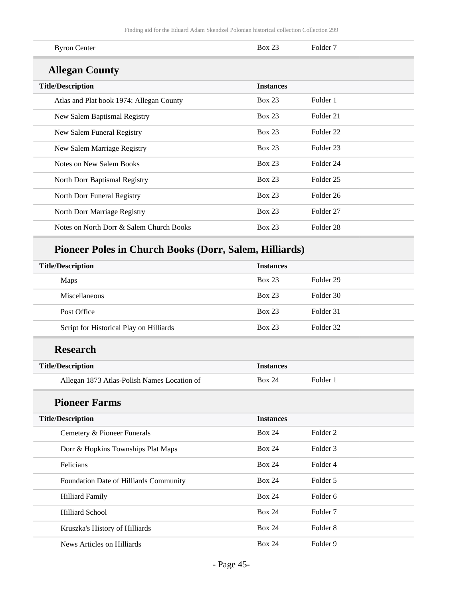| <b>Byron Center</b>                      | Box 23           | Folder <sub>7</sub>  |
|------------------------------------------|------------------|----------------------|
| <b>Allegan County</b>                    |                  |                      |
| <b>Title/Description</b>                 | <b>Instances</b> |                      |
| Atlas and Plat book 1974: Allegan County | Box 23           | Folder 1             |
| New Salem Baptismal Registry             | Box 23           | Folder 21            |
| New Salem Funeral Registry               | <b>Box 23</b>    | Folder <sub>22</sub> |
| New Salem Marriage Registry              | Box 23           | Folder 23            |
| Notes on New Salem Books                 | <b>Box 23</b>    | Folder 24            |
| North Dorr Baptismal Registry            | <b>Box 23</b>    | Folder 25            |
| North Dorr Funeral Registry              | <b>Box 23</b>    | Folder <sub>26</sub> |
| North Dorr Marriage Registry             | Box 23           | Folder <sub>27</sub> |
| Notes on North Dorr & Salem Church Books | <b>Box 23</b>    | Folder <sub>28</sub> |
|                                          |                  |                      |

# **Pioneer Poles in Church Books (Dorr, Salem, Hilliards)**

| <b>Title/Description</b>                    | <b>Instances</b> |                      |
|---------------------------------------------|------------------|----------------------|
| Maps                                        | <b>Box 23</b>    | Folder <sub>29</sub> |
| Miscellaneous                               | <b>Box 23</b>    | Folder 30            |
| Post Office                                 | <b>Box 23</b>    | Folder 31            |
| Script for Historical Play on Hilliards     | <b>Box 23</b>    | Folder 32            |
| <b>Research</b>                             |                  |                      |
| <b>Title/Description</b>                    | <b>Instances</b> |                      |
| Allegan 1873 Atlas-Polish Names Location of | <b>Box 24</b>    | Folder 1             |
| <b>Pioneer Farms</b>                        |                  |                      |
| <b>Title/Description</b>                    | <b>Instances</b> |                      |
| Cemetery & Pioneer Funerals                 | <b>Box 24</b>    | Folder <sub>2</sub>  |
| Dorr & Hopkins Townships Plat Maps          | <b>Box 24</b>    | Folder <sub>3</sub>  |
| Felicians                                   | <b>Box 24</b>    | Folder 4             |
| Foundation Date of Hilliards Community      | <b>Box 24</b>    | Folder 5             |
| <b>Hilliard Family</b>                      | <b>Box 24</b>    | Folder <sub>6</sub>  |
| <b>Hilliard School</b>                      | <b>Box 24</b>    | Folder <sub>7</sub>  |
| Kruszka's History of Hilliards              | <b>Box 24</b>    | Folder <sub>8</sub>  |
| News Articles on Hilliards                  | <b>Box 24</b>    | Folder 9             |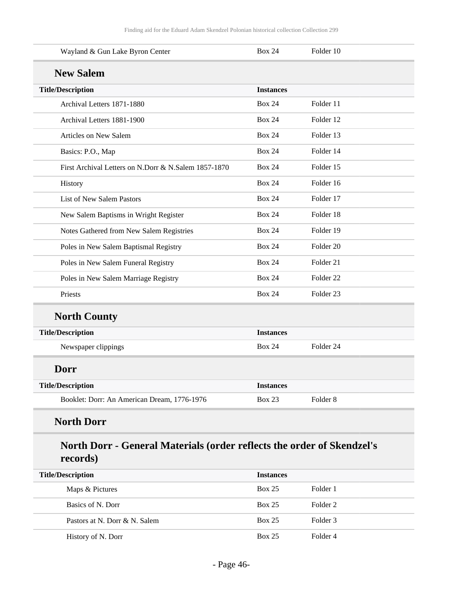| Wayland & Gun Lake Byron Center                      | <b>Box 24</b>    | Folder 10            |
|------------------------------------------------------|------------------|----------------------|
| <b>New Salem</b>                                     |                  |                      |
| <b>Title/Description</b>                             | <b>Instances</b> |                      |
| Archival Letters 1871-1880                           | <b>Box 24</b>    | Folder 11            |
| Archival Letters 1881-1900                           | <b>Box 24</b>    | Folder 12            |
| Articles on New Salem                                | <b>Box 24</b>    | Folder 13            |
| Basics: P.O., Map                                    | <b>Box 24</b>    | Folder 14            |
| First Archival Letters on N.Dorr & N.Salem 1857-1870 | <b>Box 24</b>    | Folder 15            |
| History                                              | <b>Box 24</b>    | Folder 16            |
| List of New Salem Pastors                            | <b>Box 24</b>    | Folder 17            |
| New Salem Baptisms in Wright Register                | <b>Box 24</b>    | Folder 18            |
| Notes Gathered from New Salem Registries             | <b>Box 24</b>    | Folder 19            |
| Poles in New Salem Baptismal Registry                | <b>Box 24</b>    | Folder <sub>20</sub> |
| Poles in New Salem Funeral Registry                  | <b>Box 24</b>    | Folder <sub>21</sub> |
| Poles in New Salem Marriage Registry                 | <b>Box 24</b>    | Folder <sub>22</sub> |
| Priests                                              | <b>Box 24</b>    | Folder <sub>23</sub> |
| <b>North County</b>                                  |                  |                      |
| <b>Title/Description</b>                             | <b>Instances</b> |                      |
| Newspaper clippings                                  | <b>Box 24</b>    | Folder 24            |
| Dorr                                                 |                  |                      |
|                                                      | <b>Instances</b> |                      |
| <b>Title/Description</b>                             |                  |                      |

## **records)**

| <b>Title/Description</b>      | <b>Instances</b> |          |
|-------------------------------|------------------|----------|
| Maps & Pictures               | <b>Box 25</b>    | Folder 1 |
| Basics of N. Dorr             | <b>Box 25</b>    | Folder 2 |
| Pastors at N. Dorr & N. Salem | <b>Box 25</b>    | Folder 3 |
| History of N. Dorr            | <b>Box 25</b>    | Folder 4 |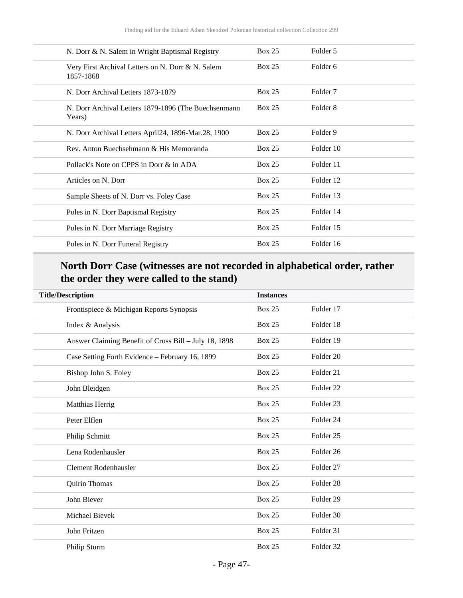| N. Dorr & N. Salem in Wright Baptismal Registry                | <b>Box 25</b> | Folder 5            |
|----------------------------------------------------------------|---------------|---------------------|
| Very First Archival Letters on N. Dorr & N. Salem<br>1857-1868 | Box 25        | Folder <sub>6</sub> |
| N. Dorr Archival Letters 1873-1879                             | Box 25        | Folder <sub>7</sub> |
| N. Dorr Archival Letters 1879-1896 (The Buechsenmann<br>Years) | Box 25        | Folder 8            |
| N. Dorr Archival Letters April24, 1896-Mar.28, 1900            | Box 25        | Folder 9            |
| Rev. Anton Buechsehmann & His Memoranda                        | Box 25        | Folder 10           |
| Pollack's Note on CPPS in Dorr & in ADA                        | Box 25        | Folder 11           |
| Articles on N. Dorr                                            | Box 25        | Folder 12           |
| Sample Sheets of N. Dorr vs. Foley Case                        | Box 25        | Folder 13           |
| Poles in N. Dorr Baptismal Registry                            | Box 25        | Folder 14           |
| Poles in N. Dorr Marriage Registry                             | Box 25        | Folder 15           |
| Poles in N. Dorr Funeral Registry                              | <b>Box 25</b> | Folder 16           |
|                                                                |               |                     |

## **North Dorr Case (witnesses are not recorded in alphabetical order, rather the order they were called to the stand)**

| <b>Title/Description</b>                              | <b>Instances</b> |                      |
|-------------------------------------------------------|------------------|----------------------|
| Frontispiece & Michigan Reports Synopsis              | <b>Box 25</b>    | Folder 17            |
| Index & Analysis                                      | <b>Box 25</b>    | Folder 18            |
| Answer Claiming Benefit of Cross Bill - July 18, 1898 | <b>Box 25</b>    | Folder 19            |
| Case Setting Forth Evidence - February 16, 1899       | Box 25           | Folder <sub>20</sub> |
| Bishop John S. Foley                                  | <b>Box 25</b>    | Folder 21            |
| John Bleidgen                                         | <b>Box 25</b>    | Folder <sub>22</sub> |
| Matthias Herrig                                       | <b>Box 25</b>    | Folder <sub>23</sub> |
| Peter Elflen                                          | <b>Box 25</b>    | Folder <sub>24</sub> |
| Philip Schmitt                                        | <b>Box 25</b>    | Folder <sub>25</sub> |
| Lena Rodenhausler                                     | <b>Box 25</b>    | Folder <sub>26</sub> |
| <b>Clement Rodenhausler</b>                           | <b>Box 25</b>    | Folder <sub>27</sub> |
| Quirin Thomas                                         | <b>Box 25</b>    | Folder <sub>28</sub> |
| John Biever                                           | <b>Box 25</b>    | Folder <sub>29</sub> |
| Michael Bievek                                        | Box 25           | Folder 30            |
| John Fritzen                                          | Box 25           | Folder 31            |
| Philip Sturm                                          | <b>Box 25</b>    | Folder 32            |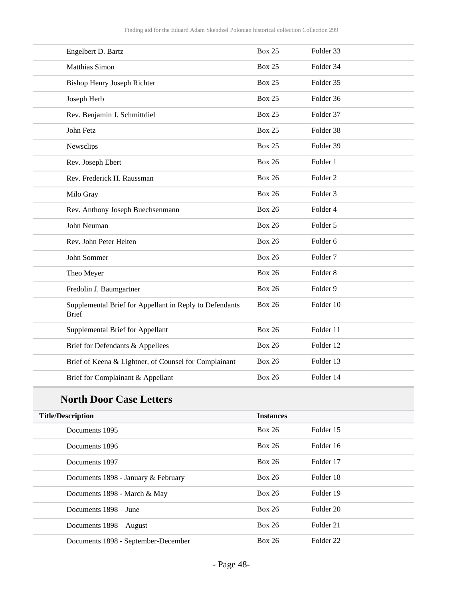| Engelbert D. Bartz                                                      | <b>Box 25</b> | Folder 33           |
|-------------------------------------------------------------------------|---------------|---------------------|
| Matthias Simon                                                          | <b>Box 25</b> | Folder 34           |
| <b>Bishop Henry Joseph Richter</b>                                      | <b>Box 25</b> | Folder 35           |
| Joseph Herb                                                             | <b>Box 25</b> | Folder 36           |
| Rev. Benjamin J. Schmittdiel                                            | <b>Box 25</b> | Folder 37           |
| John Fetz                                                               | <b>Box 25</b> | Folder 38           |
| Newsclips                                                               | <b>Box 25</b> | Folder 39           |
| Rev. Joseph Ebert                                                       | <b>Box 26</b> | Folder 1            |
| Rev. Frederick H. Raussman                                              | <b>Box 26</b> | Folder <sub>2</sub> |
| Milo Gray                                                               | <b>Box 26</b> | Folder <sub>3</sub> |
| Rev. Anthony Joseph Buechsenmann                                        | <b>Box 26</b> | Folder 4            |
| John Neuman                                                             | <b>Box 26</b> | Folder 5            |
| Rev. John Peter Helten                                                  | <b>Box 26</b> | Folder 6            |
| John Sommer                                                             | <b>Box 26</b> | Folder <sub>7</sub> |
| Theo Meyer                                                              | <b>Box 26</b> | Folder <sub>8</sub> |
| Fredolin J. Baumgartner                                                 | <b>Box 26</b> | Folder 9            |
| Supplemental Brief for Appellant in Reply to Defendants<br><b>Brief</b> | <b>Box 26</b> | Folder 10           |
| Supplemental Brief for Appellant                                        | <b>Box 26</b> | Folder 11           |
| Brief for Defendants & Appellees                                        | <b>Box 26</b> | Folder 12           |
| Brief of Keena & Lightner, of Counsel for Complainant                   | <b>Box 26</b> | Folder 13           |
| Brief for Complainant & Appellant                                       | <b>Box 26</b> | Folder 14           |

# **North Door Case Letters**

| <b>Title/Description</b>            | <b>Instances</b> |                      |  |
|-------------------------------------|------------------|----------------------|--|
| Documents 1895                      | Box 26           | Folder 15            |  |
| Documents 1896                      | Box 26           | Folder 16            |  |
| Documents 1897                      | Box 26           | Folder 17            |  |
| Documents 1898 - January & February | <b>Box 26</b>    | Folder 18            |  |
| Documents 1898 - March & May        | <b>Box 26</b>    | Folder 19            |  |
| Documents 1898 – June               | Box 26           | Folder 20            |  |
| Documents 1898 – August             | Box 26           | Folder 21            |  |
| Documents 1898 - September-December | <b>Box 26</b>    | Folder <sub>22</sub> |  |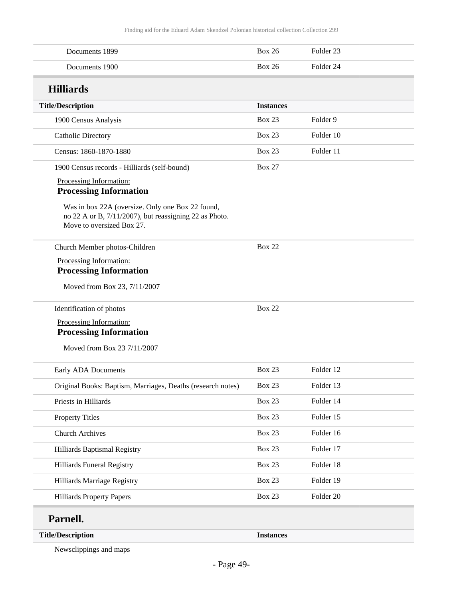| Documents 1899                                                                                                                          | <b>Box 26</b>    | Folder <sub>23</sub> |
|-----------------------------------------------------------------------------------------------------------------------------------------|------------------|----------------------|
| Documents 1900                                                                                                                          | <b>Box 26</b>    | Folder <sub>24</sub> |
| <b>Hilliards</b>                                                                                                                        |                  |                      |
| <b>Title/Description</b>                                                                                                                | <b>Instances</b> |                      |
| 1900 Census Analysis                                                                                                                    | <b>Box 23</b>    | Folder 9             |
| Catholic Directory                                                                                                                      | <b>Box 23</b>    | Folder 10            |
| Census: 1860-1870-1880                                                                                                                  | <b>Box 23</b>    | Folder 11            |
| 1900 Census records - Hilliards (self-bound)                                                                                            | <b>Box 27</b>    |                      |
| Processing Information:<br><b>Processing Information</b>                                                                                |                  |                      |
| Was in box 22A (oversize. Only one Box 22 found,<br>no 22 A or B, 7/11/2007), but reassigning 22 as Photo.<br>Move to oversized Box 27. |                  |                      |
| Church Member photos-Children                                                                                                           | <b>Box 22</b>    |                      |
| Processing Information:<br><b>Processing Information</b>                                                                                |                  |                      |
| Moved from Box 23, 7/11/2007                                                                                                            |                  |                      |
| Identification of photos                                                                                                                | <b>Box 22</b>    |                      |
| Processing Information:<br><b>Processing Information</b>                                                                                |                  |                      |
| Moved from Box 23 7/11/2007                                                                                                             |                  |                      |
| Early ADA Documents                                                                                                                     | <b>Box 23</b>    | Folder 12            |
| Original Books: Baptism, Marriages, Deaths (research notes)                                                                             | <b>Box 23</b>    | Folder 13            |
| Priests in Hilliards                                                                                                                    | <b>Box 23</b>    | Folder 14            |
| <b>Property Titles</b>                                                                                                                  | <b>Box 23</b>    | Folder 15            |
| <b>Church Archives</b>                                                                                                                  | <b>Box 23</b>    | Folder 16            |
| Hilliards Baptismal Registry                                                                                                            | <b>Box 23</b>    | Folder 17            |
| Hilliards Funeral Registry                                                                                                              | Box 23           | Folder 18            |
| Hilliards Marriage Registry                                                                                                             | <b>Box 23</b>    | Folder 19            |
| <b>Hilliards Property Papers</b>                                                                                                        | <b>Box 23</b>    | Folder 20            |
| Parnell.                                                                                                                                |                  |                      |
| <b>Title/Description</b>                                                                                                                | <b>Instances</b> |                      |
|                                                                                                                                         |                  |                      |

Newsclippings and maps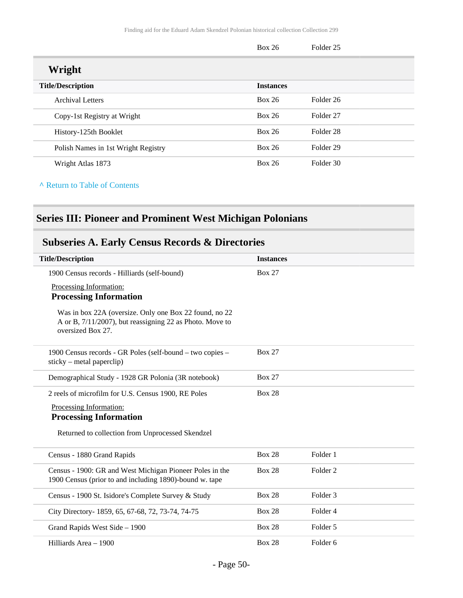|                                     | <b>Box 26</b>    | Folder 25            |
|-------------------------------------|------------------|----------------------|
| Wright                              |                  |                      |
| <b>Title/Description</b>            | <b>Instances</b> |                      |
| <b>Archival Letters</b>             | <b>Box 26</b>    | Folder 26            |
| Copy-1st Registry at Wright         | Box 26           | Folder <sub>27</sub> |
| History-125th Booklet               | <b>Box 26</b>    | Folder <sub>28</sub> |
| Polish Names in 1st Wright Registry | <b>Box 26</b>    | Folder 29            |
| Wright Atlas 1873                   | <b>Box 26</b>    | Folder 30            |

**^** [Return to Table of Contents](#page-1-0)

## **Series III: Pioneer and Prominent West Michigan Polonians**

## **Subseries A. Early Census Records & Directories**

| <b>Title/Description</b>                                                                                                                | <b>Instances</b> |                     |
|-----------------------------------------------------------------------------------------------------------------------------------------|------------------|---------------------|
| 1900 Census records - Hilliards (self-bound)                                                                                            | <b>Box 27</b>    |                     |
| Processing Information:                                                                                                                 |                  |                     |
| <b>Processing Information</b>                                                                                                           |                  |                     |
| Was in box 22A (oversize. Only one Box 22 found, no 22<br>A or B, 7/11/2007), but reassigning 22 as Photo. Move to<br>oversized Box 27. |                  |                     |
| 1900 Census records - GR Poles (self-bound – two copies –<br>$sticky - metal paperclip)$                                                | <b>Box 27</b>    |                     |
| Demographical Study - 1928 GR Polonia (3R notebook)                                                                                     | <b>Box 27</b>    |                     |
| 2 reels of microfilm for U.S. Census 1900, RE Poles                                                                                     | <b>Box 28</b>    |                     |
| Processing Information:                                                                                                                 |                  |                     |
| <b>Processing Information</b>                                                                                                           |                  |                     |
| Returned to collection from Unprocessed Skendzel                                                                                        |                  |                     |
| Census - 1880 Grand Rapids                                                                                                              | <b>Box 28</b>    | Folder 1            |
| Census - 1900: GR and West Michigan Pioneer Poles in the<br>1900 Census (prior to and including 1890)-bound w. tape                     | <b>Box 28</b>    | Folder <sub>2</sub> |
| Census - 1900 St. Isidore's Complete Survey & Study                                                                                     | <b>Box 28</b>    | Folder <sub>3</sub> |
| City Directory- 1859, 65, 67-68, 72, 73-74, 74-75                                                                                       | <b>Box 28</b>    | Folder <sub>4</sub> |
| Grand Rapids West Side - 1900                                                                                                           | <b>Box 28</b>    | Folder 5            |
| Hilliards Area - 1900                                                                                                                   | <b>Box 28</b>    | Folder <sub>6</sub> |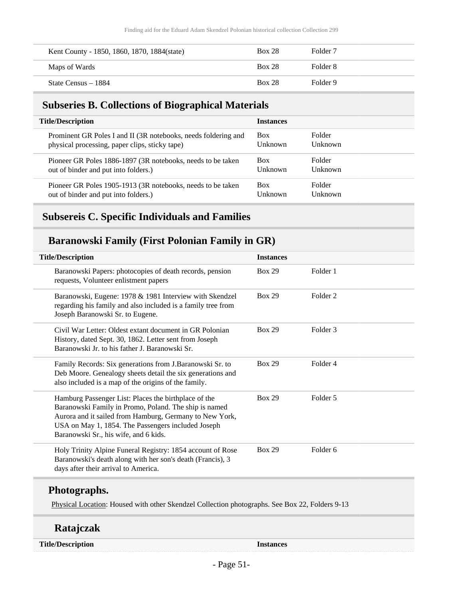| Kent County - 1850, 1860, 1870, 1884(state) | <b>Box 28</b> | Folder <sub>7</sub> |
|---------------------------------------------|---------------|---------------------|
| Maps of Wards                               | <b>Box 28</b> | Folder 8            |
| State Census – 1884                         | <b>Box 28</b> | Folder 9            |

### **Subseries B. Collections of Biographical Materials**

| <b>Title/Description</b>                                       | <b>Instances</b> |               |
|----------------------------------------------------------------|------------------|---------------|
| Prominent GR Poles I and II (3R notebooks, needs foldering and | <b>Box</b>       | <b>Folder</b> |
| physical processing, paper clips, sticky tape)                 | <b>Unknown</b>   | Unknown       |
| Pioneer GR Poles 1886-1897 (3R notebooks, needs to be taken    | <b>Box</b>       | <b>Folder</b> |
| out of binder and put into folders.)                           | Unknown          | Unknown       |
| Pioneer GR Poles 1905-1913 (3R notebooks, needs to be taken    | <b>Box</b>       | Folder        |
| out of binder and put into folders.)                           | <b>Unknown</b>   | Unknown       |

### **Subsereis C. Specific Individuals and Families**

### **Baranowski Family (First Polonian Family in GR)**

| <b>Title/Description</b>                                                                                                                                                                                                                                                | <b>Instances</b> |                     |  |
|-------------------------------------------------------------------------------------------------------------------------------------------------------------------------------------------------------------------------------------------------------------------------|------------------|---------------------|--|
| Baranowski Papers: photocopies of death records, pension<br>requests, Volunteer enlistment papers                                                                                                                                                                       | <b>Box 29</b>    | Folder 1            |  |
| Baranowski, Eugene: 1978 & 1981 Interview with Skendzel<br>regarding his family and also included is a family tree from<br>Joseph Baranowski Sr. to Eugene.                                                                                                             | <b>Box 29</b>    | Folder <sub>2</sub> |  |
| Civil War Letter: Oldest extant document in GR Polonian<br>History, dated Sept. 30, 1862. Letter sent from Joseph<br>Baranowski Jr. to his father J. Baranowski Sr.                                                                                                     | <b>Box 29</b>    | Folder 3            |  |
| Family Records: Six generations from J.Baranowski Sr. to<br>Deb Moore. Genealogy sheets detail the six generations and<br>also included is a map of the origins of the family.                                                                                          | <b>Box 29</b>    | Folder 4            |  |
| Hamburg Passenger List: Places the birthplace of the<br>Baranowski Family in Promo, Poland. The ship is named<br>Aurora and it sailed from Hamburg, Germany to New York,<br>USA on May 1, 1854. The Passengers included Joseph<br>Baranowski Sr., his wife, and 6 kids. | <b>Box 29</b>    | Folder 5            |  |
| Holy Trinity Alpine Funeral Registry: 1854 account of Rose<br>Baranowski's death along with her son's death (Francis), 3<br>days after their arrival to America.                                                                                                        | <b>Box 29</b>    | Folder 6            |  |

### **Photographs.**

Physical Location: Housed with other Skendzel Collection photographs. See Box 22, Folders 9-13

### **Ratajczak**

**Title/Description Instances**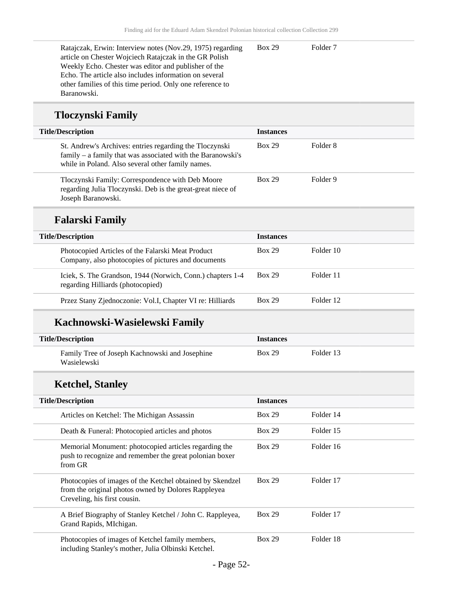| Ratajczak, Erwin: Interview notes (Nov.29, 1975) regarding | <b>Box 29</b> | Folder 7 |
|------------------------------------------------------------|---------------|----------|
| article on Chester Wojciech Ratajczak in the GR Polish     |               |          |
| Weekly Echo. Chester was editor and publisher of the       |               |          |
| Echo. The article also includes information on several     |               |          |
| other families of this time period. Only one reference to  |               |          |
| Baranowski.                                                |               |          |

## **Tloczynski Family**

| <b>Title/Description</b>                                                                                                                                                    | <b>Instances</b> |                     |  |
|-----------------------------------------------------------------------------------------------------------------------------------------------------------------------------|------------------|---------------------|--|
| St. Andrew's Archives: entries regarding the Tloczynski<br>family – a family that was associated with the Baranowski's<br>while in Poland. Also several other family names. | <b>Box 29</b>    | Folder <sub>8</sub> |  |
| Tloczynski Family: Correspondence with Deb Moore<br>regarding Julia Tloczynski. Deb is the great-great niece of<br>Joseph Baranowski.                                       | <b>Box 29</b>    | Folder 9            |  |
| <b>Falarski Family</b>                                                                                                                                                      |                  |                     |  |
| <b>Title/Description</b>                                                                                                                                                    | <b>Instances</b> |                     |  |
|                                                                                                                                                                             | <b>Box 29</b>    | Folder 10           |  |
| Photocopied Articles of the Falarski Meat Product<br>Company, also photocopies of pictures and documents                                                                    |                  |                     |  |
| Iciek, S. The Grandson, 1944 (Norwich, Conn.) chapters 1-4<br>regarding Hilliards (photocopied)                                                                             | <b>Box 29</b>    | Folder 11           |  |

## **Kachnowski-Wasielewski Family**

| <b>Title/Description</b>                                      | <i><u><b>Instances</b></u></i> |           |  |
|---------------------------------------------------------------|--------------------------------|-----------|--|
| Family Tree of Joseph Kachnowski and Josephine<br>Wasielewski | <b>Box 29</b>                  | Folder 13 |  |

## **Ketchel, Stanley**

| <b>Title/Description</b>                                                                                                                         | <b>Instances</b> |           |  |
|--------------------------------------------------------------------------------------------------------------------------------------------------|------------------|-----------|--|
| Articles on Ketchel: The Michigan Assassin                                                                                                       | <b>Box 29</b>    | Folder 14 |  |
| Death & Funeral: Photocopied articles and photos                                                                                                 | <b>Box 29</b>    | Folder 15 |  |
| Memorial Monument: photocopied articles regarding the<br>push to recognize and remember the great polonian boxer<br>from GR                      | <b>Box 29</b>    | Folder 16 |  |
| Photocopies of images of the Ketchel obtained by Skendzel<br>from the original photos owned by Dolores Rappleyea<br>Creveling, his first cousin. | <b>Box 29</b>    | Folder 17 |  |
| A Brief Biography of Stanley Ketchel / John C. Rappleyea,<br>Grand Rapids, MIchigan.                                                             | <b>Box 29</b>    | Folder 17 |  |
| Photocopies of images of Ketchel family members,<br>including Stanley's mother, Julia Olbinski Ketchel.                                          | <b>Box 29</b>    | Folder 18 |  |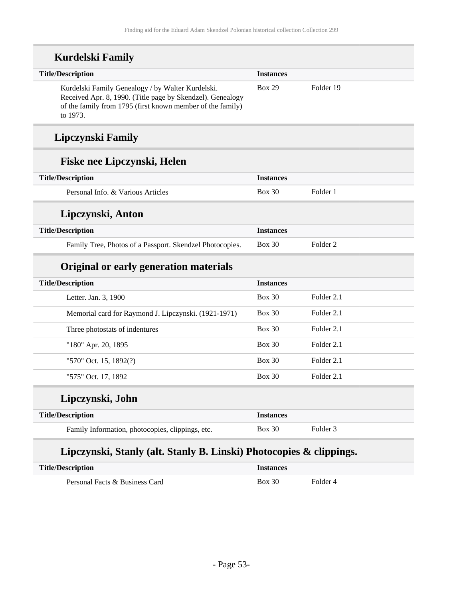| <b>Title/Description</b>                                                                                                                                                                  | <b>Instances</b> |                     |
|-------------------------------------------------------------------------------------------------------------------------------------------------------------------------------------------|------------------|---------------------|
| Kurdelski Family Genealogy / by Walter Kurdelski.<br>Received Apr. 8, 1990. (Title page by Skendzel). Genealogy<br>of the family from 1795 (first known member of the family)<br>to 1973. | <b>Box 29</b>    | Folder 19           |
| Lipczynski Family                                                                                                                                                                         |                  |                     |
| Fiske nee Lipczynski, Helen                                                                                                                                                               |                  |                     |
| <b>Title/Description</b>                                                                                                                                                                  | <b>Instances</b> |                     |
| Personal Info. & Various Articles                                                                                                                                                         | Box 30           | Folder 1            |
| Lipczynski, Anton                                                                                                                                                                         |                  |                     |
| <b>Title/Description</b>                                                                                                                                                                  | <b>Instances</b> |                     |
| Family Tree, Photos of a Passport. Skendzel Photocopies.                                                                                                                                  | <b>Box 30</b>    | Folder <sub>2</sub> |
| Original or early generation materials                                                                                                                                                    |                  |                     |
| <b>Title/Description</b>                                                                                                                                                                  | <b>Instances</b> |                     |
| Letter. Jan. 3, 1900                                                                                                                                                                      | $Box\ 30$        | Folder 2.1          |
| Memorial card for Raymond J. Lipczynski. (1921-1971)                                                                                                                                      | $Box\ 30$        | Folder 2.1          |
| Three photostats of indentures                                                                                                                                                            | <b>Box 30</b>    | Folder 2.1          |
| "180" Apr. 20, 1895                                                                                                                                                                       | <b>Box 30</b>    | Folder 2.1          |
| "570" Oct. 15, 1892(?)                                                                                                                                                                    | <b>Box 30</b>    | Folder 2.1          |
| "575" Oct. 17, 1892                                                                                                                                                                       | <b>Box 30</b>    | Folder 2.1          |
| Lipczynski, John                                                                                                                                                                          |                  |                     |
| <b>Title/Description</b>                                                                                                                                                                  | <b>Instances</b> |                     |
| Family Information, photocopies, clippings, etc.                                                                                                                                          | <b>Box 30</b>    | Folder 3            |

| <b>Title/Description</b>       | Instances |          |
|--------------------------------|-----------|----------|
| Personal Facts & Business Card | Box 30    | Folder 4 |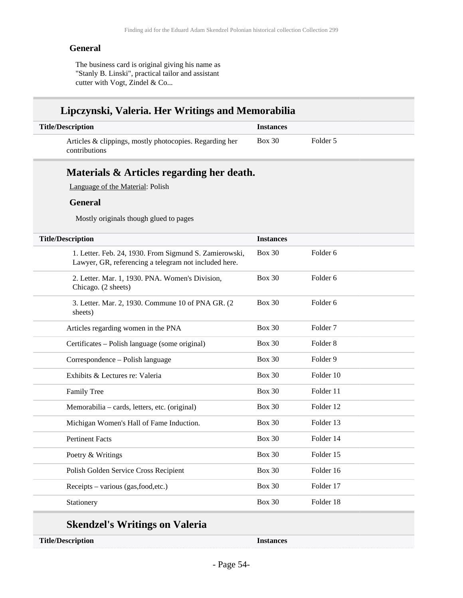#### **General**

The business card is original giving his name as "Stanly B. Linski", practical tailor and assistant cutter with Vogt, Zindel & Co...

### **Lipczynski, Valeria. Her Writings and Memorabilia**

| <b>Title/Description</b>                                                        | <i><u><b>Instances</b></u></i> |          |  |
|---------------------------------------------------------------------------------|--------------------------------|----------|--|
| Articles & clippings, mostly photocopies. Regarding her<br><i>contributions</i> | <b>Box 30</b>                  | Folder 5 |  |

## **Materials & Articles regarding her death.**

Language of the Material: Polish

#### **General**

Mostly originals though glued to pages

| <b>Title/Description</b>                                                                                        | <b>Instances</b> |                     |
|-----------------------------------------------------------------------------------------------------------------|------------------|---------------------|
| 1. Letter. Feb. 24, 1930. From Sigmund S. Zamierowski,<br>Lawyer, GR, referencing a telegram not included here. | <b>Box 30</b>    | Folder <sub>6</sub> |
| 2. Letter. Mar. 1, 1930. PNA. Women's Division,<br>Chicago. (2 sheets)                                          | <b>Box 30</b>    | Folder <sub>6</sub> |
| 3. Letter. Mar. 2, 1930. Commune 10 of PNA GR. (2<br>sheets)                                                    | <b>Box 30</b>    | Folder <sub>6</sub> |
| Articles regarding women in the PNA                                                                             | <b>Box 30</b>    | Folder <sub>7</sub> |
| Certificates – Polish language (some original)                                                                  | <b>Box 30</b>    | Folder <sub>8</sub> |
| Correspondence – Polish language                                                                                | <b>Box 30</b>    | Folder 9            |
| Exhibits & Lectures re: Valeria                                                                                 | <b>Box 30</b>    | Folder 10           |
| Family Tree                                                                                                     | <b>Box 30</b>    | Folder 11           |
| Memorabilia – cards, letters, etc. (original)                                                                   | <b>Box 30</b>    | Folder 12           |
| Michigan Women's Hall of Fame Induction.                                                                        | <b>Box 30</b>    | Folder 13           |
| <b>Pertinent Facts</b>                                                                                          | <b>Box 30</b>    | Folder 14           |
| Poetry & Writings                                                                                               | <b>Box 30</b>    | Folder 15           |
| Polish Golden Service Cross Recipient                                                                           | <b>Box 30</b>    | Folder 16           |
| Receipts – various (gas, food, etc.)                                                                            | <b>Box 30</b>    | Folder 17           |
| Stationery                                                                                                      | <b>Box 30</b>    | Folder 18           |

### **Skendzel's Writings on Valeria**

**Title/Description Instances**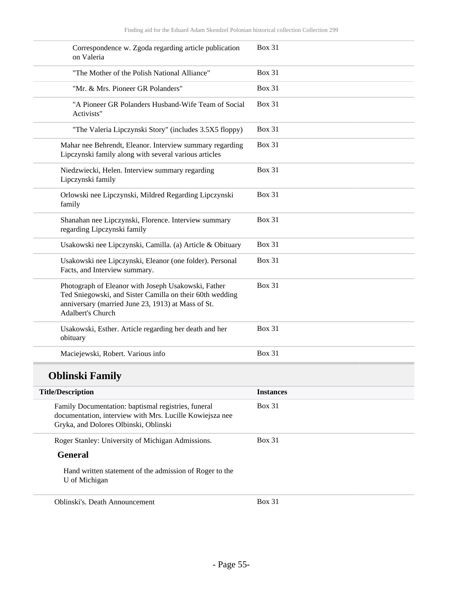| Correspondence w. Zgoda regarding article publication<br>on Valeria                                                                                                                        | <b>Box 31</b>    |
|--------------------------------------------------------------------------------------------------------------------------------------------------------------------------------------------|------------------|
| "The Mother of the Polish National Alliance"                                                                                                                                               | <b>Box 31</b>    |
| "Mr. & Mrs. Pioneer GR Polanders"                                                                                                                                                          | <b>Box 31</b>    |
| "A Pioneer GR Polanders Husband-Wife Team of Social<br>Activists"                                                                                                                          | <b>Box 31</b>    |
| "The Valeria Lipczynski Story" (includes 3.5X5 floppy)                                                                                                                                     | <b>Box 31</b>    |
| Mahar nee Behrendt, Eleanor. Interview summary regarding<br>Lipczynski family along with several various articles                                                                          | <b>Box 31</b>    |
| Niedzwiecki, Helen. Interview summary regarding<br>Lipczynski family                                                                                                                       | <b>Box 31</b>    |
| Orlowski nee Lipczynski, Mildred Regarding Lipczynski<br>family                                                                                                                            | <b>Box 31</b>    |
| Shanahan nee Lipczynski, Florence. Interview summary<br>regarding Lipczynski family                                                                                                        | <b>Box 31</b>    |
| Usakowski nee Lipczynski, Camilla. (a) Article & Obituary                                                                                                                                  | <b>Box 31</b>    |
| Usakowski nee Lipczynski, Eleanor (one folder). Personal<br>Facts, and Interview summary.                                                                                                  | <b>Box 31</b>    |
| Photograph of Eleanor with Joseph Usakowski, Father<br>Ted Sniegowski, and Sister Camilla on their 60th wedding<br>anniversary (married June 23, 1913) at Mass of St.<br>Adalbert's Church | <b>Box 31</b>    |
| Usakowski, Esther. Article regarding her death and her<br>obituary                                                                                                                         | <b>Box 31</b>    |
| Maciejewski, Robert. Various info                                                                                                                                                          | <b>Box 31</b>    |
| <b>Oblinski Family</b>                                                                                                                                                                     |                  |
| <b>Title/Description</b>                                                                                                                                                                   | <b>Instances</b> |
| Family Documentation: baptismal registries, funeral<br>documentation, interview with Mrs. Lucille Kowiejsza nee<br>Gryka, and Dolores Olbinski, Oblinski                                   | <b>Box 31</b>    |
| Roger Stanley: University of Michigan Admissions.                                                                                                                                          | <b>Box 31</b>    |
| <b>General</b>                                                                                                                                                                             |                  |
| Hand written statement of the admission of Roger to the<br>U of Michigan                                                                                                                   |                  |
| Oblinski's. Death Announcement                                                                                                                                                             | <b>Box 31</b>    |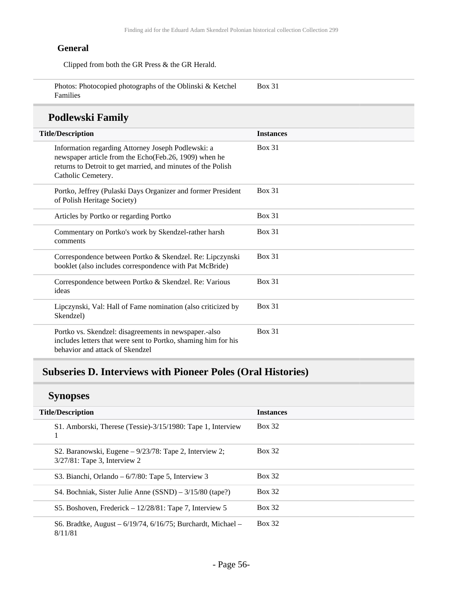### **General**

Clipped from both the GR Press & the GR Herald.

| Photos: Photocopied photographs of the Oblinski & Ketchel | <b>Box 31</b> |  |
|-----------------------------------------------------------|---------------|--|
| Families                                                  |               |  |

## **Podlewski Family**

| <b>Title/Description</b>                                                                                                                                                                          | <b>Instances</b> |
|---------------------------------------------------------------------------------------------------------------------------------------------------------------------------------------------------|------------------|
| Information regarding Attorney Joseph Podlewski: a<br>newspaper article from the Echo(Feb.26, 1909) when he<br>returns to Detroit to get married, and minutes of the Polish<br>Catholic Cemetery. | <b>Box 31</b>    |
| Portko, Jeffrey (Pulaski Days Organizer and former President<br>of Polish Heritage Society)                                                                                                       | <b>Box 31</b>    |
| Articles by Portko or regarding Portko                                                                                                                                                            | <b>Box 31</b>    |
| Commentary on Portko's work by Skendzel-rather harsh<br>comments                                                                                                                                  | <b>Box 31</b>    |
| Correspondence between Portko & Skendzel. Re: Lipczynski<br>booklet (also includes correspondence with Pat McBride)                                                                               | <b>Box 31</b>    |
| Correspondence between Portko & Skendzel. Re: Various<br>ideas                                                                                                                                    | <b>Box 31</b>    |
| Lipczynski, Val: Hall of Fame nomination (also criticized by<br>Skendzel)                                                                                                                         | <b>Box 31</b>    |
| Portko vs. Skendzel: disagreements in newspaper.-also<br>includes letters that were sent to Portko, shaming him for his<br>behavior and attack of Skendzel                                        | <b>Box 31</b>    |

# **Subseries D. Interviews with Pioneer Poles (Oral Histories)**

## **Synopses**

| <b>Title/Description</b>                                                                    | <b>Instances</b> |
|---------------------------------------------------------------------------------------------|------------------|
| S1. Amborski, Therese (Tessie)-3/15/1980: Tape 1, Interview<br>1                            | <b>Box 32</b>    |
| S2. Baranowski, Eugene $-9/23/78$ : Tape 2, Interview 2;<br>$3/27/81$ : Tape 3, Interview 2 | <b>Box 32</b>    |
| S3. Bianchi, Orlando – $6/7/80$ : Tape 5, Interview 3                                       | <b>Box 32</b>    |
| S4. Bochniak, Sister Julie Anne $(SSND)$ – 3/15/80 (tape?)                                  | <b>Box 32</b>    |
| S5. Boshoven, Frederick $-12/28/81$ : Tape 7, Interview 5                                   | <b>Box 32</b>    |
| S6. Bradtke, August – $6/19/74$ , $6/16/75$ ; Burchardt, Michael –<br>8/11/81               | <b>Box 32</b>    |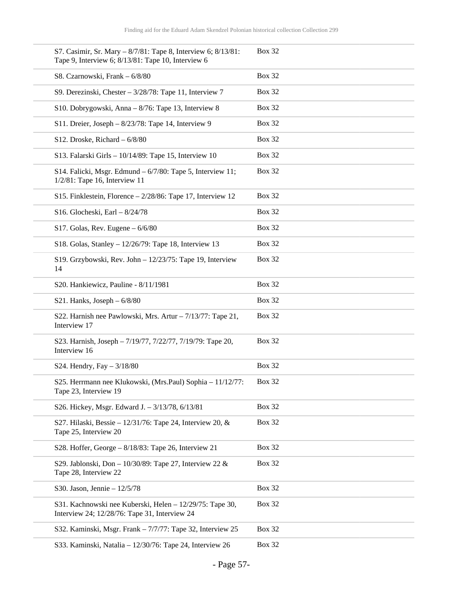| S7. Casimir, Sr. Mary - 8/7/81: Tape 8, Interview 6; 8/13/81:<br>Tape 9, Interview 6; 8/13/81: Tape 10, Interview 6 | <b>Box 32</b> |
|---------------------------------------------------------------------------------------------------------------------|---------------|
| S8. Czarnowski, Frank - 6/8/80                                                                                      | <b>Box 32</b> |
| S9. Derezinski, Chester $-3/28/78$ : Tape 11, Interview 7                                                           | <b>Box 32</b> |
| S10. Dobrygowski, Anna – 8/76: Tape 13, Interview 8                                                                 | <b>Box 32</b> |
| S11. Dreier, Joseph - 8/23/78: Tape 14, Interview 9                                                                 | <b>Box 32</b> |
| S12. Droske, Richard $-6/8/80$                                                                                      | <b>Box 32</b> |
| S13. Falarski Girls - $10/14/89$ : Tape 15, Interview 10                                                            | <b>Box 32</b> |
| S14. Falicki, Msgr. Edmund - 6/7/80: Tape 5, Interview 11;<br>$1/2/81$ : Tape 16, Interview 11                      | <b>Box 32</b> |
| S15. Finklestein, Florence $-2/28/86$ : Tape 17, Interview 12                                                       | <b>Box 32</b> |
| S16. Glocheski, Earl - 8/24/78                                                                                      | <b>Box 32</b> |
| S17. Golas, Rev. Eugene $-6/6/80$                                                                                   | <b>Box 32</b> |
| S18. Golas, Stanley - $12/26/79$ : Tape 18, Interview 13                                                            | <b>Box 32</b> |
| S19. Grzybowski, Rev. John - 12/23/75: Tape 19, Interview<br>14                                                     | <b>Box 32</b> |
| S20. Hankiewicz, Pauline - 8/11/1981                                                                                | <b>Box 32</b> |
| S21. Hanks, Joseph $-6/8/80$                                                                                        | <b>Box 32</b> |
| S22. Harnish nee Pawlowski, Mrs. Artur - 7/13/77: Tape 21,<br>Interview 17                                          | <b>Box 32</b> |
| S23. Harnish, Joseph - 7/19/77, 7/22/77, 7/19/79: Tape 20,<br>Interview 16                                          | <b>Box 32</b> |
| S24. Hendry, Fay $-3/18/80$                                                                                         | <b>Box 32</b> |
| S25. Herrmann nee Klukowski, (Mrs.Paul) Sophia – 11/12/77:<br>Tape 23, Interview 19                                 | <b>Box 32</b> |
| S26. Hickey, Msgr. Edward J. - 3/13/78, 6/13/81                                                                     | <b>Box 32</b> |
| S27. Hilaski, Bessie – $12/31/76$ : Tape 24, Interview 20, &<br>Tape 25, Interview 20                               | <b>Box 32</b> |
| S28. Hoffer, George $-8/18/83$ : Tape 26, Interview 21                                                              | <b>Box 32</b> |
| S29. Jablonski, Don - $10/30/89$ : Tape 27, Interview 22 &<br>Tape 28, Interview 22                                 | <b>Box 32</b> |
| S30. Jason, Jennie $-12/5/78$                                                                                       | <b>Box 32</b> |
| S31. Kachnowski nee Kuberski, Helen - 12/29/75: Tape 30,<br>Interview 24; 12/28/76: Tape 31, Interview 24           | <b>Box 32</b> |
| S32. Kaminski, Msgr. Frank - 7/7/77: Tape 32, Interview 25                                                          | <b>Box 32</b> |
| S33. Kaminski, Natalia - 12/30/76: Tape 24, Interview 26                                                            | <b>Box 32</b> |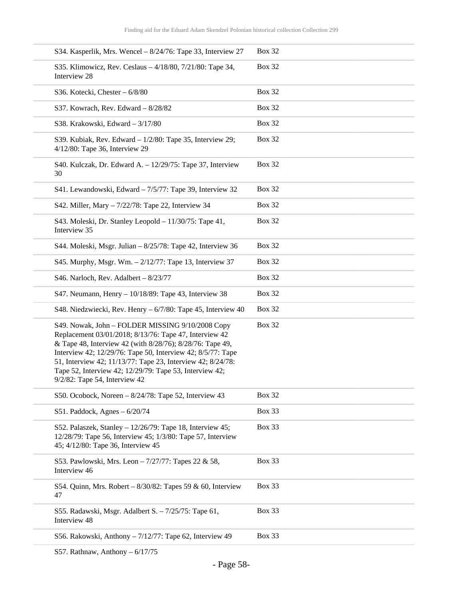| S34. Kasperlik, Mrs. Wencel - 8/24/76: Tape 33, Interview 27                                                                                                                                                                                                                                                                                                                                      | <b>Box 32</b> |
|---------------------------------------------------------------------------------------------------------------------------------------------------------------------------------------------------------------------------------------------------------------------------------------------------------------------------------------------------------------------------------------------------|---------------|
| S35. Klimowicz, Rev. Ceslaus - 4/18/80, 7/21/80: Tape 34,<br>Interview 28                                                                                                                                                                                                                                                                                                                         | <b>Box 32</b> |
| S36. Kotecki, Chester - 6/8/80                                                                                                                                                                                                                                                                                                                                                                    | <b>Box 32</b> |
| S37. Kowrach, Rev. Edward - 8/28/82                                                                                                                                                                                                                                                                                                                                                               | <b>Box 32</b> |
| S38. Krakowski, Edward - 3/17/80                                                                                                                                                                                                                                                                                                                                                                  | <b>Box 32</b> |
| S39. Kubiak, Rev. Edward $-1/2/80$ : Tape 35, Interview 29;<br>4/12/80: Tape 36, Interview 29                                                                                                                                                                                                                                                                                                     | <b>Box 32</b> |
| S40. Kulczak, Dr. Edward A. - 12/29/75: Tape 37, Interview<br>30                                                                                                                                                                                                                                                                                                                                  | <b>Box 32</b> |
| S41. Lewandowski, Edward - 7/5/77: Tape 39, Interview 32                                                                                                                                                                                                                                                                                                                                          | <b>Box 32</b> |
| S42. Miller, Mary - 7/22/78: Tape 22, Interview 34                                                                                                                                                                                                                                                                                                                                                | <b>Box 32</b> |
| S43. Moleski, Dr. Stanley Leopold - 11/30/75: Tape 41,<br>Interview 35                                                                                                                                                                                                                                                                                                                            | <b>Box 32</b> |
| S44. Moleski, Msgr. Julian - 8/25/78: Tape 42, Interview 36                                                                                                                                                                                                                                                                                                                                       | <b>Box 32</b> |
| S45. Murphy, Msgr. Wm. - 2/12/77: Tape 13, Interview 37                                                                                                                                                                                                                                                                                                                                           | <b>Box 32</b> |
| S46. Narloch, Rev. Adalbert $-8/23/77$                                                                                                                                                                                                                                                                                                                                                            | <b>Box 32</b> |
| S47. Neumann, Henry - 10/18/89: Tape 43, Interview 38                                                                                                                                                                                                                                                                                                                                             | <b>Box 32</b> |
| S48. Niedzwiecki, Rev. Henry – 6/7/80: Tape 45, Interview 40                                                                                                                                                                                                                                                                                                                                      | <b>Box 32</b> |
| S49. Nowak, John - FOLDER MISSING 9/10/2008 Copy<br>Replacement 03/01/2018; 8/13/76: Tape 47, Interview 42<br>& Tape 48, Interview 42 (with 8/28/76); 8/28/76: Tape 49,<br>Interview 42; 12/29/76: Tape 50, Interview 42; 8/5/77: Tape<br>51, Interview 42; 11/13/77: Tape 23, Interview 42; 8/24/78:<br>Tape 52, Interview 42; 12/29/79: Tape 53, Interview 42;<br>9/2/82: Tape 54, Interview 42 | <b>Box 32</b> |
| S50. Ocobock, Noreen $-8/24/78$ : Tape 52, Interview 43                                                                                                                                                                                                                                                                                                                                           | <b>Box 32</b> |
| S51. Paddock, Agnes $-6/20/74$                                                                                                                                                                                                                                                                                                                                                                    | <b>Box 33</b> |
| S52. Palaszek, Stanley - $12/26/79$ : Tape 18, Interview 45;<br>12/28/79: Tape 56, Interview 45; 1/3/80: Tape 57, Interview<br>45; 4/12/80: Tape 36, Interview 45                                                                                                                                                                                                                                 | Box 33        |
| S53. Pawlowski, Mrs. Leon - 7/27/77: Tapes 22 & 58,<br>Interview 46                                                                                                                                                                                                                                                                                                                               | Box 33        |
| S54. Quinn, Mrs. Robert $-8/30/82$ : Tapes 59 & 60, Interview<br>47                                                                                                                                                                                                                                                                                                                               | Box 33        |
| S55. Radawski, Msgr. Adalbert S. - 7/25/75: Tape 61,<br>Interview 48                                                                                                                                                                                                                                                                                                                              | <b>Box 33</b> |
| S56. Rakowski, Anthony - 7/12/77: Tape 62, Interview 49                                                                                                                                                                                                                                                                                                                                           | Box 33        |
|                                                                                                                                                                                                                                                                                                                                                                                                   |               |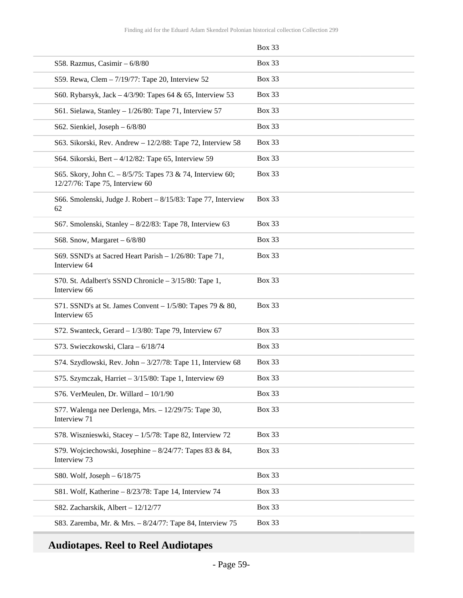|                                                                                               | <b>Box 33</b> |
|-----------------------------------------------------------------------------------------------|---------------|
| S58. Razmus, Casimir - 6/8/80                                                                 | <b>Box 33</b> |
| S59. Rewa, Clem - 7/19/77: Tape 20, Interview 52                                              | <b>Box 33</b> |
| S60. Rybarsyk, Jack $-4/3/90$ : Tapes 64 & 65, Interview 53                                   | <b>Box 33</b> |
| S61. Sielawa, Stanley - $1/26/80$ : Tape 71, Interview 57                                     | <b>Box 33</b> |
| S62. Sienkiel, Joseph $-6/8/80$                                                               | <b>Box 33</b> |
| S63. Sikorski, Rev. Andrew - 12/2/88: Tape 72, Interview 58                                   | <b>Box 33</b> |
| S64. Sikorski, Bert – 4/12/82: Tape 65, Interview 59                                          | <b>Box 33</b> |
| S65. Skory, John C. - 8/5/75: Tapes 73 & 74, Interview 60;<br>12/27/76: Tape 75, Interview 60 | <b>Box 33</b> |
| S66. Smolenski, Judge J. Robert – 8/15/83: Tape 77, Interview<br>62                           | <b>Box 33</b> |
| S67. Smolenski, Stanley – 8/22/83: Tape 78, Interview 63                                      | <b>Box 33</b> |
| S68. Snow, Margaret $-6/8/80$                                                                 | <b>Box 33</b> |
| S69. SSND's at Sacred Heart Parish - 1/26/80: Tape 71,<br>Interview 64                        | <b>Box 33</b> |
| S70. St. Adalbert's SSND Chronicle - 3/15/80: Tape 1,<br>Interview 66                         | Box 33        |
| S71. SSND's at St. James Convent $-1/5/80$ : Tapes 79 & 80,<br>Interview 65                   | Box 33        |
| S72. Swanteck, Gerard $-1/3/80$ : Tape 79, Interview 67                                       | <b>Box 33</b> |
| S73. Swieczkowski, Clara - 6/18/74                                                            | <b>Box 33</b> |
| S74. Szydlowski, Rev. John - 3/27/78: Tape 11, Interview 68                                   | <b>Box 33</b> |
| S75. Szymczak, Harriet $-3/15/80$ : Tape 1, Interview 69                                      | <b>Box 33</b> |
| S76. VerMeulen, Dr. Willard - 10/1/90                                                         | <b>Box 33</b> |
| S77. Walenga nee Derlenga, Mrs. - 12/29/75: Tape 30,<br>Interview 71                          | <b>Box 33</b> |
| S78. Wisznieswki, Stacey - 1/5/78: Tape 82, Interview 72                                      | <b>Box 33</b> |
| S79. Wojciechowski, Josephine – $8/24/77$ : Tapes 83 & 84,<br>Interview 73                    | Box 33        |
| S80. Wolf, Joseph $-6/18/75$                                                                  | <b>Box 33</b> |
| S81. Wolf, Katherine - 8/23/78: Tape 14, Interview 74                                         | Box 33        |
| S82. Zacharskik, Albert - 12/12/77                                                            | <b>Box 33</b> |
| S83. Zaremba, Mr. & Mrs. - 8/24/77: Tape 84, Interview 75                                     | Box 33        |

# **Audiotapes. Reel to Reel Audiotapes**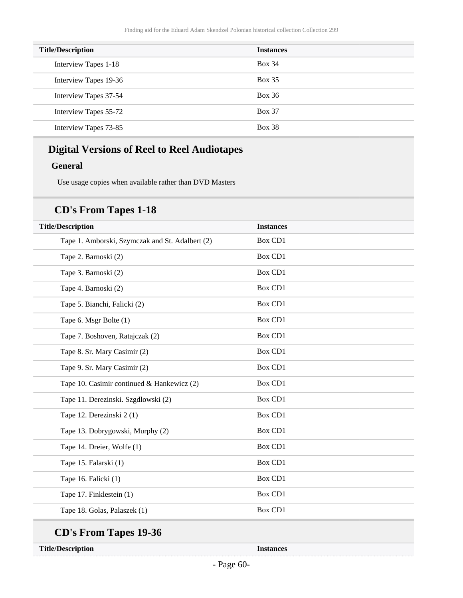| <b>Title/Description</b> | <b>Instances</b> |
|--------------------------|------------------|
| Interview Tapes 1-18     | <b>Box 34</b>    |
| Interview Tapes 19-36    | Box 35           |
| Interview Tapes 37-54    | <b>Box 36</b>    |
| Interview Tapes 55-72    | <b>Box 37</b>    |
| Interview Tapes 73-85    | <b>Box 38</b>    |

## **Digital Versions of Reel to Reel Audiotapes**

### **General**

Use usage copies when available rather than DVD Masters

### **CD's From Tapes 1-18**

| <b>Title/Description</b>                        | <b>Instances</b> |
|-------------------------------------------------|------------------|
| Tape 1. Amborski, Szymczak and St. Adalbert (2) | <b>Box CD1</b>   |
| Tape 2. Barnoski (2)                            | <b>Box CD1</b>   |
| Tape 3. Barnoski (2)                            | <b>Box CD1</b>   |
| Tape 4. Barnoski (2)                            | <b>Box CD1</b>   |
| Tape 5. Bianchi, Falicki (2)                    | <b>Box CD1</b>   |
| Tape 6. Msgr Bolte (1)                          | <b>Box CD1</b>   |
| Tape 7. Boshoven, Ratajczak (2)                 | <b>Box CD1</b>   |
| Tape 8. Sr. Mary Casimir (2)                    | <b>Box CD1</b>   |
| Tape 9. Sr. Mary Casimir (2)                    | <b>Box CD1</b>   |
| Tape 10. Casimir continued & Hankewicz (2)      | <b>Box CD1</b>   |
| Tape 11. Derezinski. Szgdlowski (2)             | <b>Box CD1</b>   |
| Tape 12. Derezinski 2(1)                        | Box CD1          |
| Tape 13. Dobrygowski, Murphy (2)                | <b>Box CD1</b>   |
| Tape 14. Dreier, Wolfe (1)                      | <b>Box CD1</b>   |
| Tape 15. Falarski (1)                           | <b>Box CD1</b>   |
| Tape 16. Falicki (1)                            | <b>Box CD1</b>   |
| Tape 17. Finklestein (1)                        | <b>Box CD1</b>   |
| Tape 18. Golas, Palaszek (1)                    | Box CD1          |

# **CD's From Tapes 19-36**

**Title/Description Instances**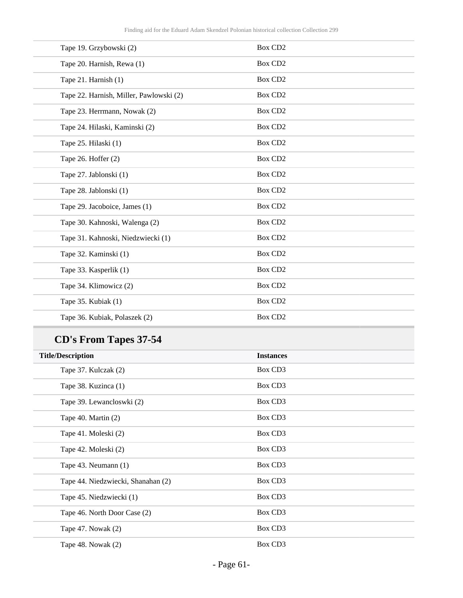| Tape 19. Grzybowski (2)                 | <b>Box CD2</b>      |
|-----------------------------------------|---------------------|
| Tape 20. Harnish, Rewa (1)              | Box CD <sub>2</sub> |
| Tape 21. Harnish (1)                    | Box CD <sub>2</sub> |
| Tape 22. Harnish, Miller, Pawlowski (2) | Box CD <sub>2</sub> |
| Tape 23. Herrmann, Nowak (2)            | Box CD <sub>2</sub> |
| Tape 24. Hilaski, Kaminski (2)          | Box CD <sub>2</sub> |
| Tape 25. Hilaski (1)                    | <b>Box CD2</b>      |
| Tape 26. Hoffer (2)                     | <b>Box CD2</b>      |
| Tape 27. Jablonski (1)                  | <b>Box CD2</b>      |
| Tape 28. Jablonski (1)                  | Box CD <sub>2</sub> |
| Tape 29. Jacoboice, James (1)           | Box CD <sub>2</sub> |
| Tape 30. Kahnoski, Walenga (2)          | Box CD <sub>2</sub> |
| Tape 31. Kahnoski, Niedzwiecki (1)      | <b>Box CD2</b>      |
| Tape 32. Kaminski (1)                   | <b>Box CD2</b>      |
| Tape 33. Kasperlik (1)                  | <b>Box CD2</b>      |
| Tape 34. Klimowicz (2)                  | Box CD <sub>2</sub> |
| Tape 35. Kubiak (1)                     | Box CD <sub>2</sub> |
| Tape 36. Kubiak, Polaszek (2)           | <b>Box CD2</b>      |

# **CD's From Tapes 37-54**

| <b>Title/Description</b>           | <b>Instances</b> |
|------------------------------------|------------------|
| Tape 37. Kulczak (2)               | Box CD3          |
| Tape 38. Kuzinca (1)               | Box CD3          |
| Tape 39. Lewancloswki (2)          | Box CD3          |
| Tape 40. Martin (2)                | Box CD3          |
| Tape 41. Moleski (2)               | Box CD3          |
| Tape 42. Moleski (2)               | Box CD3          |
| Tape 43. Neumann (1)               | Box CD3          |
| Tape 44. Niedzwiecki, Shanahan (2) | Box CD3          |
| Tape 45. Niedzwiecki (1)           | Box CD3          |
| Tape 46. North Door Case (2)       | Box CD3          |
| Tape 47. Nowak (2)                 | Box CD3          |
| Tape 48. Nowak (2)                 | Box CD3          |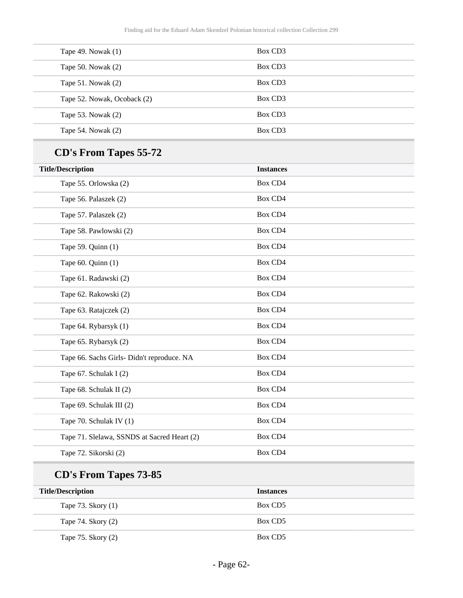| Tape 49. Nowak $(1)$        | Box CD3             |  |
|-----------------------------|---------------------|--|
| Tape 50. Nowak $(2)$        | Box CD <sub>3</sub> |  |
| Tape 51. Nowak $(2)$        | Box CD <sub>3</sub> |  |
| Tape 52. Nowak, Ocoback (2) | Box CD <sub>3</sub> |  |
| Tape 53. Nowak $(2)$        | Box CD <sub>3</sub> |  |
| Tape 54. Nowak $(2)$        | Box CD <sub>3</sub> |  |

# **CD's From Tapes 55-72**

| <b>Title/Description</b>                    | <b>Instances</b> |
|---------------------------------------------|------------------|
| Tape 55. Orlowska (2)                       | Box CD4          |
| Tape 56. Palaszek (2)                       | <b>Box CD4</b>   |
| Tape 57. Palaszek (2)                       | <b>Box CD4</b>   |
| Tape 58. Pawlowski (2)                      | Box CD4          |
| Tape 59. Quinn (1)                          | Box CD4          |
| Tape $60.$ Quinn $(1)$                      | Box CD4          |
| Tape 61. Radawski (2)                       | Box CD4          |
| Tape 62. Rakowski (2)                       | Box CD4          |
| Tape 63. Ratajczek (2)                      | Box CD4          |
| Tape 64. Rybarsyk (1)                       | Box CD4          |
| Tape 65. Rybarsyk (2)                       | Box CD4          |
| Tape 66. Sachs Girls- Didn't reproduce. NA  | Box CD4          |
| Tape 67. Schulak I (2)                      | Box CD4          |
| Tape 68. Schulak II (2)                     | Box CD4          |
| Tape 69. Schulak III (2)                    | Box CD4          |
| Tape 70. Schulak IV (1)                     | Box CD4          |
| Tape 71. Slelawa, SSNDS at Sacred Heart (2) | Box CD4          |
| Tape 72. Sikorski (2)                       | Box CD4          |
|                                             |                  |

# **CD's From Tapes 73-85**

| <b>Title/Description</b> | <b>Instances</b> |
|--------------------------|------------------|
| Tape 73. Skory (1)       | Box CD5          |
| Tape 74. Skory (2)       | Box CD5          |
| Tape $75.$ Skory $(2)$   | Box CD5          |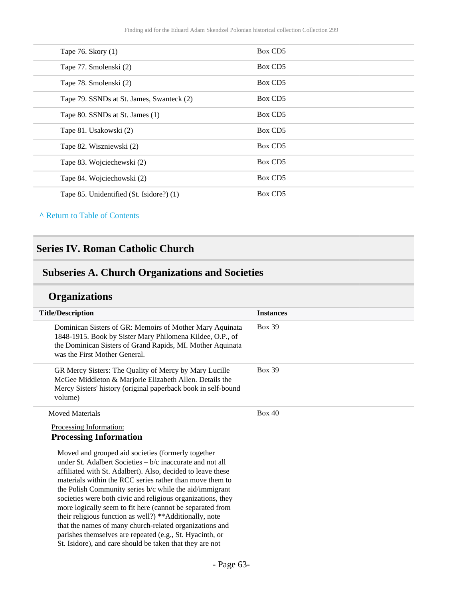| Tape 76. Skory (1)                        | Box CD5 |
|-------------------------------------------|---------|
| Tape 77. Smolenski (2)                    | Box CD5 |
| Tape 78. Smolenski (2)                    | Box CD5 |
| Tape 79. SSNDs at St. James, Swanteck (2) | Box CD5 |
| Tape 80. SSNDs at St. James (1)           | Box CD5 |
| Tape 81. Usakowski (2)                    | Box CD5 |
| Tape 82. Wiszniewski (2)                  | Box CD5 |
| Tape 83. Wojciechewski (2)                | Box CD5 |
| Tape 84. Wojciechowski (2)                | Box CD5 |
| Tape 85. Unidentified (St. Isidore?) (1)  | Box CD5 |
|                                           |         |

#### **^** [Return to Table of Contents](#page-1-0)

### **Series IV. Roman Catholic Church**

### **Subseries A. Church Organizations and Societies**

## **Organizations**

| <b>Title/Description</b>                                                                                                                                                                                             | <b>Instances</b> |
|----------------------------------------------------------------------------------------------------------------------------------------------------------------------------------------------------------------------|------------------|
| Dominican Sisters of GR: Memoirs of Mother Mary Aquinata<br>1848-1915. Book by Sister Mary Philomena Kildee, O.P., of<br>the Dominican Sisters of Grand Rapids, MI. Mother Aquinata<br>was the First Mother General. | <b>Box 39</b>    |
| GR Mercy Sisters: The Quality of Mercy by Mary Lucille<br>McGee Middleton & Marjorie Elizabeth Allen. Details the<br>Mercy Sisters' history (original paperback book in self-bound<br>volume)                        | <b>Box 39</b>    |
| <b>Moved Materials</b>                                                                                                                                                                                               | Box 40           |
| Processing Information:                                                                                                                                                                                              |                  |
| <b>Processing Information</b>                                                                                                                                                                                        |                  |
| Moved and grouped aid societies (formerly together                                                                                                                                                                   |                  |
| under St. Adalbert Societies $-b/c$ inaccurate and not all                                                                                                                                                           |                  |
| affiliated with St. Adalbert). Also, decided to leave these                                                                                                                                                          |                  |
| materials within the RCC series rather than move them to                                                                                                                                                             |                  |
| the Polish Community series b/c while the aid/immigrant                                                                                                                                                              |                  |
| societies were both civic and religious organizations, they                                                                                                                                                          |                  |
| more logically seem to fit here (cannot be separated from                                                                                                                                                            |                  |

their religious function as well?) \*\*Additionally, note that the names of many church-related organizations and parishes themselves are repeated (e.g., St. Hyacinth, or St. Isidore), and care should be taken that they are not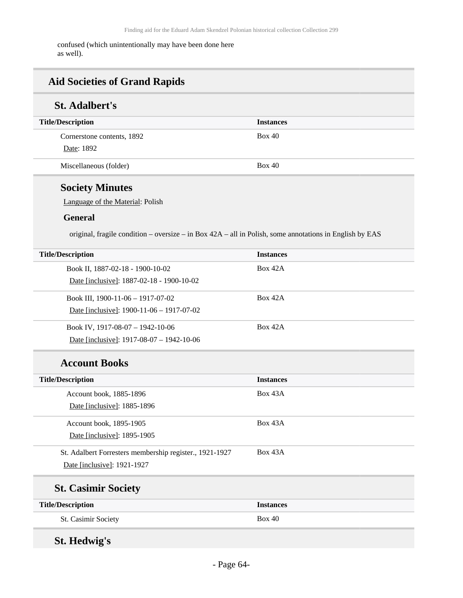confused (which unintentionally may have been done here as well).

## **Aid Societies of Grand Rapids**

## **St. Adalbert's**

| <b>Title/Description</b>   | <b>Instances</b> |
|----------------------------|------------------|
| Cornerstone contents, 1892 | Box 40           |
| Date: 1892                 |                  |
| Miscellaneous (folder)     | Box 40           |

## **Society Minutes**

Language of the Material: Polish

#### **General**

original, fragile condition – oversize – in Box 42A – all in Polish, some annotations in English by EAS

| <b>Title/Description</b>                    | <b>Instances</b> |
|---------------------------------------------|------------------|
| Book II, 1887-02-18 - 1900-10-02            | Box 42A          |
| Date [inclusive]: 1887-02-18 - 1900-10-02   |                  |
| Book III, $1900-11-06-1917-07-02$           | Box 42A          |
| Date [inclusive]: $1900-11-06 - 1917-07-02$ |                  |
| Book IV, $1917-08-07 - 1942-10-06$          | Box 42A          |
| Date [inclusive]: $1917-08-07 - 1942-10-06$ |                  |

### **Account Books**

| <b>Title/Description</b>                                | <b>Instances</b> |
|---------------------------------------------------------|------------------|
| Account book, 1885-1896                                 | Box 43A          |
| Date [inclusive]: 1885-1896                             |                  |
| Account book, 1895-1905                                 | Box 43A          |
| Date [inclusive]: 1895-1905                             |                  |
| St. Adalbert Forresters membership register., 1921-1927 | Box 43A          |
| Date [inclusive]: 1921-1927                             |                  |
| <b>St. Casimir Society</b>                              |                  |
| <b>Title/Description</b>                                | <b>Instances</b> |
| St. Casimir Society                                     | Box 40           |
|                                                         |                  |

## **St. Hedwig's**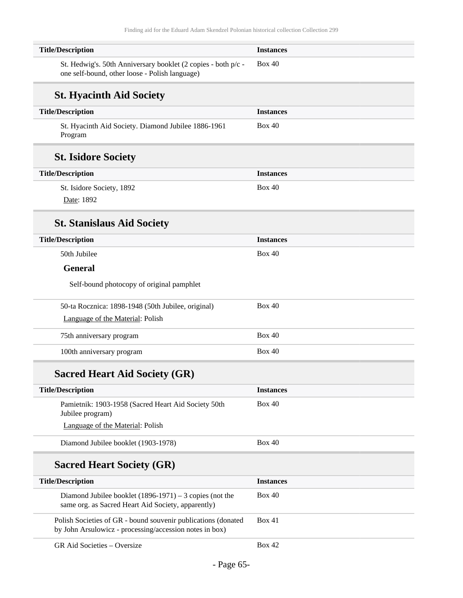| <b>Title/Description</b>                                                                                                 | <b>Instances</b> |
|--------------------------------------------------------------------------------------------------------------------------|------------------|
| St. Hedwig's. 50th Anniversary booklet (2 copies - both p/c -<br>one self-bound, other loose - Polish language)          | <b>Box 40</b>    |
| <b>St. Hyacinth Aid Society</b>                                                                                          |                  |
| <b>Title/Description</b>                                                                                                 | <b>Instances</b> |
| St. Hyacinth Aid Society. Diamond Jubilee 1886-1961<br>Program                                                           | Box 40           |
| <b>St. Isidore Society</b>                                                                                               |                  |
| <b>Title/Description</b>                                                                                                 | <b>Instances</b> |
| St. Isidore Society, 1892<br>Date: 1892                                                                                  | Box 40           |
| <b>St. Stanislaus Aid Society</b>                                                                                        |                  |
| <b>Title/Description</b>                                                                                                 | <b>Instances</b> |
| 50th Jubilee                                                                                                             | Box 40           |
| <b>General</b>                                                                                                           |                  |
| Self-bound photocopy of original pamphlet                                                                                |                  |
| 50-ta Rocznica: 1898-1948 (50th Jubilee, original)<br>Language of the Material: Polish                                   | <b>Box 40</b>    |
| 75th anniversary program                                                                                                 | Box 40           |
| 100th anniversary program                                                                                                | <b>Box 40</b>    |
| <b>Sacred Heart Aid Society (GR)</b>                                                                                     |                  |
| <b>Title/Description</b>                                                                                                 | <b>Instances</b> |
| Pamietnik: 1903-1958 (Sacred Heart Aid Society 50th<br>Jubilee program)                                                  | <b>Box 40</b>    |
| Language of the Material: Polish                                                                                         |                  |
| Diamond Jubilee booklet (1903-1978)                                                                                      | <b>Box 40</b>    |
| <b>Sacred Heart Society (GR)</b>                                                                                         |                  |
| <b>Title/Description</b>                                                                                                 | <b>Instances</b> |
| Diamond Jubilee booklet $(1896-1971) - 3$ copies (not the<br>same org. as Sacred Heart Aid Society, apparently)          | <b>Box 40</b>    |
| Polish Societies of GR - bound souvenir publications (donated<br>by John Arsulowicz - processing/accession notes in box) | Box 41           |
| GR Aid Societies - Oversize                                                                                              | <b>Box 42</b>    |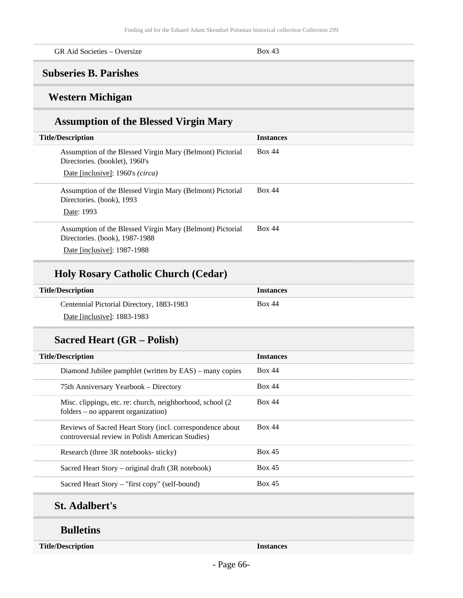| GR Aid Societies – Oversize | Box 43 |  |
|-----------------------------|--------|--|
|-----------------------------|--------|--|

### **Subseries B. Parishes**

## **Western Michigan**

## **Assumption of the Blessed Virgin Mary**

| <b>Title/Description</b>                                                                    | <b>Instances</b> |
|---------------------------------------------------------------------------------------------|------------------|
| Assumption of the Blessed Virgin Mary (Belmont) Pictorial<br>Directories. (booklet), 1960's | Box 44           |
| Date [inclusive]: 1960's (circa)                                                            |                  |
| Assumption of the Blessed Virgin Mary (Belmont) Pictorial<br>Directories. (book), 1993      | <b>Box 44</b>    |
| Date: 1993                                                                                  |                  |
| Assumption of the Blessed Virgin Mary (Belmont) Pictorial<br>Directories. (book), 1987-1988 | <b>Box 44</b>    |
| Date [inclusive]: 1987-1988                                                                 |                  |

### **Holy Rosary Catholic Church (Cedar)**

| <b>Title/Description</b>                  | <b>Instances</b> |
|-------------------------------------------|------------------|
| Centennial Pictorial Directory, 1883-1983 | <b>Box 44</b>    |
| Date [inclusive]: 1883-1983               |                  |

### **Sacred Heart (GR – Polish)**

| <b>Title/Description</b>                                                                                      | <b>Instances</b> |
|---------------------------------------------------------------------------------------------------------------|------------------|
| Diamond Jubilee pamphlet (written by EAS) – many copies                                                       | Box 44           |
| 75th Anniversary Yearbook – Directory                                                                         | Box 44           |
| Misc. clippings, etc. re: church, neighborhood, school (2)<br>$f$ olders – no apparent organization)          | Box 44           |
| Reviews of Sacred Heart Story (incl. correspondence about<br>controversial review in Polish American Studies) | <b>Box 44</b>    |
| Research (three 3R notebooks- sticky)                                                                         | Box 45           |
| Sacred Heart Story – original draft (3R notebook)                                                             | Box 45           |
| Sacred Heart Story – "first copy" (self-bound)                                                                | Box 45           |

## **St. Adalbert's**

### **Bulletins**

**Title/Description Instances**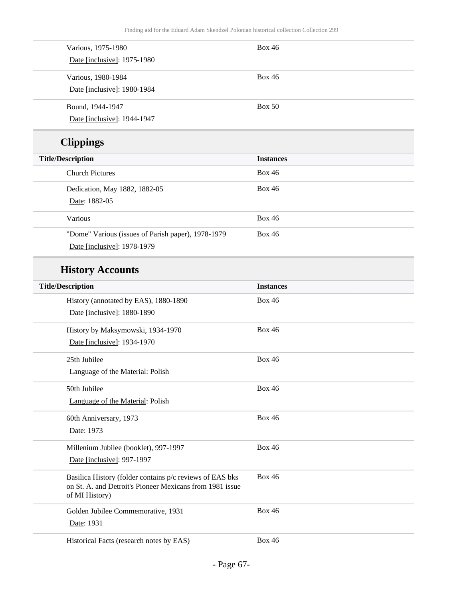| Various, 1975-1980                                                                                                   | <b>Box 46</b>    |
|----------------------------------------------------------------------------------------------------------------------|------------------|
| Date [inclusive]: 1975-1980                                                                                          |                  |
| Various, 1980-1984                                                                                                   | <b>Box 46</b>    |
| Date [inclusive]: 1980-1984                                                                                          |                  |
| Bound, 1944-1947                                                                                                     | <b>Box 50</b>    |
| Date [inclusive]: 1944-1947                                                                                          |                  |
| <b>Clippings</b>                                                                                                     |                  |
| <b>Title/Description</b>                                                                                             | <b>Instances</b> |
| <b>Church Pictures</b>                                                                                               | <b>Box 46</b>    |
| Dedication, May 1882, 1882-05                                                                                        | <b>Box 46</b>    |
| Date: 1882-05                                                                                                        |                  |
| Various                                                                                                              | <b>Box 46</b>    |
| "Dome" Various (issues of Parish paper), 1978-1979                                                                   | <b>Box 46</b>    |
| Date [inclusive]: 1978-1979                                                                                          |                  |
| <b>History Accounts</b>                                                                                              |                  |
| <b>Title/Description</b>                                                                                             | <b>Instances</b> |
| History (annotated by EAS), 1880-1890                                                                                | <b>Box 46</b>    |
| Date [inclusive]: 1880-1890                                                                                          |                  |
| History by Maksymowski, 1934-1970                                                                                    | <b>Box 46</b>    |
| Date [inclusive]: 1934-1970                                                                                          |                  |
| 25th Jubilee                                                                                                         | <b>Box 46</b>    |
| Language of the Material: Polish                                                                                     |                  |
| 50th Jubilee                                                                                                         | <b>Box 46</b>    |
| Language of the Material: Polish                                                                                     |                  |
| 60th Anniversary, 1973                                                                                               | <b>Box 46</b>    |
| Date: 1973                                                                                                           |                  |
| Millenium Jubilee (booklet), 997-1997                                                                                | <b>Box 46</b>    |
| Date [inclusive]: 997-1997                                                                                           |                  |
| Basilica History (folder contains p/c reviews of EAS bks<br>on St. A. and Detroit's Pioneer Mexicans from 1981 issue | <b>Box 46</b>    |
| of MI History)                                                                                                       |                  |
| Golden Jubilee Commemorative, 1931                                                                                   | <b>Box 46</b>    |
| Date: 1931                                                                                                           |                  |
| Historical Facts (research notes by EAS)                                                                             | <b>Box 46</b>    |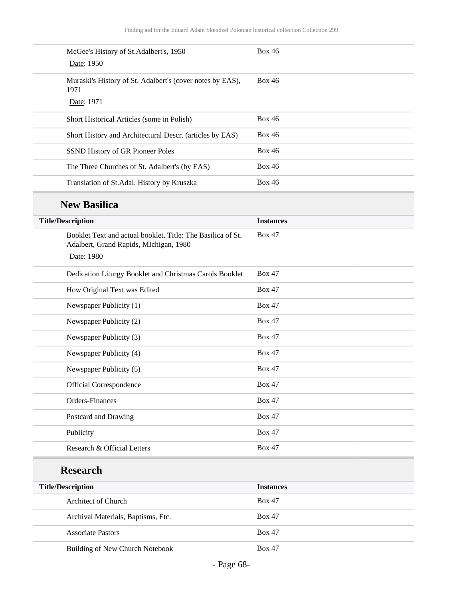| <b>Box 46</b>    |
|------------------|
| <b>Box 46</b>    |
|                  |
| <b>Box 46</b>    |
| <b>Box 46</b>    |
| <b>Box 46</b>    |
| <b>Box 46</b>    |
| <b>Box 46</b>    |
|                  |
| <b>Instances</b> |
| <b>Box 47</b>    |
| <b>Box 47</b>    |
| <b>Box 47</b>    |
| <b>Box 47</b>    |
| <b>Box 47</b>    |
| <b>Box 47</b>    |
| <b>Box 47</b>    |
| <b>Box 47</b>    |
| <b>Box 47</b>    |
| <b>Box 47</b>    |
| <b>Box 47</b>    |
| <b>Box 47</b>    |
| <b>Box 47</b>    |
|                  |
|                  |
| <b>Instances</b> |
|                  |
| <b>Box 47</b>    |
| <b>Box 47</b>    |
|                  |

Building of New Church Notebook Box 47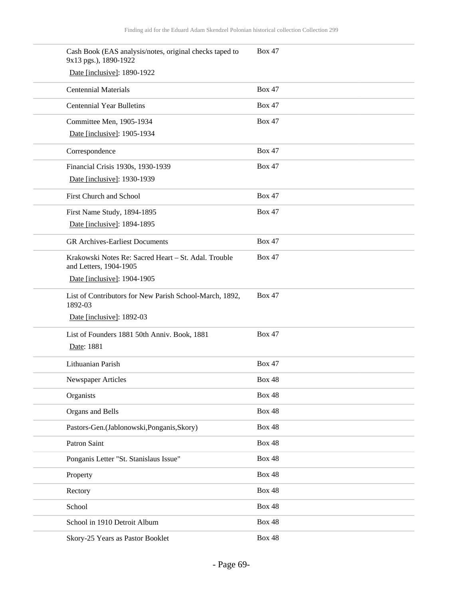| Cash Book (EAS analysis/notes, original checks taped to<br>9x13 pgs.), 1890-1922 | <b>Box 47</b> |
|----------------------------------------------------------------------------------|---------------|
| Date [inclusive]: 1890-1922                                                      |               |
| <b>Centennial Materials</b>                                                      | <b>Box 47</b> |
| <b>Centennial Year Bulletins</b>                                                 | <b>Box 47</b> |
| Committee Men, 1905-1934                                                         | <b>Box 47</b> |
| Date [inclusive]: 1905-1934                                                      |               |
| Correspondence                                                                   | <b>Box 47</b> |
| Financial Crisis 1930s, 1930-1939                                                | <b>Box 47</b> |
| Date [inclusive]: 1930-1939                                                      |               |
| First Church and School                                                          | <b>Box 47</b> |
| First Name Study, 1894-1895                                                      | <b>Box 47</b> |
| Date [inclusive]: 1894-1895                                                      |               |
| <b>GR</b> Archives-Earliest Documents                                            | <b>Box 47</b> |
| Krakowski Notes Re: Sacred Heart - St. Adal. Trouble<br>and Letters, 1904-1905   | <b>Box 47</b> |
| Date [inclusive]: 1904-1905                                                      |               |
| List of Contributors for New Parish School-March, 1892,<br>1892-03               | <b>Box 47</b> |
| Date [inclusive]: 1892-03                                                        |               |
| List of Founders 1881 50th Anniv. Book, 1881                                     | <b>Box 47</b> |
| Date: 1881                                                                       |               |
| Lithuanian Parish                                                                | <b>Box 47</b> |
| Newspaper Articles                                                               | <b>Box 48</b> |
| Organists                                                                        | <b>Box 48</b> |
| Organs and Bells                                                                 | <b>Box 48</b> |
| Pastors-Gen.(Jablonowski, Ponganis, Skory)                                       | <b>Box 48</b> |
| Patron Saint                                                                     | <b>Box 48</b> |
| Ponganis Letter "St. Stanislaus Issue"                                           | <b>Box 48</b> |
| Property                                                                         | <b>Box 48</b> |
| Rectory                                                                          | <b>Box 48</b> |
| School                                                                           | <b>Box 48</b> |
| School in 1910 Detroit Album                                                     | <b>Box 48</b> |
| Skory-25 Years as Pastor Booklet                                                 | <b>Box 48</b> |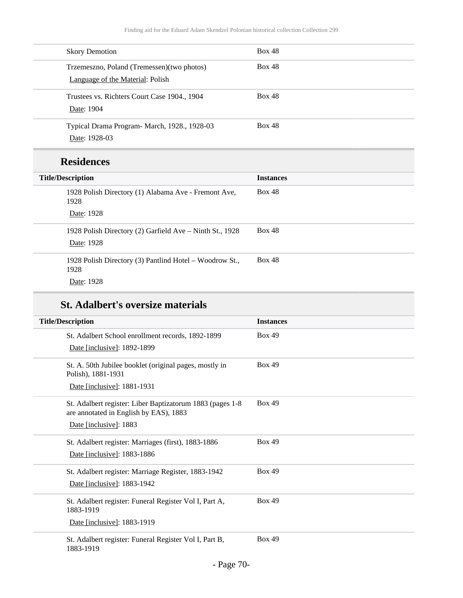| <b>Box 48</b> |
|---------------|
| <b>Box 48</b> |
| <b>Box 48</b> |
| <b>Box 48</b> |
|               |

## **Residences**

| <b>Title/Description</b>                                               | <b>Instances</b> |
|------------------------------------------------------------------------|------------------|
| 1928 Polish Directory (1) Alabama Ave - Fremont Ave,<br>1928           | <b>Box 48</b>    |
| Date: 1928                                                             |                  |
| 1928 Polish Directory (2) Garfield Ave – Ninth St., 1928<br>Date: 1928 | <b>Box 48</b>    |
| 1928 Polish Directory (3) Pantlind Hotel – Woodrow St.,<br>1928        | <b>Box 48</b>    |
| Date: 1928                                                             |                  |

## **St. Adalbert's oversize materials**

| <b>Title/Description</b>                                                                            | <b>Instances</b> |
|-----------------------------------------------------------------------------------------------------|------------------|
| St. Adalbert School enrollment records, 1892-1899                                                   | <b>Box 49</b>    |
| Date [inclusive]: 1892-1899                                                                         |                  |
| St. A. 50th Jubilee booklet (original pages, mostly in<br>Polish), 1881-1931                        | <b>Box 49</b>    |
| Date [inclusive]: 1881-1931                                                                         |                  |
| St. Adalbert register: Liber Baptizatorum 1883 (pages 1-8<br>are annotated in English by EAS), 1883 | <b>Box 49</b>    |
| Date [inclusive]: 1883                                                                              |                  |
| St. Adalbert register: Marriages (first), 1883-1886                                                 | <b>Box 49</b>    |
| Date [inclusive]: 1883-1886                                                                         |                  |
| St. Adalbert register: Marriage Register, 1883-1942                                                 | <b>Box 49</b>    |
| Date [inclusive]: 1883-1942                                                                         |                  |
| St. Adalbert register: Funeral Register Vol I, Part A,<br>1883-1919                                 | <b>Box 49</b>    |
| Date [inclusive]: 1883-1919                                                                         |                  |
| St. Adalbert register: Funeral Register Vol I, Part B,<br>1883-1919                                 | <b>Box 49</b>    |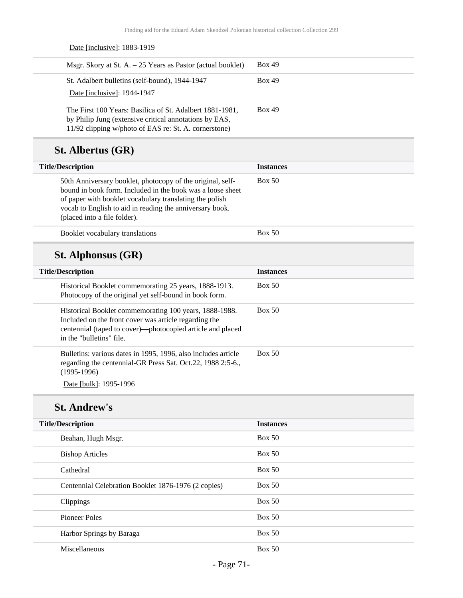Date [inclusive]: 1883-1919 Msgr. Skory at St. A.  $-25$  Years as Pastor (actual booklet) Box 49 St. Adalbert bulletins (self-bound), 1944-1947 Date [inclusive]: 1944-1947 Box 49 The First 100 Years: Basilica of St. Adalbert 1881-1981, by Philip Jung (extensive critical annotations by EAS, 11/92 clipping w/photo of EAS re: St. A. cornerstone) Box 49 **St. Albertus (GR) Title/Description Instances** 50th Anniversary booklet, photocopy of the original, selfbound in book form. Included in the book was a loose sheet of paper with booklet vocabulary translating the polish vocab to English to aid in reading the anniversary book. (placed into a file folder). Box 50 Booklet vocabulary translations Box 50 **St. Alphonsus (GR) Title/Description Instances** Historical Booklet commemorating 25 years, 1888-1913. Photocopy of the original yet self-bound in book form. Box 50 Historical Booklet commemorating 100 years, 1888-1988. Included on the front cover was article regarding the centennial (taped to cover)—photocopied article and placed in the "bulletins" file. Box 50 Bulletins: various dates in 1995, 1996, also includes article regarding the centennial-GR Press Sat. Oct.22, 1988 2:5-6., Box 50

(1995-1996) Date [bulk]: 1995-1996

### **St. Andrew's**

| <b>Title/Description</b>                            | <b>Instances</b> |
|-----------------------------------------------------|------------------|
| Beahan, Hugh Msgr.                                  | Box 50           |
| <b>Bishop Articles</b>                              | Box 50           |
| Cathedral                                           | Box 50           |
| Centennial Celebration Booklet 1876-1976 (2 copies) | Box 50           |
| Clippings                                           | Box 50           |
| Pioneer Poles                                       | Box 50           |
| Harbor Springs by Baraga                            | Box 50           |
| Miscellaneous                                       | Box 50           |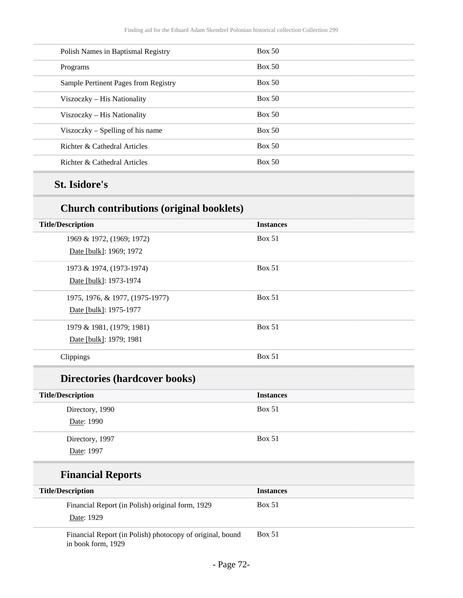| Polish Names in Baptismal Registry   | Box 50 |
|--------------------------------------|--------|
| Programs                             | Box 50 |
| Sample Pertinent Pages from Registry | Box 50 |
| Viszoczky - His Nationality          | Box 50 |
| Viszoczky – His Nationality          | Box 50 |
| Viszoczky – Spelling of his name     | Box 50 |
| Richter & Cathedral Articles         | Box 50 |
| Richter & Cathedral Articles         | Box 50 |

# **St. Isidore's**

## **Church contributions (original booklets)**

| <b>Title/Description</b>             | <b>Instances</b> |  |
|--------------------------------------|------------------|--|
| 1969 & 1972, (1969; 1972)            | <b>Box 51</b>    |  |
| Date [bulk]: 1969; 1972              |                  |  |
| 1973 & 1974, (1973-1974)             | <b>Box 51</b>    |  |
| Date [bulk]: 1973-1974               |                  |  |
| 1975, 1976, & 1977, (1975-1977)      | <b>Box 51</b>    |  |
| Date [bulk]: 1975-1977               |                  |  |
| 1979 & 1981, (1979; 1981)            | <b>Box 51</b>    |  |
| Date [bulk]: 1979; 1981              |                  |  |
| Clippings                            | <b>Box 51</b>    |  |
| <b>Directories (hardcover books)</b> |                  |  |
| <b>Title/Description</b>             | <b>Instances</b> |  |
| Directory, 1990                      | <b>Box 51</b>    |  |
| Date: 1990                           |                  |  |

Directory, 1997 Date: 1997

## **Financial Reports**

| <b>Title/Description</b>                                                        | <b>Instances</b> |
|---------------------------------------------------------------------------------|------------------|
| Financial Report (in Polish) original form, 1929<br>Date: 1929                  | Box 51           |
| Financial Report (in Polish) photocopy of original, bound<br>in book form, 1929 | <b>Box 51</b>    |

Box 51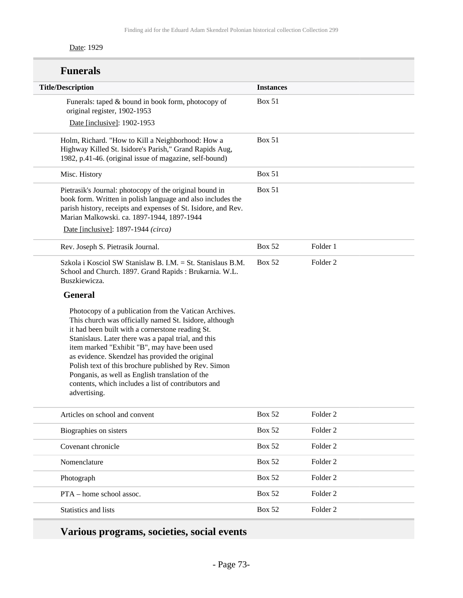#### Date: 1929

| <b>Funerals</b>                                                                                                                                                                                                                                                                                                                                                                                                                                                                                                 |                  |                     |
|-----------------------------------------------------------------------------------------------------------------------------------------------------------------------------------------------------------------------------------------------------------------------------------------------------------------------------------------------------------------------------------------------------------------------------------------------------------------------------------------------------------------|------------------|---------------------|
| <b>Title/Description</b>                                                                                                                                                                                                                                                                                                                                                                                                                                                                                        | <b>Instances</b> |                     |
| Funerals: taped & bound in book form, photocopy of<br>original register, 1902-1953                                                                                                                                                                                                                                                                                                                                                                                                                              | <b>Box 51</b>    |                     |
| Date [inclusive]: 1902-1953                                                                                                                                                                                                                                                                                                                                                                                                                                                                                     |                  |                     |
| Holm, Richard. "How to Kill a Neighborhood: How a<br>Highway Killed St. Isidore's Parish," Grand Rapids Aug,<br>1982, p.41-46. (original issue of magazine, self-bound)                                                                                                                                                                                                                                                                                                                                         | <b>Box 51</b>    |                     |
| Misc. History                                                                                                                                                                                                                                                                                                                                                                                                                                                                                                   | <b>Box 51</b>    |                     |
| Pietrasik's Journal: photocopy of the original bound in<br>book form. Written in polish language and also includes the<br>parish history, receipts and expenses of St. Isidore, and Rev.<br>Marian Malkowski. ca. 1897-1944, 1897-1944                                                                                                                                                                                                                                                                          | <b>Box 51</b>    |                     |
| Date [inclusive]: 1897-1944 (circa)                                                                                                                                                                                                                                                                                                                                                                                                                                                                             |                  |                     |
| Rev. Joseph S. Pietrasik Journal.                                                                                                                                                                                                                                                                                                                                                                                                                                                                               | <b>Box 52</b>    | Folder 1            |
| Szkola i Kosciol SW Stanislaw B. I.M. = St. Stanislaus B.M.<br>School and Church. 1897. Grand Rapids: Brukarnia. W.L.<br>Buszkiewicza.                                                                                                                                                                                                                                                                                                                                                                          | <b>Box 52</b>    | Folder <sub>2</sub> |
| <b>General</b>                                                                                                                                                                                                                                                                                                                                                                                                                                                                                                  |                  |                     |
| Photocopy of a publication from the Vatican Archives.<br>This church was officially named St. Isidore, although<br>it had been built with a cornerstone reading St.<br>Stanislaus. Later there was a papal trial, and this<br>item marked "Exhibit "B", may have been used<br>as evidence. Skendzel has provided the original<br>Polish text of this brochure published by Rev. Simon<br>Ponganis, as well as English translation of the<br>contents, which includes a list of contributors and<br>advertising. |                  |                     |
| Articles on school and convent                                                                                                                                                                                                                                                                                                                                                                                                                                                                                  | <b>Box 52</b>    | Folder <sub>2</sub> |
| Biographies on sisters                                                                                                                                                                                                                                                                                                                                                                                                                                                                                          | <b>Box 52</b>    | Folder <sub>2</sub> |
| Covenant chronicle                                                                                                                                                                                                                                                                                                                                                                                                                                                                                              | <b>Box 52</b>    | Folder <sub>2</sub> |
| Nomenclature                                                                                                                                                                                                                                                                                                                                                                                                                                                                                                    | <b>Box 52</b>    | Folder <sub>2</sub> |
| Photograph                                                                                                                                                                                                                                                                                                                                                                                                                                                                                                      | <b>Box 52</b>    | Folder <sub>2</sub> |
| PTA - home school assoc.                                                                                                                                                                                                                                                                                                                                                                                                                                                                                        | <b>Box 52</b>    | Folder <sub>2</sub> |
| Statistics and lists                                                                                                                                                                                                                                                                                                                                                                                                                                                                                            | <b>Box 52</b>    | Folder <sub>2</sub> |

# **Various programs, societies, social events**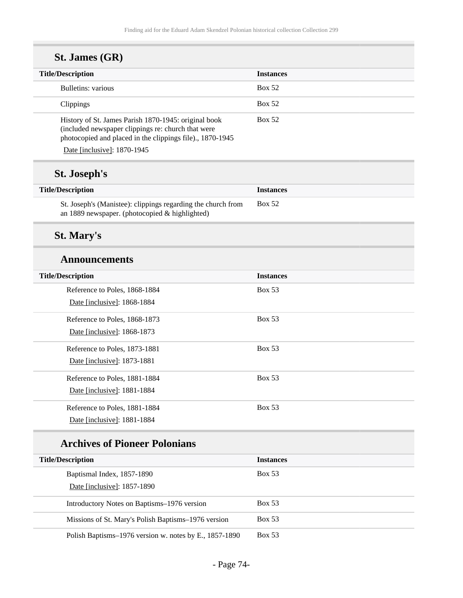| St. James (GR)                                                                                                                                                          |                  |
|-------------------------------------------------------------------------------------------------------------------------------------------------------------------------|------------------|
| <b>Title/Description</b>                                                                                                                                                | <b>Instances</b> |
| Bulletins: various                                                                                                                                                      | <b>Box 52</b>    |
| Clippings                                                                                                                                                               | <b>Box 52</b>    |
| History of St. James Parish 1870-1945: original book<br>(included newspaper clippings re: church that were<br>photocopied and placed in the clippings file)., 1870-1945 | <b>Box 52</b>    |
| Date [inclusive]: 1870-1945                                                                                                                                             |                  |
| <b>St. Joseph's</b>                                                                                                                                                     |                  |
| <b>Title/Description</b>                                                                                                                                                | <b>Instances</b> |
| St. Joseph's (Manistee): clippings regarding the church from<br>an 1889 newspaper. (photocopied & highlighted)                                                          | <b>Box 52</b>    |
| <b>St. Mary's</b>                                                                                                                                                       |                  |
| <b>Announcements</b>                                                                                                                                                    |                  |
| <b>Title/Description</b>                                                                                                                                                | <b>Instances</b> |

| THE DESCRIPTION               | ------------  |
|-------------------------------|---------------|
| Reference to Poles, 1868-1884 | <b>Box 53</b> |
| Date [inclusive]: 1868-1884   |               |
| Reference to Poles, 1868-1873 | <b>Box 53</b> |
| Date [inclusive]: 1868-1873   |               |
| Reference to Poles, 1873-1881 | <b>Box 53</b> |
| Date [inclusive]: 1873-1881   |               |
| Reference to Poles, 1881-1884 | <b>Box 53</b> |
| Date [inclusive]: 1881-1884   |               |
| Reference to Poles, 1881-1884 | <b>Box 53</b> |
| Date [inclusive]: 1881-1884   |               |

# **Archives of Pioneer Polonians**

| <b>Title/Description</b>                               | <b>Instances</b> |
|--------------------------------------------------------|------------------|
| Baptismal Index, 1857-1890                             | <b>Box 53</b>    |
| Date [inclusive]: 1857-1890                            |                  |
| Introductory Notes on Baptisms–1976 version            | Box 53           |
| Missions of St. Mary's Polish Baptisms–1976 version    | Box 53           |
| Polish Baptisms–1976 version w. notes by E., 1857-1890 | <b>Box 53</b>    |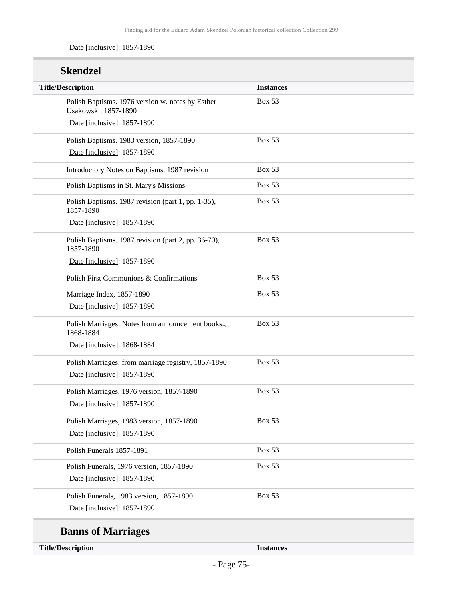#### Date [inclusive]: 1857-1890

| <b>Skendzel</b>                                                          |                  |
|--------------------------------------------------------------------------|------------------|
| <b>Title/Description</b>                                                 | <b>Instances</b> |
| Polish Baptisms. 1976 version w. notes by Esther<br>Usakowski, 1857-1890 | <b>Box 53</b>    |
| Date [inclusive]: 1857-1890                                              |                  |
| Polish Baptisms. 1983 version, 1857-1890                                 | <b>Box 53</b>    |
| Date [inclusive]: 1857-1890                                              |                  |
| Introductory Notes on Baptisms. 1987 revision                            | <b>Box 53</b>    |
| Polish Baptisms in St. Mary's Missions                                   | <b>Box 53</b>    |
| Polish Baptisms. 1987 revision (part 1, pp. 1-35),<br>1857-1890          | <b>Box 53</b>    |
| Date [inclusive]: 1857-1890                                              |                  |
| Polish Baptisms. 1987 revision (part 2, pp. 36-70),<br>1857-1890         | <b>Box 53</b>    |
| Date [inclusive]: 1857-1890                                              |                  |
| Polish First Communions & Confirmations                                  | <b>Box 53</b>    |
| Marriage Index, 1857-1890                                                | <b>Box 53</b>    |
| Date [inclusive]: 1857-1890                                              |                  |
| Polish Marriages: Notes from announcement books.,<br>1868-1884           | <b>Box 53</b>    |
| Date [inclusive]: 1868-1884                                              |                  |
| Polish Marriages, from marriage registry, 1857-1890                      | <b>Box 53</b>    |
| Date [inclusive]: 1857-1890                                              |                  |
| Polish Marriages, 1976 version, 1857-1890                                | <b>Box 53</b>    |
| Date [inclusive]: 1857-1890                                              |                  |
| Polish Marriages, 1983 version, 1857-1890                                | <b>Box 53</b>    |
| Date [inclusive]: 1857-1890                                              |                  |
| Polish Funerals 1857-1891                                                | <b>Box 53</b>    |
| Polish Funerals, 1976 version, 1857-1890                                 | <b>Box 53</b>    |
| Date [inclusive]: 1857-1890                                              |                  |
| Polish Funerals, 1983 version, 1857-1890                                 | <b>Box 53</b>    |
| Date [inclusive]: 1857-1890                                              |                  |
| <b>Banns of Marriages</b>                                                |                  |
| <b>Title/Description</b>                                                 | <b>Instances</b> |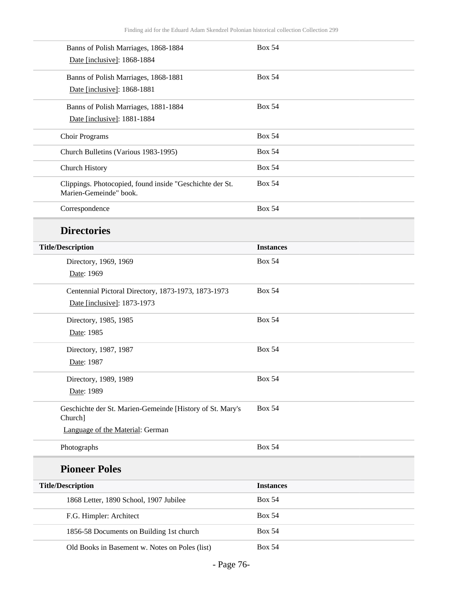| Banns of Polish Marriages, 1868-1884                                               | <b>Box 54</b>    |
|------------------------------------------------------------------------------------|------------------|
| Date [inclusive]: 1868-1884                                                        |                  |
| Banns of Polish Marriages, 1868-1881                                               | <b>Box 54</b>    |
| Date [inclusive]: 1868-1881                                                        |                  |
| Banns of Polish Marriages, 1881-1884                                               | <b>Box 54</b>    |
| Date [inclusive]: 1881-1884                                                        |                  |
| <b>Choir Programs</b>                                                              | <b>Box 54</b>    |
| Church Bulletins (Various 1983-1995)                                               | <b>Box 54</b>    |
| Church History                                                                     | <b>Box 54</b>    |
| Clippings. Photocopied, found inside "Geschichte der St.<br>Marien-Gemeinde" book. | <b>Box 54</b>    |
| Correspondence                                                                     | <b>Box 54</b>    |
| <b>Directories</b>                                                                 |                  |
| <b>Title/Description</b>                                                           | <b>Instances</b> |
| Directory, 1969, 1969                                                              | <b>Box 54</b>    |
| Date: 1969                                                                         |                  |
| Centennial Pictoral Directory, 1873-1973, 1873-1973                                | <b>Box 54</b>    |
| Date [inclusive]: 1873-1973                                                        |                  |
| Directory, 1985, 1985                                                              | <b>Box 54</b>    |
| Date: 1985                                                                         |                  |
| Directory, 1987, 1987                                                              | <b>Box 54</b>    |
| Date: 1987                                                                         |                  |
| Directory, 1989, 1989                                                              | <b>Box 54</b>    |
| Date: 1989                                                                         |                  |
| Geschichte der St. Marien-Gemeinde [History of St. Mary's<br>Church]               | <b>Box 54</b>    |
| Language of the Material: German                                                   |                  |
| Photographs                                                                        | <b>Box 54</b>    |
| <b>Pioneer Poles</b>                                                               |                  |
| <b>Title/Description</b>                                                           | <b>Instances</b> |
| 1868 Letter, 1890 School, 1907 Jubilee                                             | <b>Box 54</b>    |
| F.G. Himpler: Architect                                                            | <b>Box 54</b>    |
| 1856-58 Documents on Building 1st church                                           | <b>Box 54</b>    |
| Old Books in Basement w. Notes on Poles (list)                                     | <b>Box 54</b>    |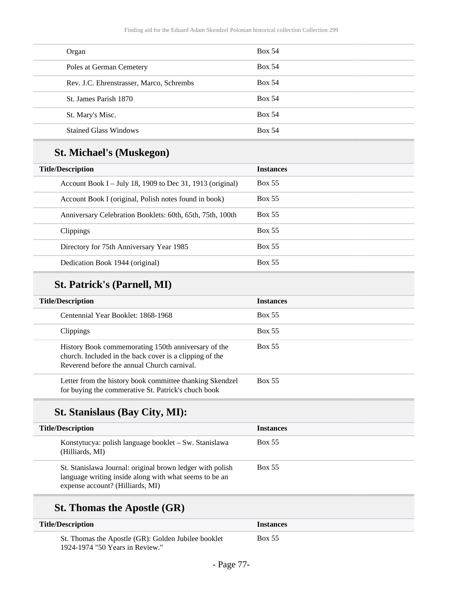| Organ                                    | <b>Box 54</b> |
|------------------------------------------|---------------|
| Poles at German Cemetery                 | <b>Box 54</b> |
| Rev. J.C. Ehrenstrasser, Marco, Schrembs | <b>Box 54</b> |
| St. James Parish 1870                    | <b>Box 54</b> |
| St. Mary's Misc.                         | <b>Box 54</b> |
| <b>Stained Glass Windows</b>             | <b>Box 54</b> |

# **St. Michael's (Muskegon)**

| <b>Title/Description</b><br><b>Instances</b><br><b>Box 55</b><br>Account Book I – July 18, 1909 to Dec 31, 1913 (original)<br>Box 55<br>Account Book I (original, Polish notes found in book)<br><b>Box 55</b><br>Anniversary Celebration Booklets: 60th, 65th, 75th, 100th<br><b>Box 55</b><br><b>Clippings</b><br><b>Box 55</b><br>Directory for 75th Anniversary Year 1985<br>Box 55<br>Dedication Book 1944 (original) |  |  |
|----------------------------------------------------------------------------------------------------------------------------------------------------------------------------------------------------------------------------------------------------------------------------------------------------------------------------------------------------------------------------------------------------------------------------|--|--|
|                                                                                                                                                                                                                                                                                                                                                                                                                            |  |  |
|                                                                                                                                                                                                                                                                                                                                                                                                                            |  |  |
|                                                                                                                                                                                                                                                                                                                                                                                                                            |  |  |
|                                                                                                                                                                                                                                                                                                                                                                                                                            |  |  |
|                                                                                                                                                                                                                                                                                                                                                                                                                            |  |  |
|                                                                                                                                                                                                                                                                                                                                                                                                                            |  |  |
|                                                                                                                                                                                                                                                                                                                                                                                                                            |  |  |

# **St. Patrick's (Parnell, MI)**

| <b>Title/Description</b>                                                                                                                                      | <b>Instances</b> |
|---------------------------------------------------------------------------------------------------------------------------------------------------------------|------------------|
| Centennial Year Booklet: 1868-1968                                                                                                                            | Box 55           |
| <b>Clippings</b>                                                                                                                                              | Box 55           |
| History Book commemorating 150th anniversary of the<br>church. Included in the back cover is a clipping of the<br>Reverend before the annual Church carnival. | <b>Box 55</b>    |
| Letter from the history book committee thanking Skendzel<br>for buying the commerative St. Patrick's chuch book                                               | <b>Box 55</b>    |

# **St. Stanislaus (Bay City, MI):**

| <b>Title/Description</b>                                                                                                                                | <b>Instances</b> |
|---------------------------------------------------------------------------------------------------------------------------------------------------------|------------------|
| Konstytucya: polish language booklet – Sw. Stanislawa<br>(Hilliards, MI)                                                                                | Box 55           |
| St. Stanislawa Journal: original brown ledger with polish<br>language writing inside along with what seems to be an<br>expense account? (Hilliards, MI) | Box 55           |

# **St. Thomas the Apostle (GR)**

| <b>Title/Description</b>                            | <i>Instances</i> |
|-----------------------------------------------------|------------------|
| St. Thomas the Apostle (GR): Golden Jubilee booklet | Box 55           |
| 1924-1974 "50 Years in Review."                     |                  |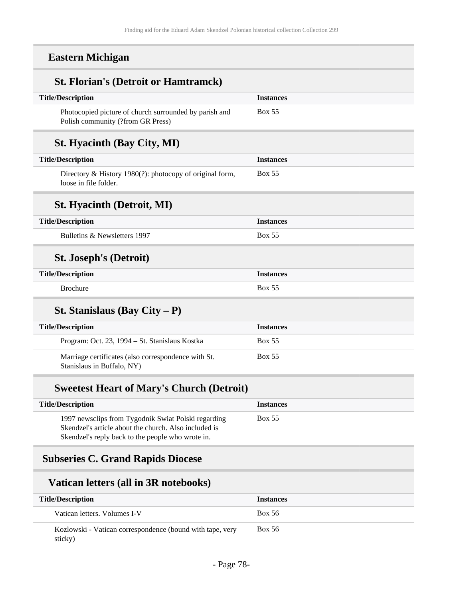## **Eastern Michigan**

| <b>St. Florian's (Detroit or Hamtramck)</b>                                                                  |                  |
|--------------------------------------------------------------------------------------------------------------|------------------|
| <b>Title/Description</b>                                                                                     | <b>Instances</b> |
| Photocopied picture of church surrounded by parish and<br>Polish community (?from GR Press)                  | <b>Box 55</b>    |
| <b>St. Hyacinth (Bay City, MI)</b>                                                                           |                  |
| <b>Title/Description</b>                                                                                     | <b>Instances</b> |
| Directory & History 1980(?): photocopy of original form,<br>loose in file folder.                            | <b>Box 55</b>    |
| <b>St. Hyacinth (Detroit, MI)</b>                                                                            |                  |
| <b>Title/Description</b>                                                                                     | <b>Instances</b> |
| Bulletins & Newsletters 1997                                                                                 | <b>Box 55</b>    |
| <b>St. Joseph's (Detroit)</b>                                                                                |                  |
| <b>Title/Description</b>                                                                                     | <b>Instances</b> |
| <b>Brochure</b>                                                                                              | <b>Box 55</b>    |
| <b>St. Stanislaus (Bay City – P)</b>                                                                         |                  |
| <b>Title/Description</b>                                                                                     | <b>Instances</b> |
| Program: Oct. 23, 1994 - St. Stanislaus Kostka                                                               | <b>Box 55</b>    |
| Marriage certificates (also correspondence with St.<br>Stanislaus in Buffalo, NY)                            | <b>Box 55</b>    |
| <b>Sweetest Heart of Mary's Church (Detroit)</b>                                                             |                  |
| <b>Title/Description</b>                                                                                     | <b>Instances</b> |
| 1997 newsclips from Tygodnik Swiat Polski regarding<br>Skendzel's article about the church. Also included is | <b>Box 55</b>    |

## **Subseries C. Grand Rapids Diocese**

## **Vatican letters (all in 3R notebooks)**

Skendzel's reply back to the people who wrote in.

| <b>Title/Description</b>                                             | <b>Instances</b> |
|----------------------------------------------------------------------|------------------|
| Vatican letters. Volumes I-V                                         | <b>Box 56</b>    |
| Kozlowski - Vatican correspondence (bound with tape, very<br>sticky) | Box 56           |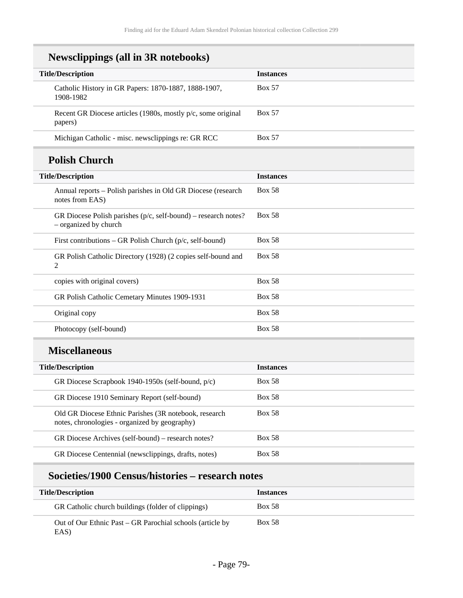| <b>Newsclippings (all in 3R notebooks)</b>                                                             |                  |
|--------------------------------------------------------------------------------------------------------|------------------|
| <b>Title/Description</b>                                                                               | <b>Instances</b> |
| Catholic History in GR Papers: 1870-1887, 1888-1907,<br>1908-1982                                      | <b>Box 57</b>    |
| Recent GR Diocese articles (1980s, mostly p/c, some original<br>papers)                                | <b>Box 57</b>    |
| Michigan Catholic - misc. newsclippings re: GR RCC                                                     | <b>Box 57</b>    |
| <b>Polish Church</b>                                                                                   |                  |
| <b>Title/Description</b>                                                                               | <b>Instances</b> |
| Annual reports - Polish parishes in Old GR Diocese (research<br>notes from EAS)                        | <b>Box 58</b>    |
| GR Diocese Polish parishes $(p/c, self-bound)$ – research notes?<br>- organized by church              | <b>Box 58</b>    |
| First contributions – GR Polish Church ( $p/c$ , self-bound)                                           | <b>Box 58</b>    |
| GR Polish Catholic Directory (1928) (2 copies self-bound and<br>2                                      | <b>Box 58</b>    |
| copies with original covers)                                                                           | <b>Box 58</b>    |
| GR Polish Catholic Cemetary Minutes 1909-1931                                                          | <b>Box 58</b>    |
| Original copy                                                                                          | <b>Box 58</b>    |
| Photocopy (self-bound)                                                                                 | <b>Box 58</b>    |
| <b>Miscellaneous</b>                                                                                   |                  |
| <b>Title/Description</b>                                                                               | <b>Instances</b> |
| GR Diocese Scrapbook 1940-1950s (self-bound, p/c)                                                      | <b>Box 58</b>    |
| GR Diocese 1910 Seminary Report (self-bound)                                                           | <b>Box 58</b>    |
| Old GR Diocese Ethnic Parishes (3R notebook, research<br>notes, chronologies - organized by geography) | <b>Box 58</b>    |
| GR Diocese Archives (self-bound) – research notes?                                                     | <b>Box 58</b>    |

# **Societies/1900 Census/histories – research notes**

GR Diocese Centennial (newsclippings, drafts, notes) Box 58

| <b>Title/Description</b>                                          | <i><u><b>Instances</b></u></i> |
|-------------------------------------------------------------------|--------------------------------|
| GR Catholic church buildings (folder of clippings)                | <b>Box 58</b>                  |
| Out of Our Ethnic Past – GR Parochial schools (article by<br>EAS) | <b>Box 58</b>                  |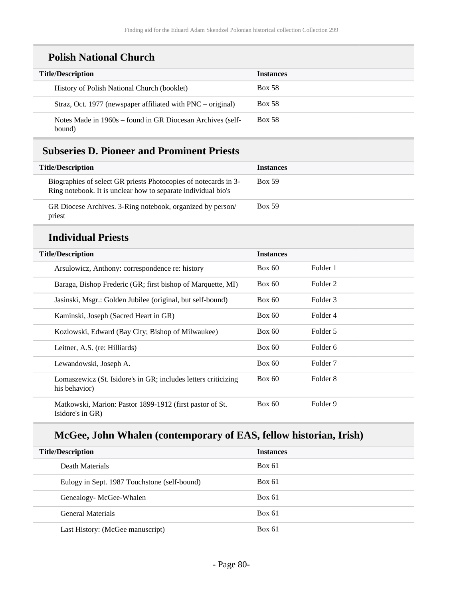## **Polish National Church**

| <b>Title/Description</b>                                             | <b>Instances</b> |
|----------------------------------------------------------------------|------------------|
| History of Polish National Church (booklet)                          | <b>Box 58</b>    |
| Straz, Oct. 1977 (newspaper affiliated with $PNC - original$ )       | <b>Box 58</b>    |
| Notes Made in 1960s – found in GR Diocesan Archives (self-<br>bound) | <b>Box 58</b>    |

## **Subseries D. Pioneer and Prominent Priests**

| <b>Title/Description</b>                                                                                                         | <b>Instances</b> |
|----------------------------------------------------------------------------------------------------------------------------------|------------------|
| Biographies of select GR priests Photocopies of notecards in 3-<br>Ring notebook. It is unclear how to separate individual bio's | <b>Box 59</b>    |
| GR Diocese Archives. 3-Ring notebook, organized by person/<br>priest                                                             | <b>Box 59</b>    |

#### **Individual Priests**

| <b>Title/Description</b>                                                        | <b>Instances</b> |                     |
|---------------------------------------------------------------------------------|------------------|---------------------|
| Arsulowicz, Anthony: correspondence re: history                                 | Box 60           | Folder 1            |
| Baraga, Bishop Frederic (GR; first bishop of Marquette, MI)                     | Box 60           | Folder 2            |
| Jasinski, Msgr.: Golden Jubilee (original, but self-bound)                      | Box 60           | Folder 3            |
| Kaminski, Joseph (Sacred Heart in GR)                                           | Box 60           | Folder 4            |
| Kozlowski, Edward (Bay City; Bishop of Milwaukee)                               | Box 60           | Folder 5            |
| Leitner, A.S. (re: Hilliards)                                                   | Box 60           | Folder 6            |
| Lewandowski, Joseph A.                                                          | Box 60           | Folder <sub>7</sub> |
| Lomaszewicz (St. Isidore's in GR; includes letters criticizing<br>his behavior) | Box 60           | Folder 8            |
| Matkowski, Marion: Pastor 1899-1912 (first pastor of St.<br>Isidore's in GR)    | Box 60           | Folder 9            |

# **McGee, John Whalen (contemporary of EAS, fellow historian, Irish)**

| <b>Title/Description</b>                     | <b>Instances</b> |
|----------------------------------------------|------------------|
| Death Materials                              | Box 61           |
| Eulogy in Sept. 1987 Touchstone (self-bound) | Box 61           |
| Genealogy-McGee-Whalen                       | Box 61           |
| General Materials                            | Box 61           |
| Last History: (McGee manuscript)             | Box 61           |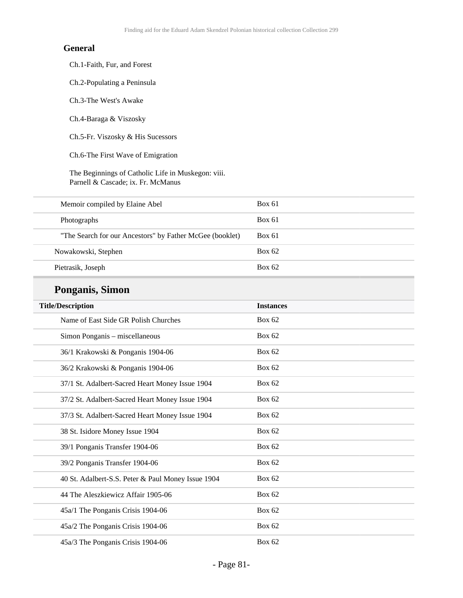#### **General**

Ch.1-Faith, Fur, and Forest

Ch.2-Populating a Peninsula

Ch.3-The West's Awake

Ch.4-Baraga & Viszosky

Ch.5-Fr. Viszosky & His Sucessors

Ch.6-The First Wave of Emigration

The Beginnings of Catholic Life in Muskegon: viii. Parnell & Cascade; ix. Fr. McManus

| Memoir compiled by Elaine Abel                           | Box 61 |
|----------------------------------------------------------|--------|
| Photographs                                              | Box 61 |
| "The Search for our Ancestors" by Father McGee (booklet) | Box 61 |
| Nowakowski, Stephen                                      | Box 62 |
| Pietrasik, Joseph                                        | Box 62 |

## **Ponganis, Simon**

| <b>Title/Description</b>                           | <b>Instances</b> |
|----------------------------------------------------|------------------|
| Name of East Side GR Polish Churches               | <b>Box 62</b>    |
| Simon Ponganis - miscellaneous                     | <b>Box 62</b>    |
| 36/1 Krakowski & Ponganis 1904-06                  | <b>Box 62</b>    |
| 36/2 Krakowski & Ponganis 1904-06                  | <b>Box 62</b>    |
| 37/1 St. Adalbert-Sacred Heart Money Issue 1904    | Box $62$         |
| 37/2 St. Adalbert-Sacred Heart Money Issue 1904    | Box $62$         |
| 37/3 St. Adalbert-Sacred Heart Money Issue 1904    | <b>Box 62</b>    |
| 38 St. Isidore Money Issue 1904                    | <b>Box 62</b>    |
| 39/1 Ponganis Transfer 1904-06                     | <b>Box 62</b>    |
| 39/2 Ponganis Transfer 1904-06                     | Box $62$         |
| 40 St. Adalbert-S.S. Peter & Paul Money Issue 1904 | <b>Box 62</b>    |
| 44 The Aleszkiewicz Affair 1905-06                 | <b>Box 62</b>    |
| 45a/1 The Ponganis Crisis 1904-06                  | <b>Box 62</b>    |
| 45a/2 The Ponganis Crisis 1904-06                  | <b>Box 62</b>    |
| 45a/3 The Ponganis Crisis 1904-06                  | <b>Box 62</b>    |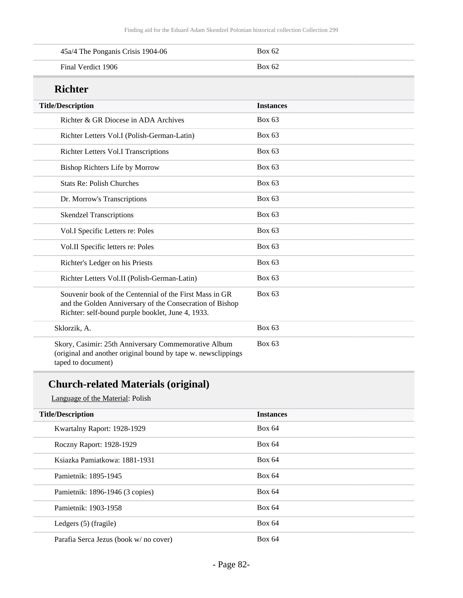| 45a/4 The Ponganis Crisis 1904-06 | Box 62 |
|-----------------------------------|--------|
| Final Verdict 1906                | Box 62 |

#### **Richter**

| ruchtel                                                                                                                                                                  |                  |
|--------------------------------------------------------------------------------------------------------------------------------------------------------------------------|------------------|
| <b>Title/Description</b>                                                                                                                                                 | <b>Instances</b> |
| Richter & GR Diocese in ADA Archives                                                                                                                                     | <b>Box 63</b>    |
| Richter Letters Vol.I (Polish-German-Latin)                                                                                                                              | <b>Box 63</b>    |
| Richter Letters Vol.I Transcriptions                                                                                                                                     | <b>Box 63</b>    |
| Bishop Richters Life by Morrow                                                                                                                                           | <b>Box 63</b>    |
| <b>Stats Re: Polish Churches</b>                                                                                                                                         | Box $63$         |
| Dr. Morrow's Transcriptions                                                                                                                                              | Box $63$         |
| <b>Skendzel Transcriptions</b>                                                                                                                                           | Box 63           |
| Vol.I Specific Letters re: Poles                                                                                                                                         | <b>Box 63</b>    |
| Vol.II Specific letters re: Poles                                                                                                                                        | <b>Box 63</b>    |
| Richter's Ledger on his Priests                                                                                                                                          | <b>Box 63</b>    |
| Richter Letters Vol.II (Polish-German-Latin)                                                                                                                             | <b>Box 63</b>    |
| Souvenir book of the Centennial of the First Mass in GR<br>and the Golden Anniversary of the Consecration of Bishop<br>Richter: self-bound purple booklet, June 4, 1933. | Box $63$         |
| Sklorzik, A.                                                                                                                                                             | <b>Box 63</b>    |
| Skory, Casimir: 25th Anniversary Commemorative Album<br>(original and another original bound by tape w. newsclippings<br>taped to document)                              | <b>Box 63</b>    |

# **Church-related Materials (original)**

Language of the Material: Polish

| <b>Title/Description</b>              | <b>Instances</b> |
|---------------------------------------|------------------|
| Kwartalny Raport: 1928-1929           | Box 64           |
| Roczny Raport: 1928-1929              | <b>Box 64</b>    |
| Ksiazka Pamiatkowa: 1881-1931         | <b>Box 64</b>    |
| Pamietnik: 1895-1945                  | <b>Box 64</b>    |
| Pamietnik: 1896-1946 (3 copies)       | Box 64           |
| Pamietnik: 1903-1958                  | <b>Box 64</b>    |
| Ledgers (5) (fragile)                 | <b>Box 64</b>    |
| Parafia Serca Jezus (book w/no cover) | <b>Box 64</b>    |